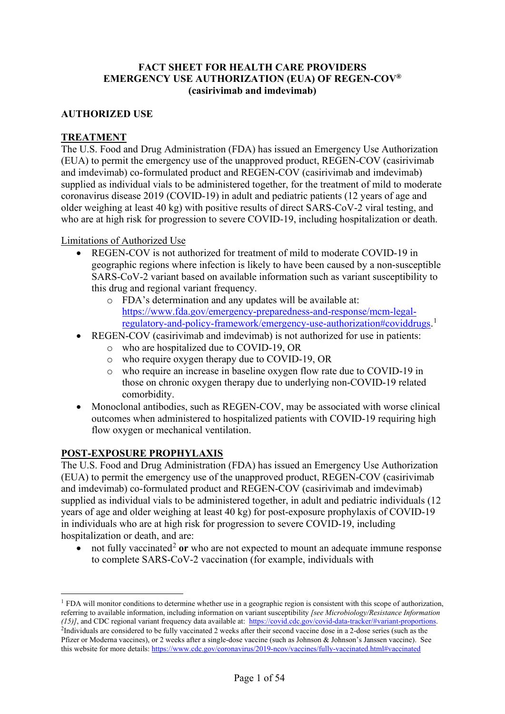### **FACT SHEET FOR HEALTH CARE PROVIDERS EMERGENCY USE AUTHORIZATION (EUA) OF REGEN-COV® (casirivimab and imdevimab)**

#### **AUTHORIZED USE**

#### **TREATMENT**

The U.S. Food and Drug Administration (FDA) has issued an Emergency Use Authorization (EUA) to permit the emergency use of the unapproved product, REGEN-COV (casirivimab and imdevimab) co-formulated product and REGEN-COV (casirivimab and imdevimab) supplied as individual vials to be administered together, for the treatment of mild to moderate coronavirus disease 2019 (COVID-19) in adult and pediatric patients (12 years of age and older weighing at least 40 kg) with positive results of direct SARS-CoV-2 viral testing, and who are at high risk for progression to severe COVID-19, including hospitalization or death.

#### Limitations of Authorized Use

- REGEN-COV is not authorized for treatment of mild to moderate COVID-19 in geographic regions where infection is likely to have been caused by a non-susceptible SARS-CoV-2 variant based on available information such as variant susceptibility to this drug and regional variant frequency.
	- o FDA's determination and any updates will be available at: [https://www.fda.gov/emergency-preparedness-and-response/mcm-legal](https://www.fda.gov/emergency-preparedness-and-response/mcm-legal-regulatory-and-policy-framework/emergency-use-authorization#coviddrugs)[regulatory-and-policy-framework/emergency-use-authorization#coviddrugs.](https://www.fda.gov/emergency-preparedness-and-response/mcm-legal-regulatory-and-policy-framework/emergency-use-authorization#coviddrugs) [1](#page-0-0)
- REGEN-COV (casirivimab and imdevimab) is not authorized for use in patients:
	- o who are hospitalized due to COVID-19, OR
	- o who require oxygen therapy due to COVID-19, OR
	- o who require an increase in baseline oxygen flow rate due to COVID-19 in those on chronic oxygen therapy due to underlying non-COVID-19 related comorbidity.
- Monoclonal antibodies, such as REGEN-COV, may be associated with worse clinical outcomes when administered to hospitalized patients with COVID-19 requiring high flow oxygen or mechanical ventilation.

### **POST-EXPOSURE PROPHYLAXIS**

The U.S. Food and Drug Administration (FDA) has issued an Emergency Use Authorization (EUA) to permit the emergency use of the unapproved product, REGEN-COV (casirivimab and imdevimab) co-formulated product and REGEN-COV (casirivimab and imdevimab) supplied as individual vials to be administered together, in adult and pediatric individuals (12 years of age and older weighing at least 40 kg) for post-exposure prophylaxis of COVID-19 in individuals who are at high risk for progression to severe COVID-19, including hospitalization or death, and are:

<span id="page-0-3"></span><span id="page-0-2"></span>• not fully vaccinated<sup>[2](#page-0-1)</sup> or who are not expected to mount an adequate immune response to complete SARS-CoV-2 vaccination (for example, individuals with

<span id="page-0-1"></span><span id="page-0-0"></span><sup>&</sup>lt;sup>1</sup> FDA will monitor conditions to determine whether use in a geographic region is consistent with this scope of authorization, referring to available information, including information on variant susceptibility *[see Microbiology/Resistance Information (15)]*, and CDC regional variant frequency data available at: [https://covid.cdc.gov/covid-data-tracker/#variant-proportions.](https://covid.cdc.gov/covid-data-tracker/?CDC_AA_refVal=https%3A%2F%2Fwww.cdc.gov%2Fcoronavirus%2F2019-ncov%2Fcases-updates%2Fvariant-proportions.html#variant-proportions) <sup>2</sup>Individuals are considered to be fully vaccinated 2 weeks after their second vaccine dose in a 2-dose series (such as the Pfizer or Moderna vaccines), or 2 weeks after a single-dose vaccine (such as Johnson & Johnson's Janssen vaccine). See this website for more details[: https://www.cdc.gov/coronavirus/2019-ncov/vaccines/fully-vaccinated.html#vaccinated](https://www.cdc.gov/coronavirus/2019-ncov/vaccines/fully-vaccinated.html#vaccinated)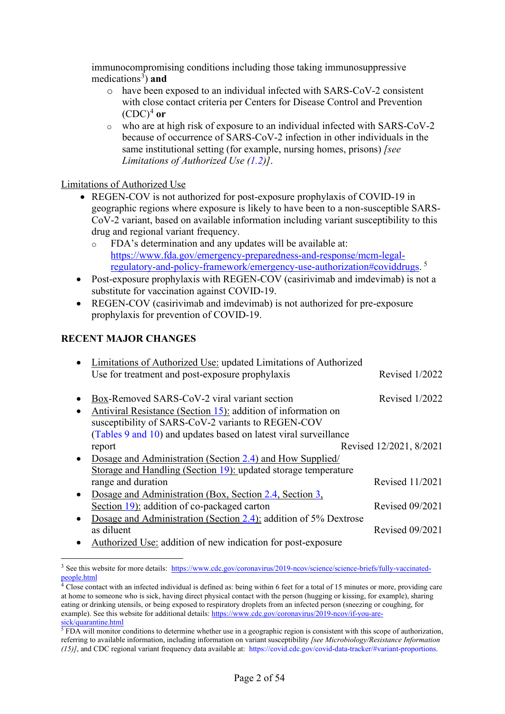<span id="page-1-5"></span>immunocompromising conditions including those taking immunosuppressive medications<sup>[3](#page-1-0)</sup>) and

- <span id="page-1-6"></span><span id="page-1-3"></span>o have been exposed to an individual infected with SARS-CoV-2 consistent with close contact criteria per Centers for Disease Control and Prevention  $(CDC)^4$  $(CDC)^4$  or
- <span id="page-1-4"></span>o who are at high risk of exposure to an individual infected with SARS-CoV-2 because of occurrence of SARS-CoV-2 infection in other individuals in the same institutional setting (for example, nursing homes, prisons) *[see Limitations of Authorized Use [\(1.2\)](#page-21-0)]*.

### Limitations of Authorized Use

- REGEN-COV is not authorized for post-exposure prophylaxis of COVID-19 in geographic regions where exposure is likely to have been to a non-susceptible SARS-CoV-2 variant, based on available information including variant susceptibility to this drug and regional variant frequency.
	- o FDA's determination and any updates will be available at: [https://www.fda.gov/emergency-preparedness-and-response/mcm-legal](https://www.fda.gov/emergency-preparedness-and-response/mcm-legal-regulatory-and-policy-framework/emergency-use-authorization#coviddrugs)[regulatory-and-policy-framework/emergency-use-authorization#coviddrugs.](https://www.fda.gov/emergency-preparedness-and-response/mcm-legal-regulatory-and-policy-framework/emergency-use-authorization#coviddrugs) [5](#page-1-2)
- Post-exposure prophylaxis with REGEN-COV (casirivimab and imdevimab) is not a substitute for vaccination against COVID-19.
- REGEN-COV (casirivimab and imdevimab) is not authorized for pre-exposure prophylaxis for prevention of COVID-19.

## **RECENT MAJOR CHANGES**

|           | Limitations of Authorized Use: updated Limitations of Authorized |                         |
|-----------|------------------------------------------------------------------|-------------------------|
|           | Use for treatment and post-exposure prophylaxis                  | Revised 1/2022          |
|           |                                                                  |                         |
|           | Box-Removed SARS-CoV-2 viral variant section                     | Revised $1/2022$        |
| $\bullet$ | Antiviral Resistance (Section 15): addition of information on    |                         |
|           | susceptibility of SARS-CoV-2 variants to REGEN-COV               |                         |
|           | (Tables 9 and 10) and updates based on latest viral surveillance |                         |
|           | report                                                           | Revised 12/2021, 8/2021 |
|           | Dosage and Administration (Section 2.4) and How Supplied/        |                         |
|           | Storage and Handling (Section 19): updated storage temperature   |                         |
|           | range and duration                                               | Revised 11/2021         |
| $\bullet$ | Dosage and Administration (Box, Section 2.4, Section 3,          |                         |
|           | Section 19): addition of co-packaged carton                      | <b>Revised 09/2021</b>  |
|           | Dosage and Administration (Section 2.4): addition of 5% Dextrose |                         |
|           | as diluent                                                       | Revised 09/2021         |
|           | Authorized Use: addition of new indication for post-exposure     |                         |
|           |                                                                  |                         |

<span id="page-1-0"></span><sup>3</sup> See this website for more details: [https://www.cdc.gov/coronavirus/2019-ncov/science/science-briefs/fully-vaccinated](https://www.cdc.gov/coronavirus/2019-ncov/science/science-briefs/fully-vaccinated-people.html)[people.html](https://www.cdc.gov/coronavirus/2019-ncov/science/science-briefs/fully-vaccinated-people.html)

<span id="page-1-1"></span><sup>&</sup>lt;sup>4</sup> Close contact with an infected individual is defined as: being within 6 feet for a total of 15 minutes or more, providing care at home to someone who is sick, having direct physical contact with the person (hugging or kissing, for example), sharing eating or drinking utensils, or being exposed to respiratory droplets from an infected person (sneezing or coughing, for example). See this website for additional details[: https://www.cdc.gov/coronavirus/2019-ncov/if-you-are](https://www.cdc.gov/coronavirus/2019-ncov/if-you-are-sick/quarantine.html)[sick/quarantine.html](https://www.cdc.gov/coronavirus/2019-ncov/if-you-are-sick/quarantine.html)

<span id="page-1-2"></span> $5$  FDA will monitor conditions to determine whether use in a geographic region is consistent with this scope of authorization, referring to available information, including information on variant susceptibility *[see Microbiology/Resistance Information (15)]*, and CDC regional variant frequency data available at: [https://covid.cdc.gov/covid-data-tracker/#variant-proportions.](https://covid.cdc.gov/covid-data-tracker/?CDC_AA_refVal=https%3A%2F%2Fwww.cdc.gov%2Fcoronavirus%2F2019-ncov%2Fcases-updates%2Fvariant-proportions.html#variant-proportions)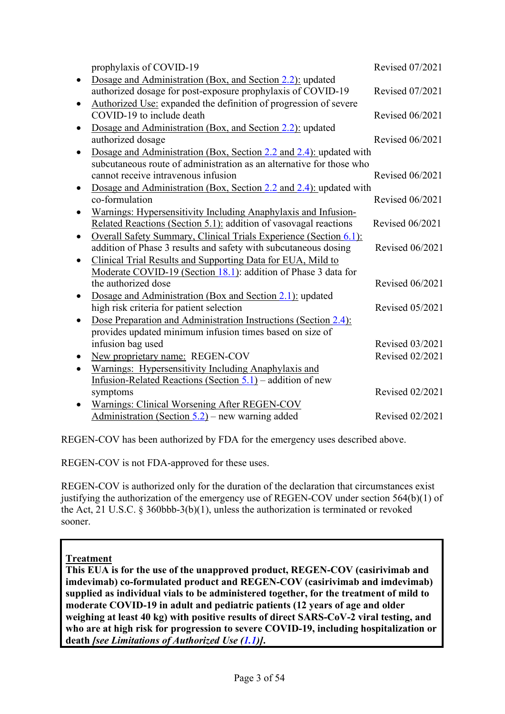| prophylaxis of COVID-19                                                                              | <b>Revised 07/2021</b> |
|------------------------------------------------------------------------------------------------------|------------------------|
| Dosage and Administration (Box, and Section 2.2): updated                                            |                        |
| authorized dosage for post-exposure prophylaxis of COVID-19                                          | <b>Revised 07/2021</b> |
| Authorized Use: expanded the definition of progression of severe                                     |                        |
| COVID-19 to include death                                                                            | <b>Revised 06/2021</b> |
| Dosage and Administration (Box, and Section 2.2): updated                                            |                        |
| authorized dosage                                                                                    | Revised 06/2021        |
| Dosage and Administration (Box, Section 2.2 and 2.4): updated with                                   |                        |
| subcutaneous route of administration as an alternative for those who                                 |                        |
| cannot receive intravenous infusion                                                                  | <b>Revised 06/2021</b> |
| Dosage and Administration (Box, Section 2.2 and 2.4): updated with                                   |                        |
| co-formulation                                                                                       | Revised 06/2021        |
| Warnings: Hypersensitivity Including Anaphylaxis and Infusion-                                       |                        |
| Related Reactions (Section 5.1): addition of vasovagal reactions                                     | <b>Revised 06/2021</b> |
| Overall Safety Summary, Clinical Trials Experience (Section 6.1):                                    |                        |
| addition of Phase 3 results and safety with subcutaneous dosing                                      | Revised 06/2021        |
| Clinical Trial Results and Supporting Data for EUA, Mild to                                          |                        |
| Moderate COVID-19 (Section 18.1): addition of Phase 3 data for<br>the authorized dose                | <b>Revised 06/2021</b> |
|                                                                                                      |                        |
| Dosage and Administration (Box and Section 2.1): updated<br>high risk criteria for patient selection | Revised 05/2021        |
| Dose Preparation and Administration Instructions (Section 2.4):                                      |                        |
| provides updated minimum infusion times based on size of                                             |                        |
| infusion bag used                                                                                    | Revised 03/2021        |
| New proprietary name: REGEN-COV                                                                      | <b>Revised 02/2021</b> |
| Warnings: Hypersensitivity Including Anaphylaxis and                                                 |                        |
| Infusion-Related Reactions (Section 5.1) – addition of new                                           |                        |
| symptoms                                                                                             | <b>Revised 02/2021</b> |
| Warnings: Clinical Worsening After REGEN-COV                                                         |                        |
| Administration (Section 5.2) – new warning added                                                     | Revised 02/2021        |
|                                                                                                      |                        |

REGEN-COV has been authorized by FDA for the emergency uses described above.

REGEN-COV is not FDA-approved for these uses.

REGEN-COV is authorized only for the duration of the declaration that circumstances exist justifying the authorization of the emergency use of REGEN-COV under section 564(b)(1) of the Act, 21 U.S.C. § 360bbb-3(b)(1), unless the authorization is terminated or revoked sooner.

# **Treatment**

**This EUA is for the use of the unapproved product, REGEN-COV (casirivimab and imdevimab) co-formulated product and REGEN-COV (casirivimab and imdevimab) supplied as individual vials to be administered together, for the treatment of mild to moderate COVID-19 in adult and pediatric patients (12 years of age and older weighing at least 40 kg) with positive results of direct SARS-CoV-2 viral testing, and who are at high risk for progression to severe COVID-19, including hospitalization or death** *[see Limitations of Authorized Use [\(1.1\)](#page-20-0)]***.**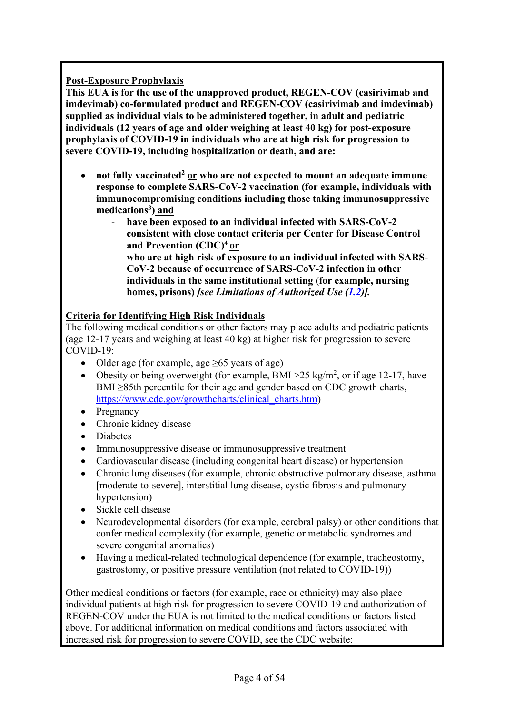# **Post-Exposure Prophylaxis**

**This EUA is for the use of the unapproved product, REGEN-COV (casirivimab and imdevimab) co-formulated product and REGEN-COV (casirivimab and imdevimab) supplied as individual vials to be administered together, in adult and pediatric individuals (12 years of age and older weighing at least 40 kg) for post-exposure prophylaxis of COVID-19 in individuals who are at high risk for progression to severe COVID-19, including hospitalization or death, and are:**

- not fully vaccinated<sup>2</sup> or who are not expected to mount an adequate immune **response to complete SARS-CoV-2 vaccination (for example, individuals with immunocompromising conditions including those taking immunosuppressive medication[s3\)](#page-1-3) and**
	- **have been exposed to an individual infected with SARS-CoV-2 consistent with close contact criteria per Center for Disease Control and Prevention (CDC[\)4](#page-1-4) or who are at high risk of exposure to an individual infected with SARS-CoV-2 because of occurrence of SARS-CoV-2 infection in other**

**individuals in the same institutional setting (for example, nursing homes, prisons)** *[see Limitations of Authorized Use [\(1.2\)](#page-21-0)].*

# **Criteria for Identifying High Risk Individuals**

The following medical conditions or other factors may place adults and pediatric patients (age 12-17 years and weighing at least 40 kg) at higher risk for progression to severe COVID-19:

- Older age (for example, age  $\geq 65$  years of age)
- Obesity or being overweight (for example, BMI  $>$ 25 kg/m<sup>2</sup>, or if age 12-17, have BMI >85th percentile for their age and gender based on CDC growth charts, [https://www.cdc.gov/growthcharts/clinical\\_charts.htm\)](https://www.cdc.gov/growthcharts/clinical_charts.htm)
- Pregnancy
- Chronic kidney disease
- Diabetes
- Immunosuppressive disease or immunosuppressive treatment
- Cardiovascular disease (including congenital heart disease) or hypertension
- Chronic lung diseases (for example, chronic obstructive pulmonary disease, asthma [moderate-to-severe], interstitial lung disease, cystic fibrosis and pulmonary hypertension)
- Sickle cell disease
- Neurodevelopmental disorders (for example, cerebral palsy) or other conditions that confer medical complexity (for example, genetic or metabolic syndromes and severe congenital anomalies)
- Having a medical-related technological dependence (for example, tracheostomy, gastrostomy, or positive pressure ventilation (not related to COVID-19))

Other medical conditions or factors (for example, race or ethnicity) may also place individual patients at high risk for progression to severe COVID-19 and authorization of REGEN-COV under the EUA is not limited to the medical conditions or factors listed above. For additional information on medical conditions and factors associated with increased risk for progression to severe COVID, see the CDC website: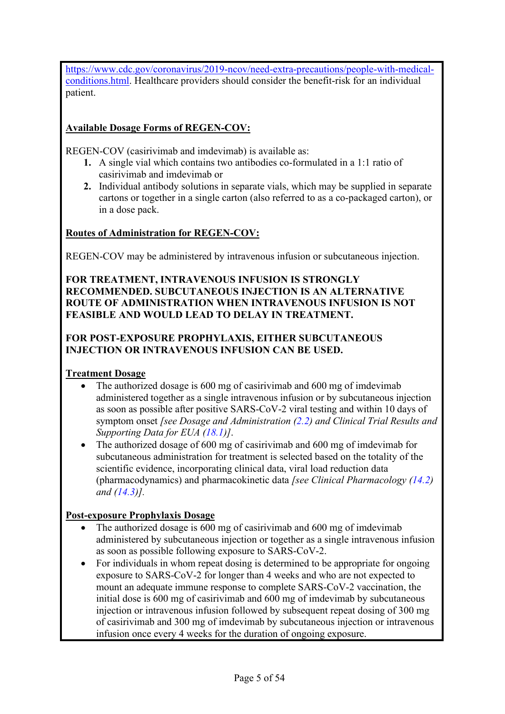[https://www.cdc.gov/coronavirus/2019-ncov/need-extra-precautions/people-with-medical](https://www.cdc.gov/coronavirus/2019-ncov/need-extra-precautions/people-with-medical-conditions.html)[conditions.html.](https://www.cdc.gov/coronavirus/2019-ncov/need-extra-precautions/people-with-medical-conditions.html) Healthcare providers should consider the benefit-risk for an individual patient.

# **Available Dosage Forms of REGEN-COV:**

REGEN-COV (casirivimab and imdevimab) is available as:

- **1.** A single vial which contains two antibodies co-formulated in a 1:1 ratio of casirivimab and imdevimab or
- **2.** Individual antibody solutions in separate vials, which may be supplied in separate cartons or together in a single carton (also referred to as a co-packaged carton), or in a dose pack.

## **Routes of Administration for REGEN-COV:**

REGEN-COV may be administered by intravenous infusion or subcutaneous injection.

### **FOR TREATMENT, INTRAVENOUS INFUSION IS STRONGLY RECOMMENDED. SUBCUTANEOUS INJECTION IS AN ALTERNATIVE ROUTE OF ADMINISTRATION WHEN INTRAVENOUS INFUSION IS NOT FEASIBLE AND WOULD LEAD TO DELAY IN TREATMENT.**

# **FOR POST-EXPOSURE PROPHYLAXIS, EITHER SUBCUTANEOUS INJECTION OR INTRAVENOUS INFUSION CAN BE USED.**

### **Treatment Dosage**

- The authorized dosage is 600 mg of casirivimab and 600 mg of imdevimab administered together as a single intravenous infusion or by subcutaneous injection as soon as possible after positive SARS-CoV-2 viral testing and within 10 days of symptom onset *[see Dosage and Administration [\(2.2\)](#page-23-0) and Clinical Trial Results and Supporting Data for EUA [\(18.1\)](#page-45-0)]*.
- The authorized dosage of 600 mg of casirivimab and 600 mg of imdevimab for subcutaneous administration for treatment is selected based on the totality of the scientific evidence, incorporating clinical data, viral load reduction data (pharmacodynamics) and pharmacokinetic data *[see Clinical Pharmacology [\(14.2\)](#page-39-1) and [\(14.3\)](#page-39-2)].*

# **Post-exposure Prophylaxis Dosage**

- The authorized dosage is 600 mg of casirivimab and 600 mg of imdevimab administered by subcutaneous injection or together as a single intravenous infusion as soon as possible following exposure to SARS-CoV-2.
- For individuals in whom repeat dosing is determined to be appropriate for ongoing exposure to SARS-CoV-2 for longer than 4 weeks and who are not expected to mount an adequate immune response to complete SARS-CoV-2 vaccination, the initial dose is 600 mg of casirivimab and 600 mg of imdevimab by subcutaneous injection or intravenous infusion followed by subsequent repeat dosing of 300 mg of casirivimab and 300 mg of imdevimab by subcutaneous injection or intravenous infusion once every 4 weeks for the duration of ongoing exposure.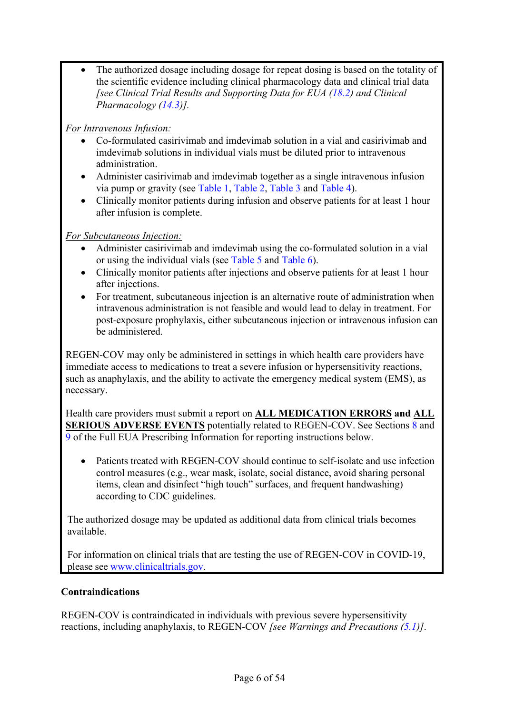The authorized dosage including dosage for repeat dosing is based on the totality of the scientific evidence including clinical pharmacology data and clinical trial data *[see Clinical Trial Results and Supporting Data for EUA [\(18.2\)](#page-39-2) and Clinical Pharmacology [\(14.3\)](#page-39-2)].*

# *For Intravenous Infusion:*

- Co-formulated casirivimab and imdevimab solution in a vial and casirivimab and imdevimab solutions in individual vials must be diluted prior to intravenous administration.
- Administer casirivimab and imdevimab together as a single intravenous infusion via pump or gravity (see [Table 1,](#page-9-0) [Table 2,](#page-9-1) [Table 3](#page-10-0) and [Table 4\)](#page-11-0).
- Clinically monitor patients during infusion and observe patients for at least 1 hour after infusion is complete.

## *For Subcutaneous Injection:*

- Administer casirivimab and imdevimab using the co-formulated solution in a vial or using the individual vials (see [Table 5](#page-12-0) and [Table 6\)](#page-12-1).
- Clinically monitor patients after injections and observe patients for at least 1 hour after injections.
- For treatment, subcutaneous injection is an alternative route of administration when intravenous administration is not feasible and would lead to delay in treatment. For post-exposure prophylaxis, either subcutaneous injection or intravenous infusion can be administered.

REGEN-COV may only be administered in settings in which health care providers have immediate access to medications to treat a severe infusion or hypersensitivity reactions, such as anaphylaxis, and the ability to activate the emergency medical system (EMS), as necessary.

Health care providers must submit a report on **ALL MEDICATION ERRORS and ALL SERIOUS ADVERSE EVENTS** potentially related to REGEN-COV. See Sections [8](#page-34-0) and [9](#page-36-0) of the Full EUA Prescribing Information for reporting instructions below.

• Patients treated with REGEN-COV should continue to self-isolate and use infection control measures (e.g., wear mask, isolate, social distance, avoid sharing personal items, clean and disinfect "high touch" surfaces, and frequent handwashing) according to CDC guidelines.

The authorized dosage may be updated as additional data from clinical trials becomes available.

For information on clinical trials that are testing the use of REGEN-COV in COVID-19, please see [www.clinicaltrials.gov.](http://www.clinicaltrials.gov/)

### **Contraindications**

REGEN-COV is contraindicated in individuals with previous severe hypersensitivity reactions, including anaphylaxis, to REGEN-COV *[see Warnings and Precautions [\(5.1\)](#page-31-0)]*.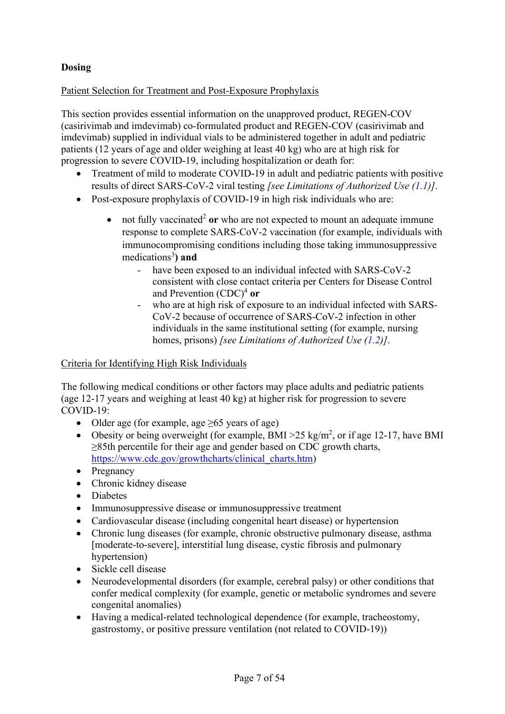# **Dosing**

## Patient Selection for Treatment and Post-Exposure Prophylaxis

This section provides essential information on the unapproved product, REGEN-COV (casirivimab and imdevimab) co-formulated product and REGEN-COV (casirivimab and imdevimab) supplied in individual vials to be administered together in adult and pediatric patients (12 years of age and older weighing at least 40 kg) who are at high risk for progression to severe COVID-19, including hospitalization or death for:

- Treatment of mild to moderate COVID-19 in adult and pediatric patients with positive results of direct SARS-CoV-2 viral testing *[see Limitations of Authorized Use [\(1.1\)](#page-20-0)]*.
- Post-exposure prophylaxis of COVID-19 in high risk individuals who are:
	- not fully vaccinated<sup>[2](#page-0-2)</sup> or who are not expected to mount an adequate immune response to complete SARS-CoV-2 vaccination (for example, individuals with immunocompromising conditions including those taking immunosuppressive medications<sup>[3](#page-1-3)</sup>) and
		- have been exposed to an individual infected with SARS-CoV-2 consistent with close contact criteria per Centers for Disease Control and Prevention (CDC)<sup>4</sup> or
		- who are at high risk of exposure to an individual infected with SARS-CoV-2 because of occurrence of SARS-CoV-2 infection in other individuals in the same institutional setting (for example, nursing homes, prisons) *[see Limitations of Authorized Use [\(1.2\)](#page-21-0)]*.

### Criteria for Identifying High Risk Individuals

The following medical conditions or other factors may place adults and pediatric patients (age 12-17 years and weighing at least 40 kg) at higher risk for progression to severe COVID-19:

- Older age (for example, age  $\geq 65$  years of age)
- Obesity or being overweight (for example, BMI > 25 kg/m<sup>2</sup>, or if age 12-17, have BMI ≥85th percentile for their age and gender based on CDC growth charts, [https://www.cdc.gov/growthcharts/clinical\\_charts.htm\)](https://www.cdc.gov/growthcharts/clinical_charts.htm)
- Pregnancy
- Chronic kidney disease
- Diabetes
- Immunosuppressive disease or immunosuppressive treatment
- Cardiovascular disease (including congenital heart disease) or hypertension
- Chronic lung diseases (for example, chronic obstructive pulmonary disease, asthma [moderate-to-severe], interstitial lung disease, cystic fibrosis and pulmonary hypertension)
- Sickle cell disease
- Neurodevelopmental disorders (for example, cerebral palsy) or other conditions that confer medical complexity (for example, genetic or metabolic syndromes and severe congenital anomalies)
- Having a medical-related technological dependence (for example, tracheostomy, gastrostomy, or positive pressure ventilation (not related to COVID-19))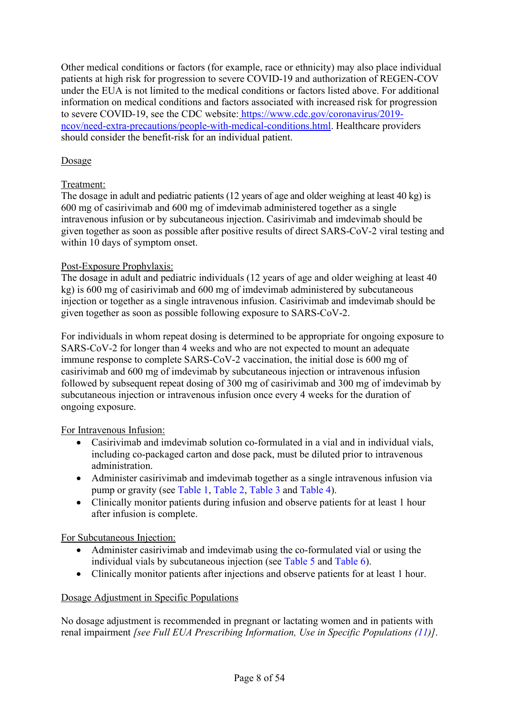Other medical conditions or factors (for example, race or ethnicity) may also place individual patients at high risk for progression to severe COVID-19 and authorization of REGEN-COV under the EUA is not limited to the medical conditions or factors listed above. For additional information on medical conditions and factors associated with increased risk for progression to severe COVID-19, see the CDC website: [https://www.cdc.gov/coronavirus/2019](https://www.cdc.gov/coronavirus/2019-ncov/need-extra-precautions/people-with-medical-conditions.html) [ncov/need-extra-precautions/people-with-medical-conditions.html.](https://www.cdc.gov/coronavirus/2019-ncov/need-extra-precautions/people-with-medical-conditions.html) Healthcare providers should consider the benefit-risk for an individual patient.

## Dosage

## Treatment:

The dosage in adult and pediatric patients (12 years of age and older weighing at least 40 kg) is 600 mg of casirivimab and 600 mg of imdevimab administered together as a single intravenous infusion or by subcutaneous injection. Casirivimab and imdevimab should be given together as soon as possible after positive results of direct SARS-CoV-2 viral testing and within 10 days of symptom onset.

## Post-Exposure Prophylaxis:

The dosage in adult and pediatric individuals (12 years of age and older weighing at least 40 kg) is 600 mg of casirivimab and 600 mg of imdevimab administered by subcutaneous injection or together as a single intravenous infusion. Casirivimab and imdevimab should be given together as soon as possible following exposure to SARS-CoV-2.

For individuals in whom repeat dosing is determined to be appropriate for ongoing exposure to SARS-CoV-2 for longer than 4 weeks and who are not expected to mount an adequate immune response to complete SARS-CoV-2 vaccination, the initial dose is 600 mg of casirivimab and 600 mg of imdevimab by subcutaneous injection or intravenous infusion followed by subsequent repeat dosing of 300 mg of casirivimab and 300 mg of imdevimab by subcutaneous injection or intravenous infusion once every 4 weeks for the duration of ongoing exposure.

### For Intravenous Infusion:

- Casirivimab and imdevimab solution co-formulated in a vial and in individual vials, including co-packaged carton and dose pack, must be diluted prior to intravenous administration.
- Administer casirivimab and imdevimab together as a single intravenous infusion via pump or gravity (see [Table 1,](#page-9-0) [Table 2,](#page-9-1) [Table 3](#page-10-0) and [Table 4\)](#page-11-0).
- Clinically monitor patients during infusion and observe patients for at least 1 hour after infusion is complete.

### For Subcutaneous Injection:

- Administer casirivimab and imdevimab using the co-formulated vial or using the individual vials by subcutaneous injection (see [Table 5](#page-12-0) and [Table 6\)](#page-12-1).
- Clinically monitor patients after injections and observe patients for at least 1 hour.

### Dosage Adjustment in Specific Populations

No dosage adjustment is recommended in pregnant or lactating women and in patients with renal impairment *[see Full EUA Prescribing Information, Use in Specific Populations [\(11\)](#page-36-1)]*.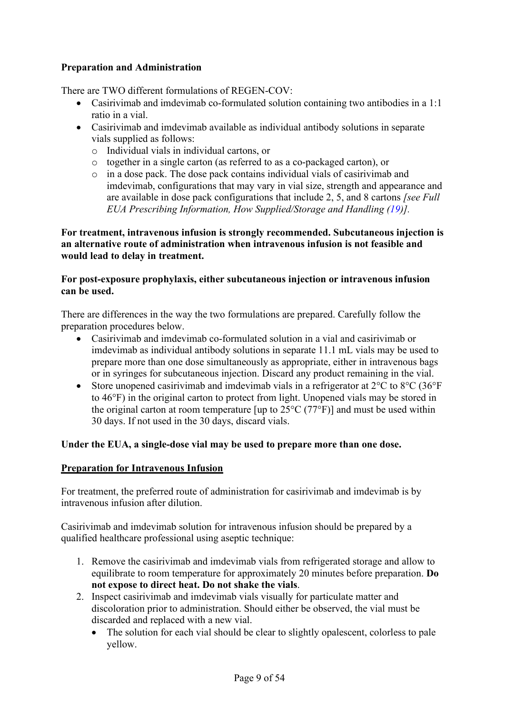## **Preparation and Administration**

There are TWO different formulations of REGEN-COV:

- Casirivimab and imdevimab co-formulated solution containing two antibodies in a 1:1 ratio in a vial.
- Casirivimab and imdevimab available as individual antibody solutions in separate vials supplied as follows:
	- o Individual vials in individual cartons, or
	- o together in a single carton (as referred to as a co-packaged carton), or
	- o in a dose pack. The dose pack contains individual vials of casirivimab and imdevimab, configurations that may vary in vial size, strength and appearance and are available in dose pack configurations that include 2, 5, and 8 cartons *[see Full EUA Prescribing Information, How Supplied/Storage and Handling [\(19\)](#page-50-0)].*

**For treatment, intravenous infusion is strongly recommended. Subcutaneous injection is an alternative route of administration when intravenous infusion is not feasible and would lead to delay in treatment.** 

### **For post-exposure prophylaxis, either subcutaneous injection or intravenous infusion can be used.**

There are differences in the way the two formulations are prepared. Carefully follow the preparation procedures below.

- Casirivimab and imdevimab co-formulated solution in a vial and casirivimab or imdevimab as individual antibody solutions in separate 11.1 mL vials may be used to prepare more than one dose simultaneously as appropriate, either in intravenous bags or in syringes for subcutaneous injection. Discard any product remaining in the vial.
- Store unopened casirivimab and imdevimab vials in a refrigerator at  $2^{\circ}$ C to  $8^{\circ}$ C (36°F) to 46°F) in the original carton to protect from light. Unopened vials may be stored in the original carton at room temperature [up to  $25^{\circ}$ C (77°F)] and must be used within 30 days. If not used in the 30 days, discard vials.

### **Under the EUA, a single-dose vial may be used to prepare more than one dose.**

### **Preparation for Intravenous Infusion**

For treatment, the preferred route of administration for casirivimab and imdevimab is by intravenous infusion after dilution.

Casirivimab and imdevimab solution for intravenous infusion should be prepared by a qualified healthcare professional using aseptic technique:

- 1. Remove the casirivimab and imdevimab vials from refrigerated storage and allow to equilibrate to room temperature for approximately 20 minutes before preparation. **Do not expose to direct heat. Do not shake the vials**.
- 2. Inspect casirivimab and imdevimab vials visually for particulate matter and discoloration prior to administration. Should either be observed, the vial must be discarded and replaced with a new vial.
	- The solution for each vial should be clear to slightly opalescent, colorless to pale yellow.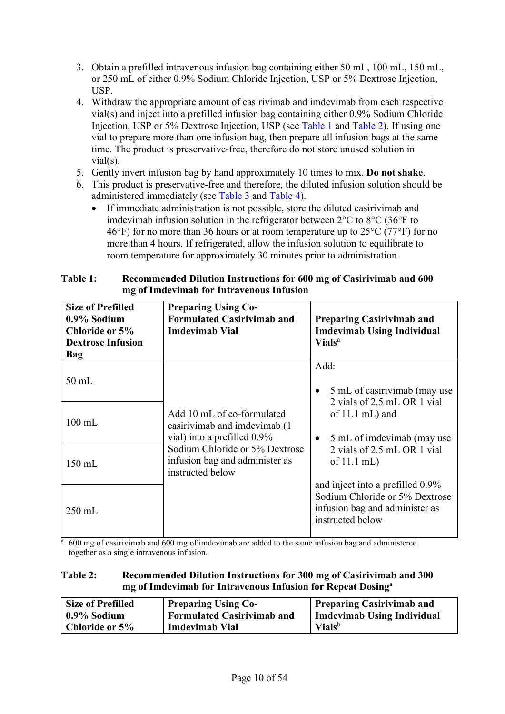- 3. Obtain a prefilled intravenous infusion bag containing either 50 mL, 100 mL, 150 mL, or 250 mL of either 0.9% Sodium Chloride Injection, USP or 5% Dextrose Injection, USP.
- 4. Withdraw the appropriate amount of casirivimab and imdevimab from each respective vial(s) and inject into a prefilled infusion bag containing either 0.9% Sodium Chloride Injection, USP or 5% Dextrose Injection, USP (see [Table 1](#page-9-0) and [Table](#page-9-1) 2). If using one vial to prepare more than one infusion bag, then prepare all infusion bags at the same time. The product is preservative-free, therefore do not store unused solution in vial(s).
- 5. Gently invert infusion bag by hand approximately 10 times to mix. **Do not shake**.
- 6. This product is preservative-free and therefore, the diluted infusion solution should be administered immediately (see [Table 3](#page-10-0) and [Table 4\)](#page-11-0).
	- If immediate administration is not possible, store the diluted casirivimab and imdevimab infusion solution in the refrigerator between 2°C to 8°C (36°F to 46°F) for no more than 36 hours or at room temperature up to  $25^{\circ}$ C (77°F) for no more than 4 hours. If refrigerated, allow the infusion solution to equilibrate to room temperature for approximately 30 minutes prior to administration.

| TAVIV T.<br>ACCOMMICHACA D'HUGON THRU UCHONS TOT OUV ME OT CASHTVIMAD ANU OUV<br>mg of Imdevimab for Intravenous Infusion |                            |  |  |  |
|---------------------------------------------------------------------------------------------------------------------------|----------------------------|--|--|--|
| <b>Size of Prefilled</b>                                                                                                  | <b>Preparing Using Co-</b> |  |  |  |
|                                                                                                                           | $      -$<br>.             |  |  |  |

<span id="page-9-0"></span>**Table 1: Recommended Dilution Instructions for 600 mg of Casirivimab and 600** 

| <b>Size of Prefilled</b><br>0.9% Sodium<br>Chloride or 5%<br><b>Dextrose Infusion</b><br><b>Bag</b> | <b>Preparing Using Co-</b><br><b>Formulated Casirivimab and</b><br><b>Imdevimab Vial</b>   | <b>Preparing Casirivimab and</b><br><b>Imdevimab Using Individual</b><br><b>Vials</b> <sup>a</sup>                       |  |
|-----------------------------------------------------------------------------------------------------|--------------------------------------------------------------------------------------------|--------------------------------------------------------------------------------------------------------------------------|--|
| $50$ mL                                                                                             |                                                                                            | Add:<br>5 mL of casirivimab (may use<br>$\bullet$<br>2 vials of 2.5 mL OR 1 vial                                         |  |
| $100$ mL                                                                                            | Add 10 mL of co-formulated<br>casirivimab and imdevimab (1)<br>vial) into a prefilled 0.9% | of $11.1$ mL) and<br>5 mL of imdevimab (may use<br>$\bullet$                                                             |  |
| $150$ mL                                                                                            | Sodium Chloride or 5% Dextrose<br>infusion bag and administer as<br>instructed below       | 2 vials of 2.5 mL OR 1 vial<br>of $11.1$ mL)                                                                             |  |
| $250$ mL                                                                                            |                                                                                            | and inject into a prefilled 0.9%<br>Sodium Chloride or 5% Dextrose<br>infusion bag and administer as<br>instructed below |  |

<sup>a</sup> 600 mg of casirivimab and 600 mg of imdevimab are added to the same infusion bag and administered together as a single intravenous infusion.

#### <span id="page-9-1"></span>**Table 2: Recommended Dilution Instructions for 300 mg of Casirivimab and 300 mg of Imdevimab for Intravenous Infusion for Repeat Dosinga**

| <b>Size of Prefilled</b> | <b>Preparing Using Co-</b>        | Preparing Casirivimab and  |
|--------------------------|-----------------------------------|----------------------------|
| 0.9% Sodium              | <b>Formulated Casirivimab and</b> | Imdevimab Using Individual |
| Chloride or 5%           | <b>Imdevimab Vial</b>             | <b>Vials</b> <sup>b</sup>  |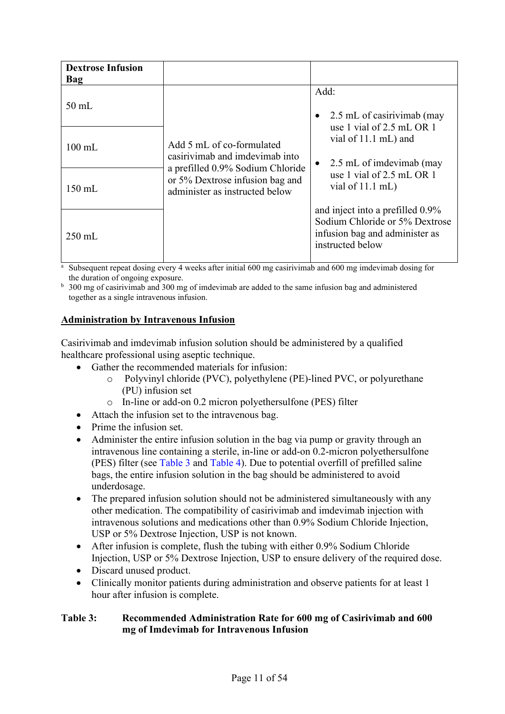| <b>Dextrose Infusion</b><br>Bag |                                                                                                       |                                                                                                                          |
|---------------------------------|-------------------------------------------------------------------------------------------------------|--------------------------------------------------------------------------------------------------------------------------|
| $50$ mL                         |                                                                                                       | Add:<br>2.5 mL of casirivimab (may                                                                                       |
| $100 \text{ mL}$                | Add 5 mL of co-formulated<br>casirivimab and imdevimab into                                           | use 1 vial of $2.5$ mL OR 1<br>vial of 11.1 mL) and<br>2.5 mL of imdevimab (may<br>$\bullet$                             |
| $150 \text{ mL}$                | a prefilled 0.9% Sodium Chloride<br>or 5% Dextrose infusion bag and<br>administer as instructed below | use 1 vial of 2.5 mL OR 1<br>vial of $11.1$ mL)                                                                          |
| $250 \text{ mL}$                |                                                                                                       | and inject into a prefilled 0.9%<br>Sodium Chloride or 5% Dextrose<br>infusion bag and administer as<br>instructed below |

<sup>a</sup> Subsequent repeat dosing every 4 weeks after initial 600 mg casirivimab and 600 mg imdevimab dosing for the duration of ongoing exposure.

<sup>b</sup> 300 mg of casirivimab and 300 mg of imdevimab are added to the same infusion bag and administered together as a single intravenous infusion.

### **Administration by Intravenous Infusion**

Casirivimab and imdevimab infusion solution should be administered by a qualified healthcare professional using aseptic technique.

- Gather the recommended materials for infusion:
	- o Polyvinyl chloride (PVC), polyethylene (PE)-lined PVC, or polyurethane (PU) infusion set
	- o In-line or add-on 0.2 micron polyethersulfone (PES) filter
- Attach the infusion set to the intravenous bag.
- Prime the infusion set.
- Administer the entire infusion solution in the bag via pump or gravity through an intravenous line containing a sterile, in-line or add-on 0.2-micron polyethersulfone (PES) filter (see [Table 3](#page-10-0) and [Table 4\)](#page-11-0). Due to potential overfill of prefilled saline bags, the entire infusion solution in the bag should be administered to avoid underdosage.
- The prepared infusion solution should not be administered simultaneously with any other medication. The compatibility of casirivimab and imdevimab injection with intravenous solutions and medications other than 0.9% Sodium Chloride Injection, USP or 5% Dextrose Injection, USP is not known.
- After infusion is complete, flush the tubing with either 0.9% Sodium Chloride Injection, USP or 5% Dextrose Injection, USP to ensure delivery of the required dose.
- Discard unused product.
- Clinically monitor patients during administration and observe patients for at least 1 hour after infusion is complete.

#### <span id="page-10-0"></span>**Table 3: Recommended Administration Rate for 600 mg of Casirivimab and 600 mg of Imdevimab for Intravenous Infusion**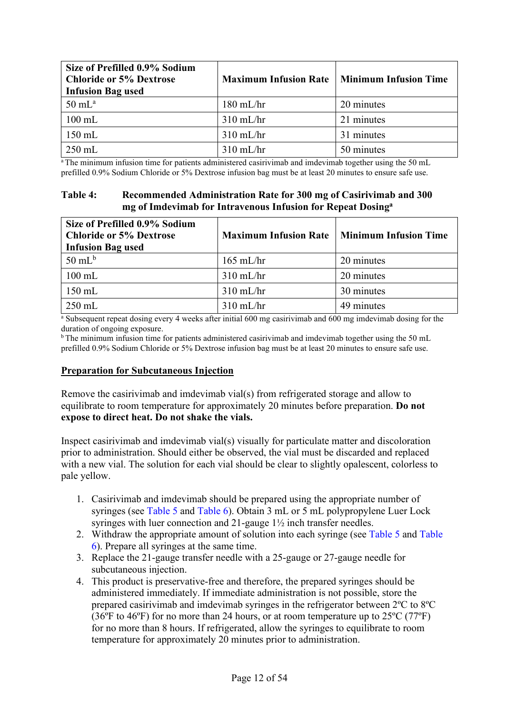| Size of Prefilled 0.9% Sodium<br><b>Chloride or 5% Dextrose</b><br><b>Infusion Bag used</b> | <b>Maximum Infusion Rate</b> | <b>Minimum Infusion Time</b> |
|---------------------------------------------------------------------------------------------|------------------------------|------------------------------|
| $50 \text{ mL}^{\text{a}}$                                                                  | $180$ mL/hr                  | 20 minutes                   |
| $100$ mL                                                                                    | $310$ mL/hr                  | 21 minutes                   |
| $150$ mL                                                                                    | $310$ mL/hr                  | 31 minutes                   |
| $250$ mL                                                                                    | $310 \text{ mL/hr}$          | 50 minutes                   |

<sup>a</sup> The minimum infusion time for patients administered casirivimab and imdevimab together using the 50 mL prefilled 0.9% Sodium Chloride or 5% Dextrose infusion bag must be at least 20 minutes to ensure safe use.

### <span id="page-11-0"></span>**Table 4: Recommended Administration Rate for 300 mg of Casirivimab and 300 mg of Imdevimab for Intravenous Infusion for Repeat Dosinga**

| Size of Prefilled 0.9% Sodium<br><b>Chloride or 5% Dextrose</b><br><b>Infusion Bag used</b> | <b>Maximum Infusion Rate</b> | <b>Minimum Infusion Time</b> |
|---------------------------------------------------------------------------------------------|------------------------------|------------------------------|
| $50 \text{ mL}^{\text{b}}$                                                                  | $165$ mL/hr                  | 20 minutes                   |
| $100 \text{ mL}$                                                                            | $310$ mL/hr                  | 20 minutes                   |
| $150 \text{ mL}$                                                                            | $310$ mL/hr                  | 30 minutes                   |
| $250$ mL                                                                                    | $310$ mL/hr                  | 49 minutes                   |

<sup>a</sup> Subsequent repeat dosing every 4 weeks after initial 600 mg casirivimab and 600 mg imdevimab dosing for the duration of ongoing exposure.

b The minimum infusion time for patients administered casirivimab and imdevimab together using the 50 mL prefilled 0.9% Sodium Chloride or 5% Dextrose infusion bag must be at least 20 minutes to ensure safe use.

### **Preparation for Subcutaneous Injection**

Remove the casirivimab and imdevimab vial(s) from refrigerated storage and allow to equilibrate to room temperature for approximately 20 minutes before preparation. **Do not expose to direct heat. Do not shake the vials.**

Inspect casirivimab and imdevimab vial(s) visually for particulate matter and discoloration prior to administration. Should either be observed, the vial must be discarded and replaced with a new vial. The solution for each vial should be clear to slightly opalescent, colorless to pale yellow.

- 1. Casirivimab and imdevimab should be prepared using the appropriate number of syringes (see [Table 5](#page-12-0) and [Table 6\)](#page-12-1). Obtain 3 mL or 5 mL polypropylene Luer Lock syringes with luer connection and 21-gauge 1½ inch transfer needles.
- 2. Withdraw the appropriate amount of solution into each syringe (see [Table 5](#page-12-0) and [Table](#page-12-1)  [6\)](#page-12-1). Prepare all syringes at the same time.
- 3. Replace the 21-gauge transfer needle with a 25-gauge or 27-gauge needle for subcutaneous injection.
- 4. This product is preservative-free and therefore, the prepared syringes should be administered immediately. If immediate administration is not possible, store the prepared casirivimab and imdevimab syringes in the refrigerator between 2ºC to 8ºC (36ºF to 46ºF) for no more than 24 hours, or at room temperature up to 25ºC (77ºF) for no more than 8 hours. If refrigerated, allow the syringes to equilibrate to room temperature for approximately 20 minutes prior to administration.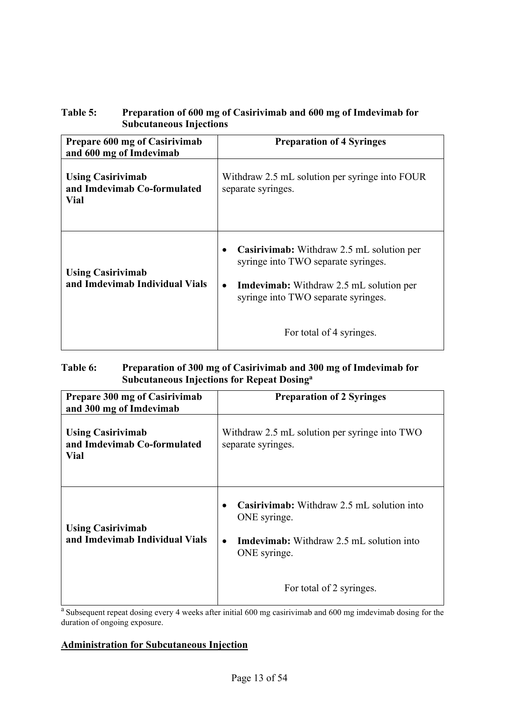## <span id="page-12-0"></span>**Table 5: Preparation of 600 mg of Casirivimab and 600 mg of Imdevimab for Subcutaneous Injections**

| Prepare 600 mg of Casirivimab<br>and 600 mg of Imdevimab               | <b>Preparation of 4 Syringes</b>                                                                                                                                                       |
|------------------------------------------------------------------------|----------------------------------------------------------------------------------------------------------------------------------------------------------------------------------------|
| <b>Using Casirivimab</b><br>and Imdevimab Co-formulated<br><b>Vial</b> | Withdraw 2.5 mL solution per syringe into FOUR<br>separate syringes.                                                                                                                   |
| <b>Using Casirivimab</b><br>and Imdevimab Individual Vials             | Casirivimab: Withdraw 2.5 mL solution per<br>syringe into TWO separate syringes.<br><b>Imdevimab:</b> Withdraw 2.5 mL solution per<br>$\bullet$<br>syringe into TWO separate syringes. |
|                                                                        | For total of 4 syringes.                                                                                                                                                               |

## <span id="page-12-1"></span>**Table 6: Preparation of 300 mg of Casirivimab and 300 mg of Imdevimab for Subcutaneous Injections for Repeat Dosinga**

| Prepare 300 mg of Casirivimab<br>and 300 mg of Imdevimab        | <b>Preparation of 2 Syringes</b>                                                                                                                                              |
|-----------------------------------------------------------------|-------------------------------------------------------------------------------------------------------------------------------------------------------------------------------|
| <b>Using Casirivimab</b><br>and Imdevimab Co-formulated<br>Vial | Withdraw 2.5 mL solution per syringe into TWO<br>separate syringes.                                                                                                           |
| <b>Using Casirivimab</b><br>and Imdevimab Individual Vials      | <b>Casirivimab:</b> Withdraw 2.5 mL solution into<br>ONE syringe.<br><b>Imdevimab:</b> Withdraw 2.5 mL solution into<br>$\bullet$<br>ONE syringe.<br>For total of 2 syringes. |
|                                                                 |                                                                                                                                                                               |

a Subsequent repeat dosing every 4 weeks after initial 600 mg casirivimab and 600 mg imdevimab dosing for the duration of ongoing exposure.

# **Administration for Subcutaneous Injection**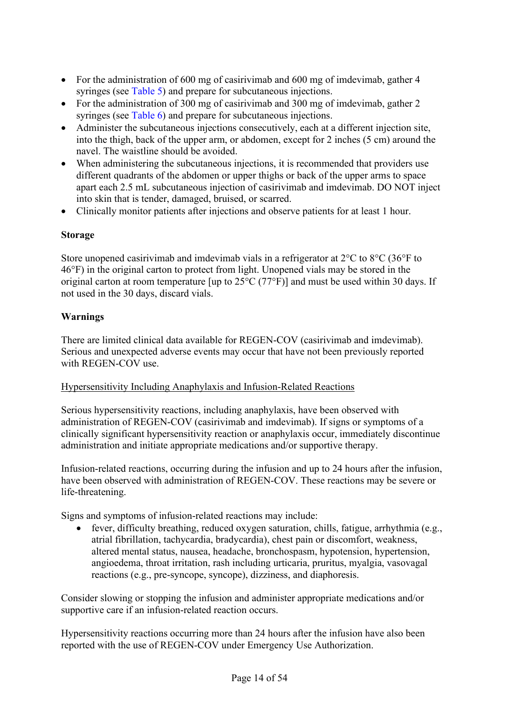- For the administration of 600 mg of casirivimab and 600 mg of imdevimab, gather 4 syringes (see [Table 5\)](#page-12-0) and prepare for subcutaneous injections.
- For the administration of 300 mg of casirivimab and 300 mg of imdevimab, gather 2 syringes (see [Table 6\)](#page-12-1) and prepare for subcutaneous injections.
- Administer the subcutaneous injections consecutively, each at a different injection site, into the thigh, back of the upper arm, or abdomen, except for 2 inches (5 cm) around the navel. The waistline should be avoided.
- When administering the subcutaneous injections, it is recommended that providers use different quadrants of the abdomen or upper thighs or back of the upper arms to space apart each 2.5 mL subcutaneous injection of casirivimab and imdevimab. DO NOT inject into skin that is tender, damaged, bruised, or scarred.
- Clinically monitor patients after injections and observe patients for at least 1 hour.

## **Storage**

Store unopened casirivimab and imdevimab vials in a refrigerator at  $2^{\circ}C$  to  $8^{\circ}C$  (36°F to 46°F) in the original carton to protect from light. Unopened vials may be stored in the original carton at room temperature [up to 25°C (77°F)] and must be used within 30 days. If not used in the 30 days, discard vials.

# **Warnings**

There are limited clinical data available for REGEN-COV (casirivimab and imdevimab). Serious and unexpected adverse events may occur that have not been previously reported with REGEN-COV use.

### Hypersensitivity Including Anaphylaxis and Infusion-Related Reactions

Serious hypersensitivity reactions, including anaphylaxis, have been observed with administration of REGEN-COV (casirivimab and imdevimab). If signs or symptoms of a clinically significant hypersensitivity reaction or anaphylaxis occur, immediately discontinue administration and initiate appropriate medications and/or supportive therapy.

Infusion-related reactions, occurring during the infusion and up to 24 hours after the infusion, have been observed with administration of REGEN-COV. These reactions may be severe or life-threatening.

Signs and symptoms of infusion-related reactions may include:

• fever, difficulty breathing, reduced oxygen saturation, chills, fatigue, arrhythmia (e.g., atrial fibrillation, tachycardia, bradycardia), chest pain or discomfort, weakness, altered mental status, nausea, headache, bronchospasm, hypotension, hypertension, angioedema, throat irritation, rash including urticaria, pruritus, myalgia, vasovagal reactions (e.g., pre-syncope, syncope), dizziness, and diaphoresis.

Consider slowing or stopping the infusion and administer appropriate medications and/or supportive care if an infusion-related reaction occurs.

Hypersensitivity reactions occurring more than 24 hours after the infusion have also been reported with the use of REGEN-COV under Emergency Use Authorization.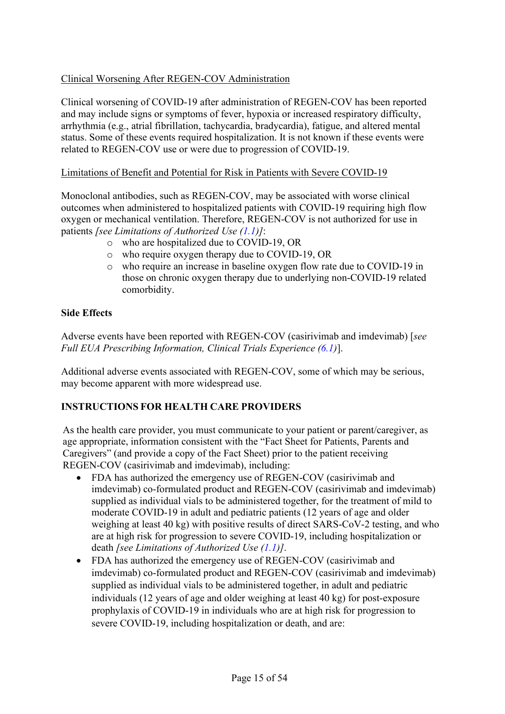## Clinical Worsening After REGEN-COV Administration

Clinical worsening of COVID-19 after administration of REGEN-COV has been reported and may include signs or symptoms of fever, hypoxia or increased respiratory difficulty, arrhythmia (e.g., atrial fibrillation, tachycardia, bradycardia), fatigue, and altered mental status. Some of these events required hospitalization. It is not known if these events were related to REGEN-COV use or were due to progression of COVID-19.

#### Limitations of Benefit and Potential for Risk in Patients with Severe COVID-19

Monoclonal antibodies, such as REGEN-COV, may be associated with worse clinical outcomes when administered to hospitalized patients with COVID-19 requiring high flow oxygen or mechanical ventilation. Therefore, REGEN-COV is not authorized for use in patients *[see Limitations of Authorized Use [\(1.1\)](#page-20-0)]*:

- o who are hospitalized due to COVID-19, OR
- o who require oxygen therapy due to COVID-19, OR
- $\circ$  who require an increase in baseline oxygen flow rate due to COVID-19 in those on chronic oxygen therapy due to underlying non-COVID-19 related comorbidity.

#### **Side Effects**

Adverse events have been reported with REGEN-COV (casirivimab and imdevimab) [*see Full EUA Prescribing Information, Clinical Trials Experience [\(6.1\)](#page-32-2)*].

Additional adverse events associated with REGEN-COV, some of which may be serious, may become apparent with more widespread use.

### **INSTRUCTIONS FOR HEALTH CARE PROVIDERS**

As the health care provider, you must communicate to your patient or parent/caregiver, as age appropriate, information consistent with the "Fact Sheet for Patients, Parents and Caregivers" (and provide a copy of the Fact Sheet) prior to the patient receiving REGEN-COV (casirivimab and imdevimab), including:

- FDA has authorized the emergency use of REGEN-COV (casirivimab and imdevimab) co-formulated product and REGEN-COV (casirivimab and imdevimab) supplied as individual vials to be administered together, for the treatment of mild to moderate COVID-19 in adult and pediatric patients (12 years of age and older weighing at least 40 kg) with positive results of direct SARS-CoV-2 testing, and who are at high risk for progression to severe COVID-19, including hospitalization or death *[see Limitations of Authorized Use [\(1.1\)](#page-20-0)]*.
- FDA has authorized the emergency use of REGEN-COV (casirivimab and imdevimab) co-formulated product and REGEN-COV (casirivimab and imdevimab) supplied as individual vials to be administered together, in adult and pediatric individuals (12 years of age and older weighing at least 40 kg) for post-exposure prophylaxis of COVID-19 in individuals who are at high risk for progression to severe COVID-19, including hospitalization or death, and are: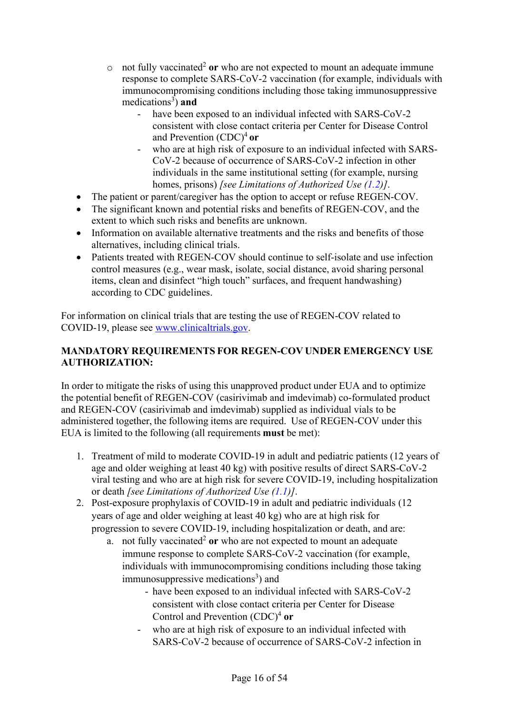- $\circ$  not fully vaccinated<sup>2</sup> or who are not expected to mount an adequate immune response to complete SARS-CoV-2 vaccination (for example, individuals with immunocompromising conditions including those taking immunosuppressive medications<sup>[3](#page-1-3)</sup>) and
	- have been exposed to an individual infected with SARS-CoV-2 consistent with close contact criteria per Center for Disease Control and Prevention (CDC[\)4](#page-1-4) **or**
	- who are at high risk of exposure to an individual infected with SARS-CoV-2 because of occurrence of SARS-CoV-2 infection in other individuals in the same institutional setting (for example, nursing homes, prisons) *[see Limitations of Authorized Use [\(1.2\)](#page-21-0)]*.
- The patient or parent/caregiver has the option to accept or refuse REGEN-COV.
- The significant known and potential risks and benefits of REGEN-COV, and the extent to which such risks and benefits are unknown.
- Information on available alternative treatments and the risks and benefits of those alternatives, including clinical trials.
- Patients treated with REGEN-COV should continue to self-isolate and use infection control measures (e.g., wear mask, isolate, social distance, avoid sharing personal items, clean and disinfect "high touch" surfaces, and frequent handwashing) according to CDC guidelines.

For information on clinical trials that are testing the use of REGEN-COV related to COVID-19, please see [www.clinicaltrials.gov.](http://www.clinicaltrials.gov/)

# **MANDATORY REQUIREMENTS FOR REGEN-COV UNDER EMERGENCY USE AUTHORIZATION:**

In order to mitigate the risks of using this unapproved product under EUA and to optimize the potential benefit of REGEN-COV (casirivimab and imdevimab) co-formulated product and REGEN-COV (casirivimab and imdevimab) supplied as individual vials to be administered together, the following items are required. Use of REGEN-COV under this EUA is limited to the following (all requirements **must** be met):

- 1. Treatment of mild to moderate COVID-19 in adult and pediatric patients (12 years of age and older weighing at least 40 kg) with positive results of direct SARS-CoV-2 viral testing and who are at high risk for severe COVID-19, including hospitalization or death *[see Limitations of Authorized Use [\(1.1\)](#page-20-0)]*.
- 2. Post-exposure prophylaxis of COVID-19 in adult and pediatric individuals (12 years of age and older weighing at least 40 kg) who are at high risk for progression to severe COVID-19, including hospitalization or death, and are:
	- a. not fully vaccinated<sup>[2](#page-0-2)</sup> or who are not expected to mount an adequate immune response to complete SARS-CoV-2 vaccination (for example, individuals with immunocompromising conditions including those taking immunosuppressive medications<sup>[3](#page-1-3)</sup>) and
		- have been exposed to an individual infected with SARS-CoV-2 consistent with close contact criteria per Center for Disease Control and Prevention (CDC[\)4](#page-1-4) **or**
		- who are at high risk of exposure to an individual infected with SARS-CoV-2 because of occurrence of SARS-CoV-2 infection in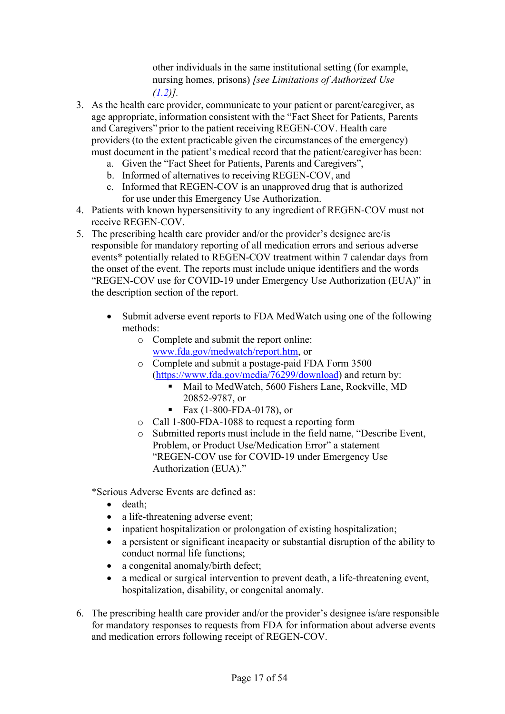other individuals in the same institutional setting (for example, nursing homes, prisons) *[see Limitations of Authorized Use [\(1.2\)](#page-21-0)].*

- 3. As the health care provider, communicate to your patient or parent/caregiver, as age appropriate, information consistent with the "Fact Sheet for Patients, Parents and Caregivers" prior to the patient receiving REGEN-COV. Health care providers (to the extent practicable given the circumstances of the emergency) must document in the patient's medical record that the patient/caregiver has been:
	- a. Given the "Fact Sheet for Patients, Parents and Caregivers",
	- b. Informed of alternatives to receiving REGEN-COV, and
	- c. Informed that REGEN-COV is an unapproved drug that is authorized for use under this Emergency Use Authorization.
- 4. Patients with known hypersensitivity to any ingredient of REGEN-COV must not receive REGEN-COV.
- 5. The prescribing health care provider and/or the provider's designee are/is responsible for mandatory reporting of all medication errors and serious adverse events\* potentially related to REGEN-COV treatment within 7 calendar days from the onset of the event. The reports must include unique identifiers and the words "REGEN-COV use for COVID-19 under Emergency Use Authorization (EUA)" in the description section of the report.
	- Submit adverse event reports to FDA MedWatch using one of the following methods:
		- o Complete and submit the report online: [www.fda.gov/medwatch/report.htm,](http://www.fda.gov/medwatch/report.htm) or
		- o Complete and submit a postage-paid FDA Form 3500 [\(https://www.fda.gov/media/76299/download\)](https://www.fda.gov/media/76299/download) and return by:
			- Mail to MedWatch, 5600 Fishers Lane, Rockville, MD 20852-9787, or
			- Fax  $(1-800-FDA-0178)$ , or
		- o Call 1-800-FDA-1088 to request a reporting form
		- o Submitted reports must include in the field name, "Describe Event, Problem, or Product Use/Medication Error" a statement "REGEN-COV use for COVID-19 under Emergency Use Authorization (EUA)."

\*Serious Adverse Events are defined as:

- death;
- a life-threatening adverse event;
- inpatient hospitalization or prolongation of existing hospitalization;
- a persistent or significant incapacity or substantial disruption of the ability to conduct normal life functions;
- a congenital anomaly/birth defect;
- a medical or surgical intervention to prevent death, a life-threatening event, hospitalization, disability, or congenital anomaly.
- 6. The prescribing health care provider and/or the provider's designee is/are responsible for mandatory responses to requests from FDA for information about adverse events and medication errors following receipt of REGEN-COV.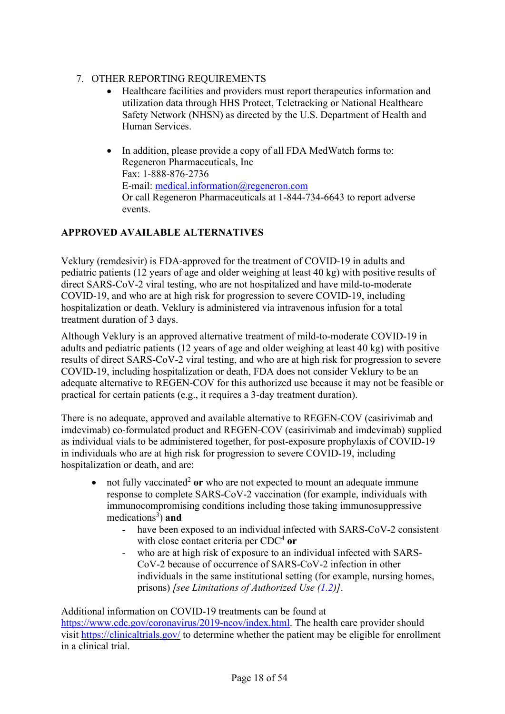## 7. OTHER REPORTING REQUIREMENTS

- Healthcare facilities and providers must report therapeutics information and utilization data through HHS Protect, Teletracking or National Healthcare Safety Network (NHSN) as directed by the U.S. Department of Health and Human Services.
- In addition, please provide a copy of all FDA MedWatch forms to: Regeneron Pharmaceuticals, Inc Fax: 1-888-876-2736 E-mail: [medical.information@regeneron.com](mailto:medical.information@regeneron.com) Or call Regeneron Pharmaceuticals at 1-844-734-6643 to report adverse events.

# **APPROVED AVAILABLE ALTERNATIVES**

Veklury (remdesivir) is FDA-approved for the treatment of COVID-19 in adults and pediatric patients (12 years of age and older weighing at least 40 kg) with positive results of direct SARS-CoV-2 viral testing, who are not hospitalized and have mild-to-moderate COVID-19, and who are at high risk for progression to severe COVID-19, including hospitalization or death. Veklury is administered via intravenous infusion for a total treatment duration of 3 days.

Although Veklury is an approved alternative treatment of mild-to-moderate COVID-19 in adults and pediatric patients (12 years of age and older weighing at least 40 kg) with positive results of direct SARS-CoV-2 viral testing, and who are at high risk for progression to severe COVID-19, including hospitalization or death, FDA does not consider Veklury to be an adequate alternative to REGEN-COV for this authorized use because it may not be feasible or practical for certain patients (e.g., it requires a 3-day treatment duration).

There is no adequate, approved and available alternative to REGEN-COV (casirivimab and imdevimab) co-formulated product and REGEN-COV (casirivimab and imdevimab) supplied as individual vials to be administered together, for post-exposure prophylaxis of COVID-19 in individuals who are at high risk for progression to severe COVID-19, including hospitalization or death, and are:

- not fully vaccinated<sup>2</sup> or who are not expected to mount an adequate immune response to complete SARS-CoV-2 vaccination (for example, individuals with immunocompromising conditions including those taking immunosuppressive medications<sup>[3](#page-1-3)</sup>) and
	- have been exposed to an individual infected with SARS-CoV-2 consistent with close contact criteria per CDC<sup>[4](#page-1-4)</sup> or
	- who are at high risk of exposure to an individual infected with SARS-CoV-2 because of occurrence of SARS-CoV-2 infection in other individuals in the same institutional setting (for example, nursing homes, prisons) *[see Limitations of Authorized Use [\(1.2\)](#page-21-0)]*.

Additional information on COVID-19 treatments can be found at [https://www.cdc.gov/coronavirus/2019-ncov/index.html.](https://www.cdc.gov/coronavirus/2019ncov/index.html) The health care provider should visit<https://clinicaltrials.gov/> to determine whether the patient may be eligible for enrollment in a clinical trial.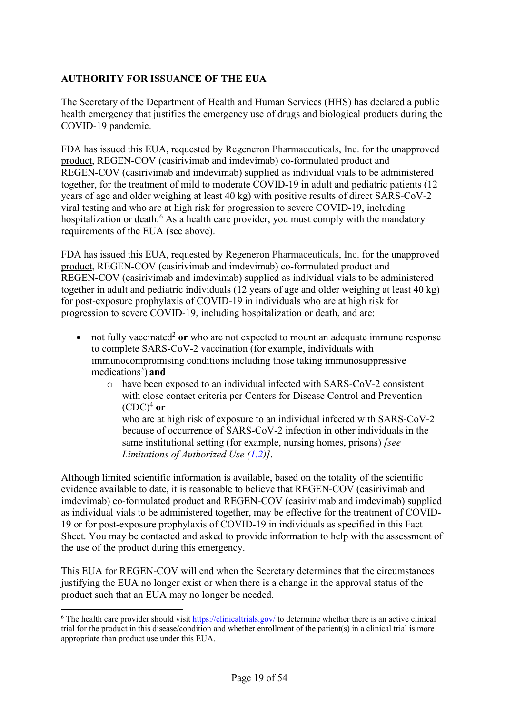## **AUTHORITY FOR ISSUANCE OF THE EUA**

The Secretary of the Department of Health and Human Services (HHS) has declared a public health emergency that justifies the emergency use of drugs and biological products during the COVID-19 pandemic.

FDA has issued this EUA, requested by Regeneron Pharmaceuticals, Inc. for the unapproved product, REGEN-COV (casirivimab and imdevimab) co-formulated product and REGEN-COV (casirivimab and imdevimab) supplied as individual vials to be administered together, for the treatment of mild to moderate COVID-19 in adult and pediatric patients (12 years of age and older weighing at least 40 kg) with positive results of direct SARS-CoV-2 viral testing and who are at high risk for progression to severe COVID-19, including hospitalization or death.<sup>[6](#page-18-0)</sup> As a health care provider, you must comply with the mandatory requirements of the EUA (see above).

FDA has issued this EUA, requested by Regeneron Pharmaceuticals, Inc. for the unapproved product, REGEN-COV (casirivimab and imdevimab) co-formulated product and REGEN-COV (casirivimab and imdevimab) supplied as individual vials to be administered together in adult and pediatric individuals (12 years of age and older weighing at least 40 kg) for post-exposure prophylaxis of COVID-19 in individuals who are at high risk for progression to severe COVID-19, including hospitalization or death, and are:

- not fully vaccinated<sup>[2](#page-0-2)</sup> or who are not expected to mount an adequate immune response to complete SARS-CoV-2 vaccination (for example, individuals with immunocompromising conditions including those taking immunosuppressive medications<sup>[3](#page-1-3)</sup>) and
	- o have been exposed to an individual infected with SARS-CoV-2 consistent with close contact criteria per Centers for Disease Control and Prevention  $(CDC)^4$  or who are at high risk of exposure to an individual infected with SARS-CoV-2 because of occurrence of SARS-CoV-2 infection in other individuals in the same institutional setting (for example, nursing homes, prisons) *[see Limitations of Authorized Use [\(1.2\)](#page-21-0)]*.

Although limited scientific information is available, based on the totality of the scientific evidence available to date, it is reasonable to believe that REGEN-COV (casirivimab and imdevimab) co-formulated product and REGEN-COV (casirivimab and imdevimab) supplied as individual vials to be administered together, may be effective for the treatment of COVID-19 or for post-exposure prophylaxis of COVID-19 in individuals as specified in this Fact Sheet. You may be contacted and asked to provide information to help with the assessment of the use of the product during this emergency.

This EUA for REGEN-COV will end when the Secretary determines that the circumstances justifying the EUA no longer exist or when there is a change in the approval status of the product such that an EUA may no longer be needed.

<span id="page-18-0"></span> $6$  The health care provider should visit<https://clinicaltrials.gov/> to determine whether there is an active clinical trial for the product in this disease/condition and whether enrollment of the patient(s) in a clinical trial is more appropriate than product use under this EUA.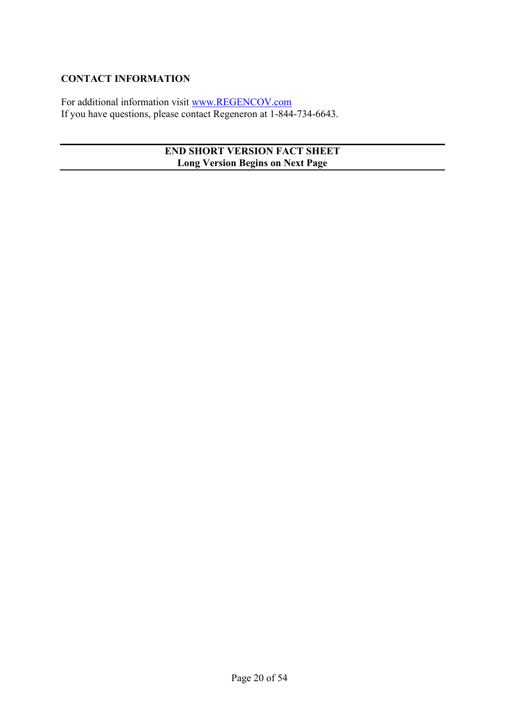### **CONTACT INFORMATION**

For additional information visit [www.REGENCOV.com](http://www.regencov.com/) If you have questions, please contact Regeneron at 1-844-734-6643.

## **END SHORT VERSION FACT SHEET Long Version Begins on Next Page**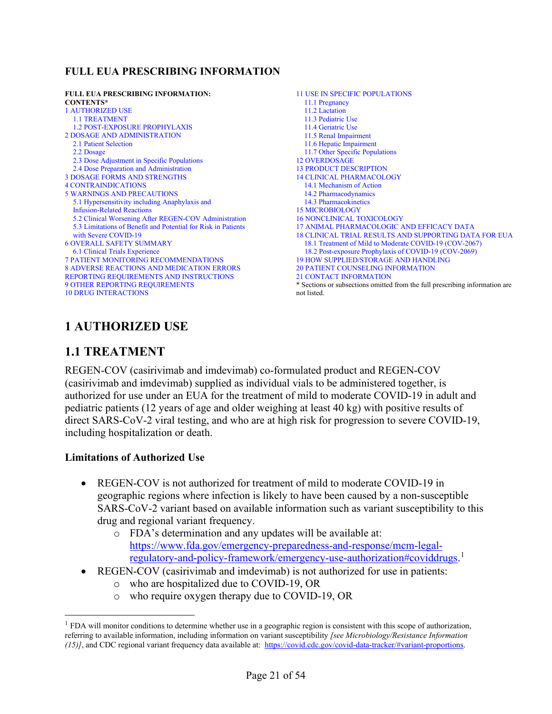## **FULL EUA PRESCRIBING INFORMATION**

| <b>FULL EUA PRESCRIBING INFORMATION:</b><br><b>CONTENTS*</b>  | <b>11 USE IN SPECIFIC POPULATIONS</b><br>11.1 Pregnancy                     |
|---------------------------------------------------------------|-----------------------------------------------------------------------------|
| <b>1 AUTHORIZED USE</b>                                       | 11.2 Lactation                                                              |
| <b>1.1 TREATMENT</b>                                          | 11.3 Pediatric Use                                                          |
| <b>1.2 POST-EXPOSURE PROPHYLAXIS</b>                          | 11.4 Geriatric Use                                                          |
| <b>2 DOSAGE AND ADMINISTRATION</b>                            | 11.5 Renal Impairment                                                       |
| 2.1 Patient Selection                                         | 11.6 Hepatic Impairment                                                     |
| 2.2 Dosage                                                    | 11.7 Other Specific Populations                                             |
| 2.3 Dose Adjustment in Specific Populations                   | <b>12 OVERDOSAGE</b>                                                        |
| 2.4 Dose Preparation and Administration                       | <b>13 PRODUCT DESCRIPTION</b>                                               |
| <b>3 DOSAGE FORMS AND STRENGTHS</b>                           | <b>14 CLINICAL PHARMACOLOGY</b>                                             |
| <b>4 CONTRAINDICATIONS</b>                                    | 14.1 Mechanism of Action                                                    |
| <b>5 WARNINGS AND PRECAUTIONS</b>                             | 14.2 Pharmacodynamics                                                       |
| 5.1 Hypersensitivity including Anaphylaxis and                | 14.3 Pharmacokinetics                                                       |
| <b>Infusion-Related Reactions</b>                             | <b>15 MICROBIOLOGY</b>                                                      |
| 5.2 Clinical Worsening After REGEN-COV Administration         | <b>16 NONCLINICAL TOXICOLOGY</b>                                            |
| 5.3 Limitations of Benefit and Potential for Risk in Patients | 17 ANIMAL PHARMACOLOGIC AND EFFICACY DATA                                   |
| with Severe COVID-19                                          | <b>18 CLINICAL TRIAL RESULTS AND SUPPORTING DATA FOR EUA</b>                |
| <b>6 OVERALL SAFETY SUMMARY</b>                               | 18.1 Treatment of Mild to Moderate COVID-19 (COV-2067)                      |
| 6.1 Clinical Trials Experience                                | 18.2 Post-exposure Prophylaxis of COVID-19 (COV-2069)                       |
| <b>7 PATIENT MONITORING RECOMMENDATIONS</b>                   | <b>19 HOW SUPPLIED/STORAGE AND HANDLING</b>                                 |
| <b>8 ADVERSE REACTIONS AND MEDICATION ERRORS</b>              | <b>20 PATIENT COUNSELING INFORMATION</b>                                    |
| REPORTING REQUIREMENTS AND INSTRUCTIONS                       | <b>21 CONTACT INFORMATION</b>                                               |
| <b>9 OTHER REPORTING REQUIREMENTS</b>                         | * Sections or subsections omitted from the full prescribing information are |
| <b>10 DRUG INTERACTIONS</b>                                   | not listed.                                                                 |
|                                                               |                                                                             |

# <span id="page-20-1"></span>**1 AUTHORIZED USE**

# <span id="page-20-2"></span>**1.1 TREATMENT**

<span id="page-20-0"></span>REGEN-COV (casirivimab and imdevimab) co-formulated product and REGEN-COV (casirivimab and imdevimab) supplied as individual vials to be administered together, is authorized for use under an EUA for the treatment of mild to moderate COVID-19 in adult and pediatric patients (12 years of age and older weighing at least 40 kg) with positive results of direct SARS-CoV-2 viral testing, and who are at high risk for progression to severe COVID-19, including hospitalization or death.

### **Limitations of Authorized Use**

- REGEN-COV is not authorized for treatment of mild to moderate COVID-19 in geographic regions where infection is likely to have been caused by a non-susceptible SARS-CoV-2 variant based on available information such as variant susceptibility to this drug and regional variant frequency.
	- o FDA's determination and any updates will be available at: [https://www.fda.gov/emergency-preparedness-and-response/mcm-legal](https://www.fda.gov/emergency-preparedness-and-response/mcm-legal-regulatory-and-policy-framework/emergency-use-authorization#coviddrugs)[regulatory-and-policy-framework/emergency-use-authorization#coviddrugs.](https://www.fda.gov/emergency-preparedness-and-response/mcm-legal-regulatory-and-policy-framework/emergency-use-authorization#coviddrugs) [1](#page-20-3)
- REGEN-COV (casirivimab and imdevimab) is not authorized for use in patients:
	- o who are hospitalized due to COVID-19, OR
	- o who require oxygen therapy due to COVID-19, OR

<span id="page-20-3"></span> $<sup>1</sup>$  FDA will monitor conditions to determine whether use in a geographic region is consistent with this scope of authorization,</sup> referring to available information, including information on variant susceptibility *[see Microbiology/Resistance Information (15)]*, and CDC regional variant frequency data available at: [https://covid.cdc.gov/covid-data-tracker/#variant-proportions.](https://covid.cdc.gov/covid-data-tracker/?CDC_AA_refVal=https%3A%2F%2Fwww.cdc.gov%2Fcoronavirus%2F2019-ncov%2Fcases-updates%2Fvariant-proportions.html#variant-proportions)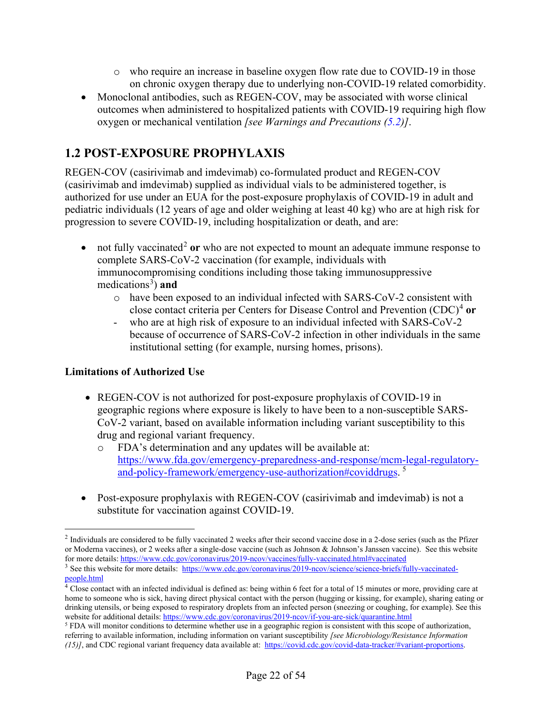- o who require an increase in baseline oxygen flow rate due to COVID-19 in those on chronic oxygen therapy due to underlying non-COVID-19 related comorbidity.
- Monoclonal antibodies, such as REGEN-COV, may be associated with worse clinical outcomes when administered to hospitalized patients with COVID-19 requiring high flow oxygen or mechanical ventilation *[see Warnings and Precautions [\(5.2\)](#page-32-3)]*.

# <span id="page-21-1"></span>**1.2 POST-EXPOSURE PROPHYLAXIS**

<span id="page-21-0"></span>REGEN-COV (casirivimab and imdevimab) co-formulated product and REGEN-COV (casirivimab and imdevimab) supplied as individual vials to be administered together, is authorized for use under an EUA for the post-exposure prophylaxis of COVID-19 in adult and pediatric individuals (12 years of age and older weighing at least 40 kg) who are at high risk for progression to severe COVID-19, including hospitalization or death, and are:

- not fully vaccinated<sup>[2](#page-21-2)</sup> or who are not expected to mount an adequate immune response to complete SARS-CoV-2 vaccination (for example, individuals with immunocompromising conditions including those taking immunosuppressive medications<sup>[3](#page-21-3)</sup>) and
	- o have been exposed to an individual infected with SARS-CoV-2 consistent with close contact criteria per Centers for Disease Control and Prevention (CDC)[4](#page-21-4) **or**
	- who are at high risk of exposure to an individual infected with SARS-CoV-2 because of occurrence of SARS-CoV-2 infection in other individuals in the same institutional setting (for example, nursing homes, prisons).

# **Limitations of Authorized Use**

- REGEN-COV is not authorized for post-exposure prophylaxis of COVID-19 in geographic regions where exposure is likely to have been to a non-susceptible SARS-CoV-2 variant, based on available information including variant susceptibility to this drug and regional variant frequency.
	- o FDA's determination and any updates will be available at: [https://www.fda.gov/emergency-preparedness-and-response/mcm-legal-regulatory](https://www.fda.gov/emergency-preparedness-and-response/mcm-legal-regulatory-and-policy-framework/emergency-use-authorization#coviddrugs)[and-policy-framework/emergency-use-authorization#coviddrugs.](https://www.fda.gov/emergency-preparedness-and-response/mcm-legal-regulatory-and-policy-framework/emergency-use-authorization#coviddrugs)<sup>[5](#page-21-5)</sup>
- Post-exposure prophylaxis with REGEN-COV (casirivimab and imdevimab) is not a substitute for vaccination against COVID-19.

<span id="page-21-2"></span><sup>&</sup>lt;sup>2</sup> Individuals are considered to be fully vaccinated 2 weeks after their second vaccine dose in a 2-dose series (such as the Pfizer or Moderna vaccines), or 2 weeks after a single-dose vaccine (such as Johnson & Johnson's Janssen vaccine). See this website for more details[: https://www.cdc.gov/coronavirus/2019-ncov/vaccines/fully-vaccinated.html#vaccinated](https://www.cdc.gov/coronavirus/2019-ncov/vaccines/fully-vaccinated.html#vaccinated)

<span id="page-21-3"></span><sup>3</sup> See this website for more details: [https://www.cdc.gov/coronavirus/2019-ncov/science/science-briefs/fully-vaccinated](https://www.cdc.gov/coronavirus/2019-ncov/science/science-briefs/fully-vaccinated-people.html)[people.html](https://www.cdc.gov/coronavirus/2019-ncov/science/science-briefs/fully-vaccinated-people.html)

<span id="page-21-4"></span><sup>4</sup> Close contact with an infected individual is defined as: being within 6 feet for a total of 15 minutes or more, providing care at home to someone who is sick, having direct physical contact with the person (hugging or kissing, for example), sharing eating or drinking utensils, or being exposed to respiratory droplets from an infected person (sneezing or coughing, for example). See this website for additional details:<https://www.cdc.gov/coronavirus/2019-ncov/if-you-are-sick/quarantine.html>

<span id="page-21-5"></span><sup>&</sup>lt;sup>5</sup> FDA will monitor conditions to determine whether use in a geographic region is consistent with this scope of authorization, referring to available information, including information on variant susceptibility *[see Microbiology/Resistance Information (15)]*, and CDC regional variant frequency data available at: [https://covid.cdc.gov/covid-data-tracker/#variant-proportions.](https://covid.cdc.gov/covid-data-tracker/?CDC_AA_refVal=https%3A%2F%2Fwww.cdc.gov%2Fcoronavirus%2F2019-ncov%2Fcases-updates%2Fvariant-proportions.html#variant-proportions)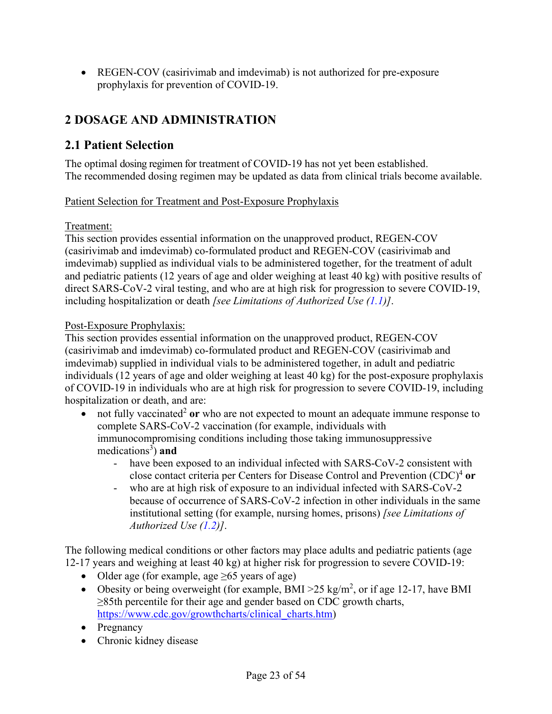• REGEN-COV (casirivimab and imdevimab) is not authorized for pre-exposure prophylaxis for prevention of COVID-19.

# <span id="page-22-1"></span>**2 DOSAGE AND ADMINISTRATION**

# <span id="page-22-2"></span>**2.1 Patient Selection**

The optimal dosing regimen for treatment of COVID-19 has not yet been established. The recommended dosing regimen may be updated as data from clinical trials become available.

### <span id="page-22-0"></span>Patient Selection for Treatment and Post-Exposure Prophylaxis

#### Treatment:

This section provides essential information on the unapproved product, REGEN-COV (casirivimab and imdevimab) co-formulated product and REGEN-COV (casirivimab and imdevimab) supplied as individual vials to be administered together, for the treatment of adult and pediatric patients (12 years of age and older weighing at least 40 kg) with positive results of direct SARS-CoV-2 viral testing, and who are at high risk for progression to severe COVID-19, including hospitalization or death *[see Limitations of Authorized Use [\(1.1\)](#page-20-2)]*.

### Post-Exposure Prophylaxis:

This section provides essential information on the unapproved product, REGEN-COV (casirivimab and imdevimab) co-formulated product and REGEN-COV (casirivimab and imdevimab) supplied in individual vials to be administered together, in adult and pediatric individuals (12 years of age and older weighing at least 40 kg) for the post-exposure prophylaxis of COVID-19 in individuals who are at high risk for progression to severe COVID-19, including hospitalization or death, and are:

- not fully vaccinated<sup>2</sup> or who are not expected to mount an adequate immune response to complete SARS-CoV-2 vaccination (for example, individuals with immunocompromising conditions including those taking immunosuppressive medications<sup>[3](#page-1-5)</sup>) and
	- have been exposed to an individual infected with SARS-CoV-2 consistent with close contact criteria per Centers for Disease Control and Prevention (CDC[\)4](#page-1-6) **or**
	- who are at high risk of exposure to an individual infected with SARS-CoV-2 because of occurrence of SARS-CoV-2 infection in other individuals in the same institutional setting (for example, nursing homes, prisons) *[see Limitations of Authorized Use [\(1.2\)](#page-21-1)]*.

The following medical conditions or other factors may place adults and pediatric patients (age 12-17 years and weighing at least 40 kg) at higher risk for progression to severe COVID-19:

- Older age (for example, age  $\geq 65$  years of age)
- Obesity or being overweight (for example, BMI > 25 kg/m<sup>2</sup>, or if age 12-17, have BMI ≥85th percentile for their age and gender based on CDC growth charts, [https://www.cdc.gov/growthcharts/clinical\\_charts.htm\)](https://www.cdc.gov/growthcharts/clinical_charts.htm)
- Pregnancy
- Chronic kidney disease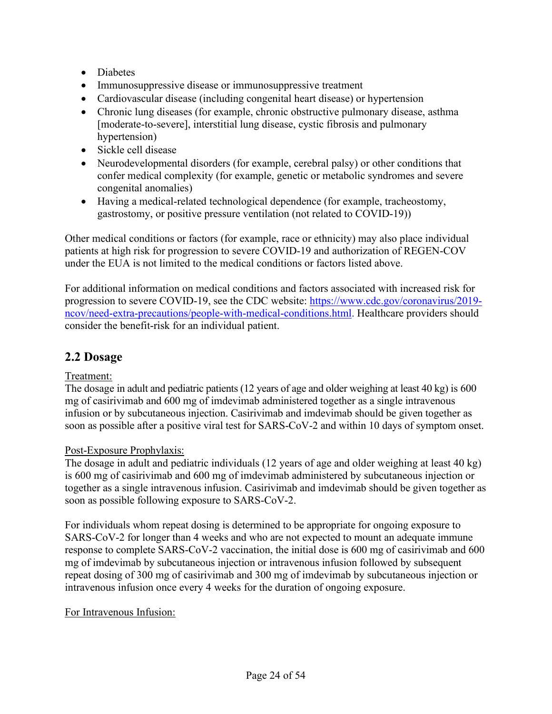- Diabetes
- Immunosuppressive disease or immunosuppressive treatment
- Cardiovascular disease (including congenital heart disease) or hypertension
- Chronic lung diseases (for example, chronic obstructive pulmonary disease, asthma [moderate-to-severe], interstitial lung disease, cystic fibrosis and pulmonary hypertension)
- Sickle cell disease
- Neurodevelopmental disorders (for example, cerebral palsy) or other conditions that confer medical complexity (for example, genetic or metabolic syndromes and severe congenital anomalies)
- Having a medical-related technological dependence (for example, tracheostomy, gastrostomy, or positive pressure ventilation (not related to COVID-19))

Other medical conditions or factors (for example, race or ethnicity) may also place individual patients at high risk for progression to severe COVID-19 and authorization of REGEN-COV under the EUA is not limited to the medical conditions or factors listed above.

For additional information on medical conditions and factors associated with increased risk for progression to severe COVID-19, see the CDC website: [https://www.cdc.gov/coronavirus/2019](https://www.cdc.gov/coronavirus/2019-ncov/need-extra-precautions/people-with-medical-conditions.html) [ncov/need-extra-precautions/people-with-medical-conditions.html.](https://www.cdc.gov/coronavirus/2019-ncov/need-extra-precautions/people-with-medical-conditions.html) Healthcare providers should consider the benefit-risk for an individual patient.

# <span id="page-23-1"></span>**2.2 Dosage**

### Treatment:

<span id="page-23-0"></span>The dosage in adult and pediatric patients (12 years of age and older weighing at least 40 kg) is 600 mg of casirivimab and 600 mg of imdevimab administered together as a single intravenous infusion or by subcutaneous injection. Casirivimab and imdevimab should be given together as soon as possible after a positive viral test for SARS-CoV-2 and within 10 days of symptom onset.

### Post-Exposure Prophylaxis:

The dosage in adult and pediatric individuals (12 years of age and older weighing at least 40 kg) is 600 mg of casirivimab and 600 mg of imdevimab administered by subcutaneous injection or together as a single intravenous infusion. Casirivimab and imdevimab should be given together as soon as possible following exposure to SARS-CoV-2.

For individuals whom repeat dosing is determined to be appropriate for ongoing exposure to SARS-CoV-2 for longer than 4 weeks and who are not expected to mount an adequate immune response to complete SARS-CoV-2 vaccination, the initial dose is 600 mg of casirivimab and 600 mg of imdevimab by subcutaneous injection or intravenous infusion followed by subsequent repeat dosing of 300 mg of casirivimab and 300 mg of imdevimab by subcutaneous injection or intravenous infusion once every 4 weeks for the duration of ongoing exposure.

### For Intravenous Infusion: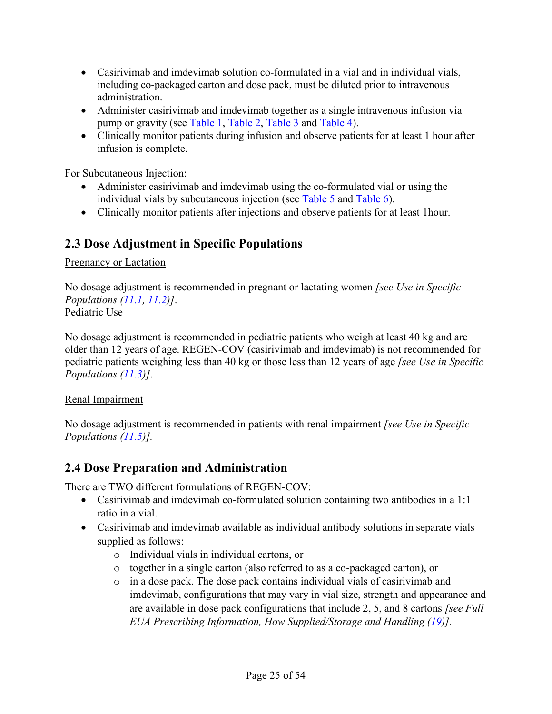- Casirivimab and imdevimab solution co-formulated in a vial and in individual vials, including co-packaged carton and dose pack, must be diluted prior to intravenous administration.
- Administer casirivimab and imdevimab together as a single intravenous infusion via pump or gravity (see [Table](#page-26-0) 1, [Table](#page-26-1) 2, [Table](#page-28-0) 3 and [Table](#page-28-1) 4).
- Clinically monitor patients during infusion and observe patients for at least 1 hour after infusion is complete.

For Subcutaneous Injection:

- Administer casirivimab and imdevimab using the co-formulated vial or using the individual vials by subcutaneous injection (see [Table](#page-29-0) 5 and [Table](#page-29-1) 6).
- Clinically monitor patients after injections and observe patients for at least 1 hour.

# <span id="page-24-1"></span>**2.3 Dose Adjustment in Specific Populations**

### Pregnancy or Lactation

No dosage adjustment is recommended in pregnant or lactating women *[see Use in Specific Populations [\(11.1,](#page-36-5) [11.2\)](#page-37-0)]*. Pediatric Use

No dosage adjustment is recommended in pediatric patients who weigh at least 40 kg and are older than 12 years of age. REGEN-COV (casirivimab and imdevimab) is not recommended for pediatric patients weighing less than 40 kg or those less than 12 years of age *[see Use in Specific Populations [\(11.3\)](#page-37-1)]*.

### Renal Impairment

No dosage adjustment is recommended in patients with renal impairment *[see Use in Specific Populations [\(11.5\)](#page-37-3)].*

# <span id="page-24-2"></span>**2.4 Dose Preparation and Administration**

There are TWO different formulations of REGEN-COV:

- <span id="page-24-0"></span>• Casirivimab and imdevimab co-formulated solution containing two antibodies in a 1:1 ratio in a vial.
- Casirivimab and imdevimab available as individual antibody solutions in separate vials supplied as follows:
	- o Individual vials in individual cartons, or
	- o together in a single carton (also referred to as a co-packaged carton), or
	- o in a dose pack. The dose pack contains individual vials of casirivimab and imdevimab, configurations that may vary in vial size, strength and appearance and are available in dose pack configurations that include 2, 5, and 8 cartons *[see Full EUA Prescribing Information, How Supplied/Storage and Handling [\(19\)](#page-50-1)].*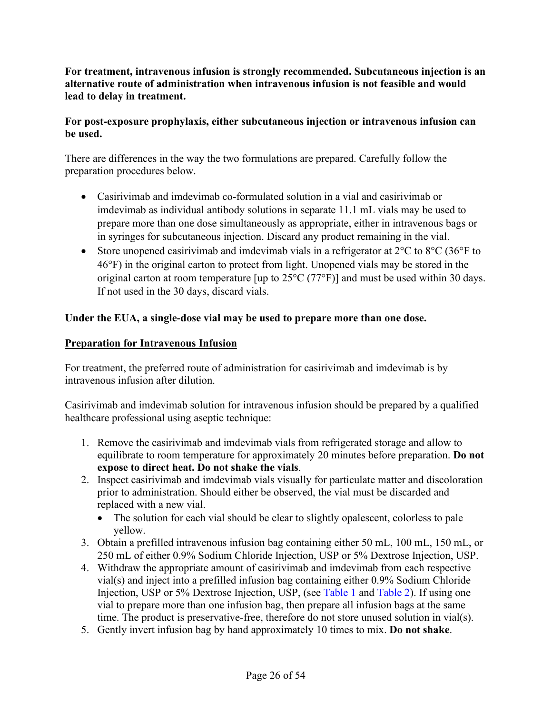### **For treatment, intravenous infusion is strongly recommended. Subcutaneous injection is an alternative route of administration when intravenous infusion is not feasible and would lead to delay in treatment.**

## **For post-exposure prophylaxis, either subcutaneous injection or intravenous infusion can be used.**

There are differences in the way the two formulations are prepared. Carefully follow the preparation procedures below.

- Casirivimab and imdevimab co-formulated solution in a vial and casirivimab or imdevimab as individual antibody solutions in separate 11.1 mL vials may be used to prepare more than one dose simultaneously as appropriate, either in intravenous bags or in syringes for subcutaneous injection. Discard any product remaining in the vial.
- Store unopened casirivimab and imdevimab vials in a refrigerator at  $2^{\circ}C$  to  $8^{\circ}C$  (36 $^{\circ}F$  to 46°F) in the original carton to protect from light. Unopened vials may be stored in the original carton at room temperature [up to  $25^{\circ}$ C (77°F)] and must be used within 30 days. If not used in the 30 days, discard vials.

# **Under the EUA, a single-dose vial may be used to prepare more than one dose.**

## **Preparation for Intravenous Infusion**

For treatment, the preferred route of administration for casirivimab and imdevimab is by intravenous infusion after dilution.

Casirivimab and imdevimab solution for intravenous infusion should be prepared by a qualified healthcare professional using aseptic technique:

- 1. Remove the casirivimab and imdevimab vials from refrigerated storage and allow to equilibrate to room temperature for approximately 20 minutes before preparation. **Do not expose to direct heat. Do not shake the vials**.
- 2. Inspect casirivimab and imdevimab vials visually for particulate matter and discoloration prior to administration. Should either be observed, the vial must be discarded and replaced with a new vial.
	- The solution for each vial should be clear to slightly opalescent, colorless to pale yellow.
- 3. Obtain a prefilled intravenous infusion bag containing either 50 mL, 100 mL, 150 mL, or 250 mL of either 0.9% Sodium Chloride Injection, USP or 5% Dextrose Injection, USP.
- 4. Withdraw the appropriate amount of casirivimab and imdevimab from each respective vial(s) and inject into a prefilled infusion bag containing either 0.9% Sodium Chloride Injection, USP or 5% Dextrose Injection, USP, (see [Table](#page-26-0) 1 and [Table](#page-26-1) 2). If using one vial to prepare more than one infusion bag, then prepare all infusion bags at the same time. The product is preservative-free, therefore do not store unused solution in vial(s).
- 5. Gently invert infusion bag by hand approximately 10 times to mix. **Do not shake**.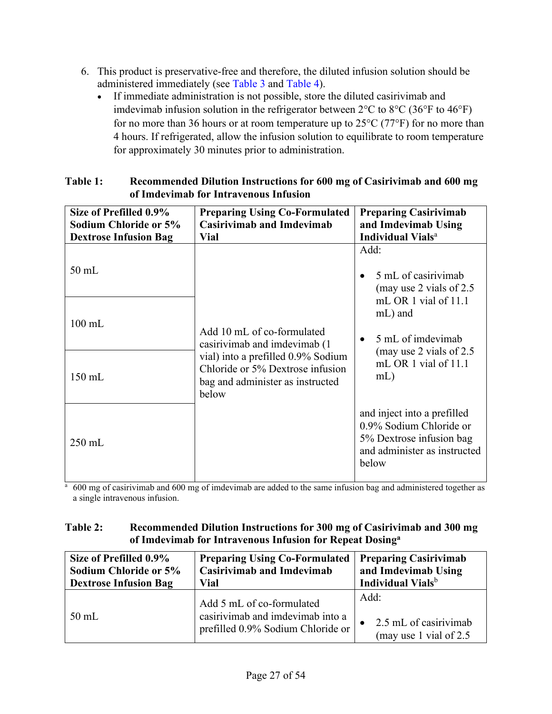- 6. This product is preservative-free and therefore, the diluted infusion solution should be administered immediately (see [Table](#page-28-0) 3 and [Table](#page-28-1) 4).
	- If immediate administration is not possible, store the diluted casirivimab and imdevimab infusion solution in the refrigerator between 2°C to 8°C (36°F to 46°F) for no more than 36 hours or at room temperature up to  $25^{\circ}$ C (77 $^{\circ}$ F) for no more than 4 hours. If refrigerated, allow the infusion solution to equilibrate to room temperature for approximately 30 minutes prior to administration.

| Size of Prefilled 0.9%<br>Sodium Chloride or 5%<br><b>Dextrose Infusion Bag</b> | <b>Preparing Using Co-Formulated</b><br><b>Casirivimab and Imdevimab</b><br><b>Vial</b>                             | <b>Preparing Casirivimab</b><br>and Imdevimab Using<br><b>Individual Vials</b> <sup>a</sup>                                 |
|---------------------------------------------------------------------------------|---------------------------------------------------------------------------------------------------------------------|-----------------------------------------------------------------------------------------------------------------------------|
| $50$ mL                                                                         |                                                                                                                     | Add:<br>5 mL of casirivimab<br>(may use 2 vials of $2.5$ )                                                                  |
| $100 \text{ mL}$                                                                | Add 10 mL of co-formulated<br>casirivimab and imdevimab (1)                                                         | mL OR 1 vial of 11.1<br>mL) and<br>5 mL of imdevimab                                                                        |
| $150$ mL                                                                        | vial) into a prefilled 0.9% Sodium<br>Chloride or 5% Dextrose infusion<br>bag and administer as instructed<br>below | (may use 2 vials of $2.5$ )<br>mL OR 1 vial of 11.1<br>$mL$ )                                                               |
| $250$ mL                                                                        |                                                                                                                     | and inject into a prefilled<br>0.9% Sodium Chloride or<br>5% Dextrose infusion bag<br>and administer as instructed<br>below |

## <span id="page-26-0"></span>**Table 1: Recommended Dilution Instructions for 600 mg of Casirivimab and 600 mg of Imdevimab for Intravenous Infusion**

<sup>a</sup> 600 mg of casirivimab and 600 mg of imdevimab are added to the same infusion bag and administered together as a single intravenous infusion.

### <span id="page-26-1"></span>**Table 2: Recommended Dilution Instructions for 300 mg of Casirivimab and 300 mg of Imdevimab for Intravenous Infusion for Repeat Dosinga**

| Size of Prefilled 0.9%       | <b>Preparing Using Co-Formulated</b>                                                               | <b>Preparing Casirivimab</b>                                |
|------------------------------|----------------------------------------------------------------------------------------------------|-------------------------------------------------------------|
| <b>Sodium Chloride or 5%</b> | <b>Casirivimab and Imdevimab</b>                                                                   | and Imdevimab Using                                         |
| <b>Dextrose Infusion Bag</b> | Vial                                                                                               | Individual Vials <sup>b</sup>                               |
| $50$ mL                      | Add 5 mL of co-formulated<br>casirivimab and imdevimab into a<br>prefilled 0.9% Sodium Chloride or | Add:<br>2.5 mL of casirivimab<br>(may use 1 vial of $2.5$ ) |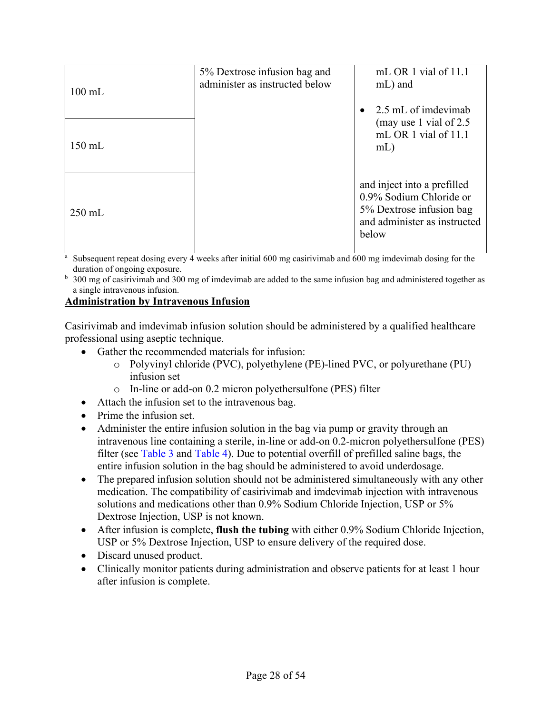| $100 \text{ mL}$ | 5% Dextrose infusion bag and<br>administer as instructed below | mL OR 1 vial of 11.1<br>mL) and                                                                                             |
|------------------|----------------------------------------------------------------|-----------------------------------------------------------------------------------------------------------------------------|
| $150$ mL         |                                                                | 2.5 mL of imdevimab<br>(may use 1 vial of 2.5)<br>mL OR 1 vial of 11.1<br>$mL$ )                                            |
| $250$ mL         |                                                                | and inject into a prefilled<br>0.9% Sodium Chloride or<br>5% Dextrose infusion bag<br>and administer as instructed<br>below |

Subsequent repeat dosing every 4 weeks after initial 600 mg casirivimab and 600 mg imdevimab dosing for the duration of ongoing exposure.

b 300 mg of casirivimab and 300 mg of imdevimab are added to the same infusion bag and administered together as a single intravenous infusion.

### **Administration by Intravenous Infusion**

Casirivimab and imdevimab infusion solution should be administered by a qualified healthcare professional using aseptic technique.

- Gather the recommended materials for infusion:
	- o Polyvinyl chloride (PVC), polyethylene (PE)-lined PVC, or polyurethane (PU) infusion set
	- o In-line or add-on 0.2 micron polyethersulfone (PES) filter
- Attach the infusion set to the intravenous bag.
- Prime the infusion set.
- Administer the entire infusion solution in the bag via pump or gravity through an intravenous line containing a sterile, in-line or add-on 0.2-micron polyethersulfone (PES) filter (see [Table](#page-28-0) 3 and [Table](#page-28-1) 4). Due to potential overfill of prefilled saline bags, the entire infusion solution in the bag should be administered to avoid underdosage.
- The prepared infusion solution should not be administered simultaneously with any other medication. The compatibility of casirivimab and imdevimab injection with intravenous solutions and medications other than 0.9% Sodium Chloride Injection, USP or 5% Dextrose Injection, USP is not known.
- After infusion is complete, **flush the tubing** with either 0.9% Sodium Chloride Injection, USP or 5% Dextrose Injection, USP to ensure delivery of the required dose.
- Discard unused product.
- Clinically monitor patients during administration and observe patients for at least 1 hour after infusion is complete.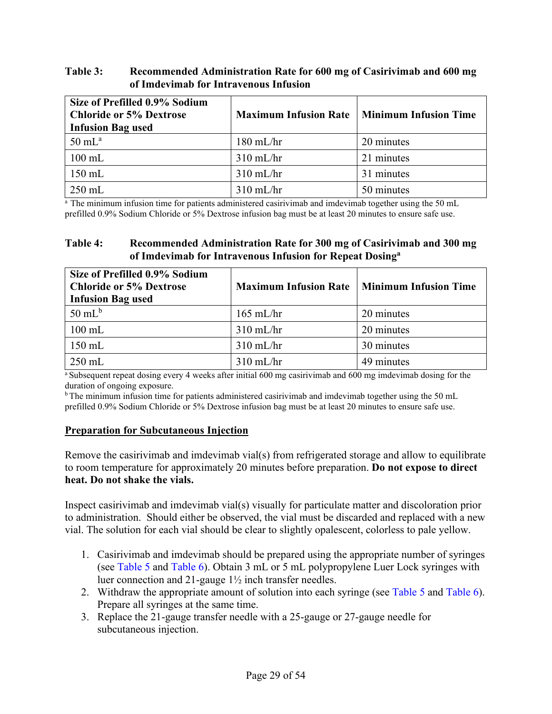### <span id="page-28-0"></span>**Table 3: Recommended Administration Rate for 600 mg of Casirivimab and 600 mg of Imdevimab for Intravenous Infusion**

| Size of Prefilled 0.9% Sodium<br><b>Chloride or 5% Dextrose</b><br><b>Infusion Bag used</b> | <b>Maximum Infusion Rate</b> | <b>Minimum Infusion Time</b> |
|---------------------------------------------------------------------------------------------|------------------------------|------------------------------|
| $50 \text{ mL}^{\text{a}}$                                                                  | $180$ mL/hr                  | 20 minutes                   |
| $100 \text{ mL}$                                                                            | $310$ mL/hr                  | 21 minutes                   |
| 150 mL                                                                                      | $310$ mL/hr                  | 31 minutes                   |
| $250$ mL                                                                                    | $310$ mL/hr                  | 50 minutes                   |

<sup>a</sup> The minimum infusion time for patients administered casirivimab and imdevimab together using the 50 mL prefilled 0.9% Sodium Chloride or 5% Dextrose infusion bag must be at least 20 minutes to ensure safe use.

### <span id="page-28-1"></span>**Table 4: Recommended Administration Rate for 300 mg of Casirivimab and 300 mg of Imdevimab for Intravenous Infusion for Repeat Dosinga**

| Size of Prefilled 0.9% Sodium<br><b>Chloride or 5% Dextrose</b><br><b>Infusion Bag used</b> | <b>Maximum Infusion Rate</b> | <b>Minimum Infusion Time</b> |
|---------------------------------------------------------------------------------------------|------------------------------|------------------------------|
| $50 \text{ mL}^{\text{b}}$                                                                  | $165$ mL/hr                  | 20 minutes                   |
| $100$ mL                                                                                    | $310$ mL/hr                  | 20 minutes                   |
| $150$ mL                                                                                    | $310$ mL/hr                  | 30 minutes                   |
| $250$ mL                                                                                    | $310$ mL/hr                  | 49 minutes                   |

a Subsequent repeat dosing every 4 weeks after initial 600 mg casirivimab and 600 mg imdevimab dosing for the duration of ongoing exposure.

<sup>b</sup> The minimum infusion time for patients administered casirivimab and imdevimab together using the 50 mL prefilled 0.9% Sodium Chloride or 5% Dextrose infusion bag must be at least 20 minutes to ensure safe use.

#### **Preparation for Subcutaneous Injection**

Remove the casirivimab and imdevimab vial(s) from refrigerated storage and allow to equilibrate to room temperature for approximately 20 minutes before preparation. **Do not expose to direct heat. Do not shake the vials.**

Inspect casirivimab and imdevimab vial(s) visually for particulate matter and discoloration prior to administration. Should either be observed, the vial must be discarded and replaced with a new vial. The solution for each vial should be clear to slightly opalescent, colorless to pale yellow.

- 1. Casirivimab and imdevimab should be prepared using the appropriate number of syringes (see [Table](#page-29-0) 5 and [Table](#page-29-1) 6). Obtain 3 mL or 5 mL polypropylene Luer Lock syringes with luer connection and 21-gauge 1½ inch transfer needles.
- 2. Withdraw the appropriate amount of solution into each syringe (see [Table](#page-29-0) 5 and [Table](#page-29-1) 6). Prepare all syringes at the same time.
- 3. Replace the 21-gauge transfer needle with a 25-gauge or 27-gauge needle for subcutaneous injection.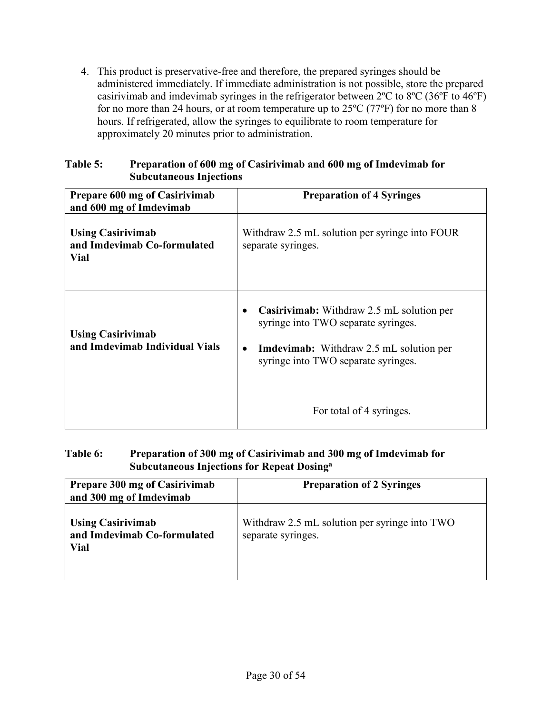4. This product is preservative-free and therefore, the prepared syringes should be administered immediately. If immediate administration is not possible, store the prepared casirivimab and imdevimab syringes in the refrigerator between 2ºC to 8ºC (36ºF to 46ºF) for no more than 24 hours, or at room temperature up to  $25^{\circ}C$  (77 $^{\circ}F$ ) for no more than 8 hours. If refrigerated, allow the syringes to equilibrate to room temperature for approximately 20 minutes prior to administration.

<span id="page-29-0"></span>

| Table 5: | Preparation of 600 mg of Casirivimab and 600 mg of Imdevimab for |
|----------|------------------------------------------------------------------|
|          | <b>Subcutaneous Injections</b>                                   |

| Prepare 600 mg of Casirivimab<br>and 600 mg of Imdevimab               | <b>Preparation of 4 Syringes</b>                                                                                                                                                                                   |
|------------------------------------------------------------------------|--------------------------------------------------------------------------------------------------------------------------------------------------------------------------------------------------------------------|
| <b>Using Casirivimab</b><br>and Imdevimab Co-formulated<br><b>Vial</b> | Withdraw 2.5 mL solution per syringe into FOUR<br>separate syringes.                                                                                                                                               |
| <b>Using Casirivimab</b><br>and Imdevimab Individual Vials             | Casirivimab: Withdraw 2.5 mL solution per<br>syringe into TWO separate syringes.<br><b>Imdevimab:</b> Withdraw 2.5 mL solution per<br>$\bullet$<br>syringe into TWO separate syringes.<br>For total of 4 syringes. |

## <span id="page-29-1"></span>**Table 6: Preparation of 300 mg of Casirivimab and 300 mg of Imdevimab for Subcutaneous Injections for Repeat Dosinga**

| Prepare 300 mg of Casirivimab<br>and 300 mg of Imdevimab        | <b>Preparation of 2 Syringes</b>                                    |
|-----------------------------------------------------------------|---------------------------------------------------------------------|
| <b>Using Casirivimab</b><br>and Imdevimab Co-formulated<br>Vial | Withdraw 2.5 mL solution per syringe into TWO<br>separate syringes. |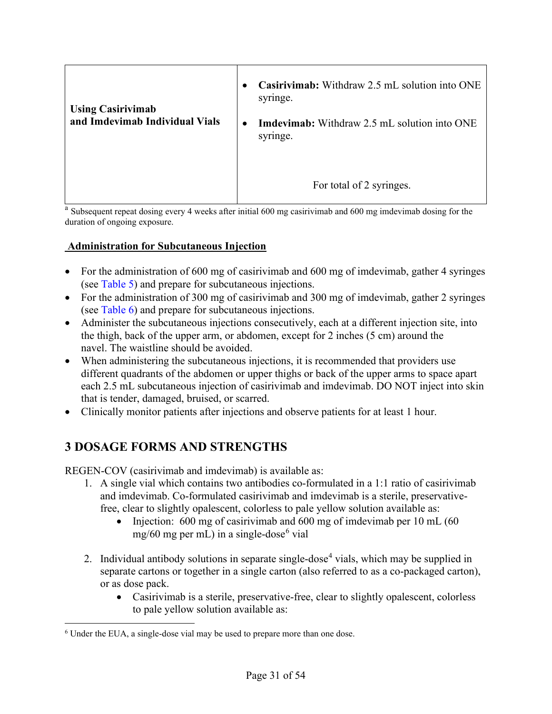| <b>Using Casirivimab</b><br>and Imdevimab Individual Vials | Casirivimab: Withdraw 2.5 mL solution into ONE<br>$\bullet$<br>syringe.<br><b>Imdevimab:</b> Withdraw 2.5 mL solution into ONE<br>$\bullet$<br>syringe. |  |
|------------------------------------------------------------|---------------------------------------------------------------------------------------------------------------------------------------------------------|--|
|                                                            | For total of 2 syringes.                                                                                                                                |  |

<sup>a</sup> Subsequent repeat dosing every 4 weeks after initial 600 mg casirivimab and 600 mg imdevimab dosing for the duration of ongoing exposure.

## **Administration for Subcutaneous Injection**

- For the administration of 600 mg of casirivimab and 600 mg of imdevimab, gather 4 syringes (see [Table](#page-29-0) 5) and prepare for subcutaneous injections.
- For the administration of 300 mg of casirivimab and 300 mg of imdevimab, gather 2 syringes (see [Table](#page-29-1) 6) and prepare for subcutaneous injections.
- Administer the subcutaneous injections consecutively, each at a different injection site, into the thigh, back of the upper arm, or abdomen, except for 2 inches (5 cm) around the navel. The waistline should be avoided.
- When administering the subcutaneous injections, it is recommended that providers use different quadrants of the abdomen or upper thighs or back of the upper arms to space apart each 2.5 mL subcutaneous injection of casirivimab and imdevimab. DO NOT inject into skin that is tender, damaged, bruised, or scarred.
- <span id="page-30-1"></span>• Clinically monitor patients after injections and observe patients for at least 1 hour.

# **3 DOSAGE FORMS AND STRENGTHS**

<span id="page-30-0"></span>REGEN-COV (casirivimab and imdevimab) is available as:

- 1. A single vial which contains two antibodies co-formulated in a 1:1 ratio of casirivimab and imdevimab. Co-formulated casirivimab and imdevimab is a sterile, preservativefree, clear to slightly opalescent, colorless to pale yellow solution available as:
	- Injection: 600 mg of casirivimab and 600 mg of imdevimab per 10 mL (60)  $mg/60$  $mg/60$  $mg/60$  mg per mL) in a single-dose<sup>6</sup> vial
- 2. Individual antibody solutions in separate single-dose<sup>[4](#page-30-3)</sup> vials, which may be supplied in separate cartons or together in a single carton (also referred to as a co-packaged carton), or as dose pack.
	- Casirivimab is a sterile, preservative-free, clear to slightly opalescent, colorless to pale yellow solution available as:

<span id="page-30-3"></span><span id="page-30-2"></span><sup>6</sup> Under the EUA, a single-dose vial may be used to prepare more than one dose.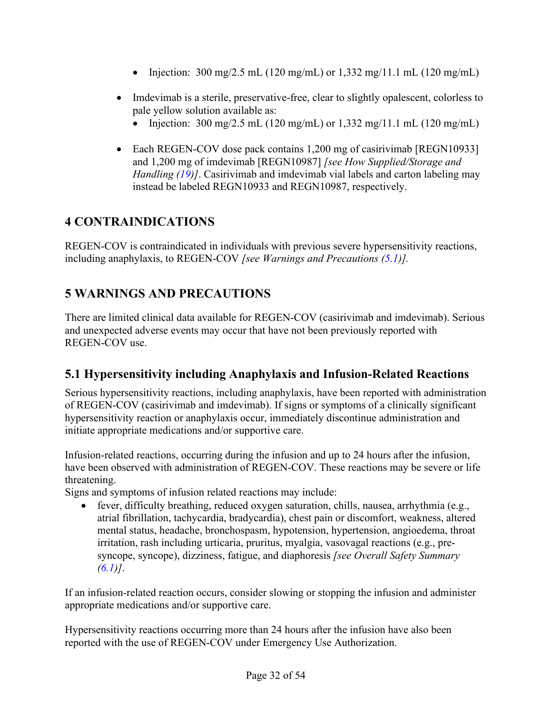- Injection:  $300 \text{ mg}/2.5 \text{ mL}$  (120 mg/mL) or 1,332 mg/11.1 mL (120 mg/mL)
- Imdevimab is a sterile, preservative-free, clear to slightly opalescent, colorless to pale yellow solution available as:
	- Injection:  $300 \text{ mg}/2.5 \text{ mL} (120 \text{ mg/mL})$  or  $1,332 \text{ mg}/11.1 \text{ mL} (120 \text{ mg/mL})$
- Each REGEN-COV dose pack contains 1,200 mg of casirivimab [REGN10933] and 1,200 mg of imdevimab [REGN10987] *[see How Supplied/Storage and Handling [\(19\)](#page-50-1)]*. Casirivimab and imdevimab vial labels and carton labeling may instead be labeled REGN10933 and REGN10987, respectively.

# <span id="page-31-1"></span>**4 CONTRAINDICATIONS**

REGEN-COV is contraindicated in individuals with previous severe hypersensitivity reactions, including anaphylaxis, to REGEN-COV *[see Warnings and Precautions [\(5.1\)](#page-31-3)].*

# <span id="page-31-2"></span>**5 WARNINGS AND PRECAUTIONS**

There are limited clinical data available for REGEN-COV (casirivimab and imdevimab). Serious and unexpected adverse events may occur that have not been previously reported with REGEN-COV use.

# <span id="page-31-3"></span>**5.1 Hypersensitivity including Anaphylaxis and Infusion-Related Reactions**

<span id="page-31-0"></span>Serious hypersensitivity reactions, including anaphylaxis, have been reported with administration of REGEN-COV (casirivimab and imdevimab). If signs or symptoms of a clinically significant hypersensitivity reaction or anaphylaxis occur, immediately discontinue administration and initiate appropriate medications and/or supportive care.

Infusion-related reactions, occurring during the infusion and up to 24 hours after the infusion, have been observed with administration of REGEN-COV. These reactions may be severe or life threatening.

Signs and symptoms of infusion related reactions may include:

• fever, difficulty breathing, reduced oxygen saturation, chills, nausea, arrhythmia (e.g., atrial fibrillation, tachycardia, bradycardia), chest pain or discomfort, weakness, altered mental status, headache, bronchospasm, hypotension, hypertension, angioedema, throat irritation, rash including urticaria, pruritus, myalgia, vasovagal reactions (e.g., presyncope, syncope), dizziness, fatigue, and diaphoresis *[see Overall Safety Summary [\(6.1\)](#page-32-6)]*.

If an infusion-related reaction occurs, consider slowing or stopping the infusion and administer appropriate medications and/or supportive care.

Hypersensitivity reactions occurring more than 24 hours after the infusion have also been reported with the use of REGEN-COV under Emergency Use Authorization.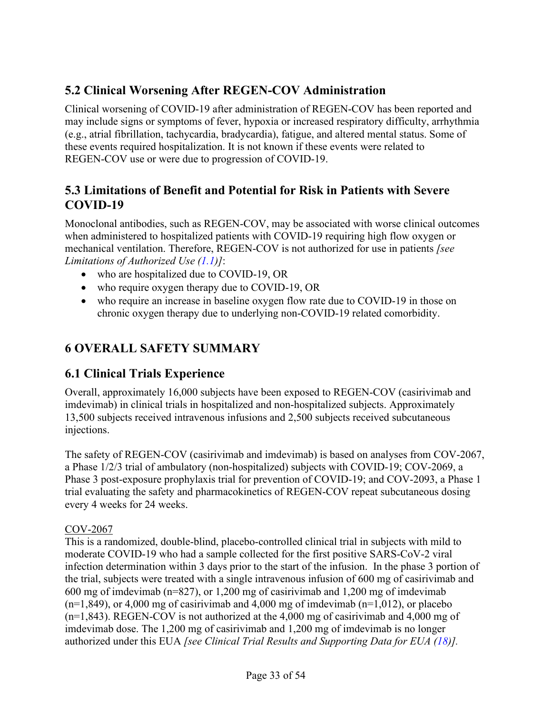# <span id="page-32-3"></span>**5.2 Clinical Worsening After REGEN-COV Administration**

<span id="page-32-1"></span>Clinical worsening of COVID-19 after administration of REGEN-COV has been reported and may include signs or symptoms of fever, hypoxia or increased respiratory difficulty, arrhythmia (e.g., atrial fibrillation, tachycardia, bradycardia), fatigue, and altered mental status. Some of these events required hospitalization. It is not known if these events were related to REGEN-COV use or were due to progression of COVID-19.

# <span id="page-32-4"></span>**5.3 Limitations of Benefit and Potential for Risk in Patients with Severe COVID-19**

Monoclonal antibodies, such as REGEN-COV, may be associated with worse clinical outcomes when administered to hospitalized patients with COVID-19 requiring high flow oxygen or mechanical ventilation. Therefore, REGEN-COV is not authorized for use in patients *[see Limitations of Authorized Use [\(1.1\)](#page-20-2)]*:

- who are hospitalized due to COVID-19, OR
- who require oxygen therapy due to COVID-19, OR
- who require an increase in baseline oxygen flow rate due to COVID-19 in those on chronic oxygen therapy due to underlying non-COVID-19 related comorbidity.

# <span id="page-32-5"></span>**6 OVERALL SAFETY SUMMARY**

# <span id="page-32-6"></span>**6.1 Clinical Trials Experience**

<span id="page-32-0"></span>Overall, approximately 16,000 subjects have been exposed to REGEN-COV (casirivimab and imdevimab) in clinical trials in hospitalized and non-hospitalized subjects. Approximately 13,500 subjects received intravenous infusions and 2,500 subjects received subcutaneous injections.

<span id="page-32-7"></span><span id="page-32-2"></span>The safety of REGEN-COV (casirivimab and imdevimab) is based on analyses from COV-2067, a Phase 1/2/3 trial of ambulatory (non-hospitalized) subjects with COVID-19; COV-2069, a Phase 3 post-exposure prophylaxis trial for prevention of COVID-19; and COV-2093, a Phase 1 trial evaluating the safety and pharmacokinetics of REGEN-COV repeat subcutaneous dosing every 4 weeks for 24 weeks.

# COV-2067

This is a randomized, double-blind, placebo-controlled clinical trial in subjects with mild to moderate COVID-19 who had a sample collected for the first positive SARS-CoV-2 viral infection determination within 3 days prior to the start of the infusion. In the phase 3 portion of the trial, subjects were treated with a single intravenous infusion of 600 mg of casirivimab and 600 mg of imdevimab (n=827), or 1,200 mg of casirivimab and 1,200 mg of imdevimab  $(n=1,849)$ , or 4,000 mg of casirivimab and 4,000 mg of imdevimab  $(n=1,012)$ , or placebo (n=1,843). REGEN-COV is not authorized at the 4,000 mg of casirivimab and 4,000 mg of imdevimab dose. The 1,200 mg of casirivimab and 1,200 mg of imdevimab is no longer authorized under this EUA *[see Clinical Trial Results and Supporting Data for EUA [\(18\)](#page-45-5)].*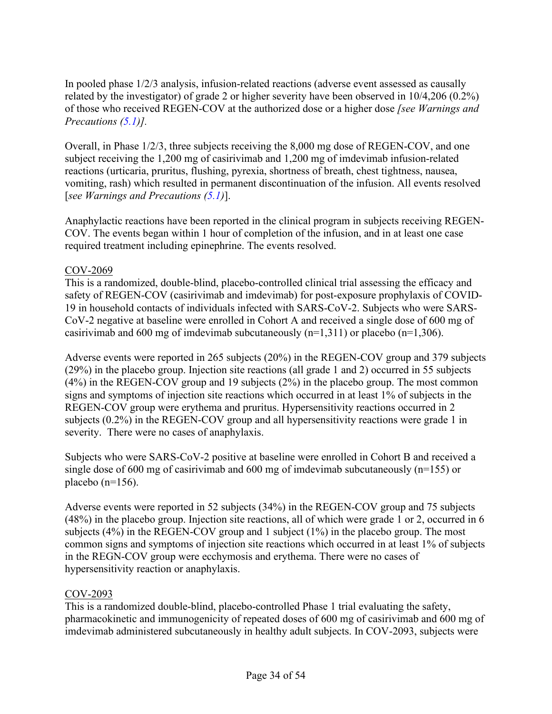In pooled phase 1/2/3 analysis, infusion-related reactions (adverse event assessed as causally related by the investigator) of grade 2 or higher severity have been observed in 10/4,206 (0.2%) of those who received REGEN-COV at the authorized dose or a higher dose *[see Warnings and Precautions [\(5.1\)](#page-31-3)].*

Overall, in Phase 1/2/3, three subjects receiving the 8,000 mg dose of REGEN-COV, and one subject receiving the 1,200 mg of casirivimab and 1,200 mg of imdevimab infusion-related reactions (urticaria, pruritus, flushing, pyrexia, shortness of breath, chest tightness, nausea, vomiting, rash) which resulted in permanent discontinuation of the infusion. All events resolved [*see Warnings and Precautions [\(5.1\)](#page-31-3)*].

Anaphylactic reactions have been reported in the clinical program in subjects receiving REGEN-COV. The events began within 1 hour of completion of the infusion, and in at least one case required treatment including epinephrine. The events resolved.

## COV-2069

This is a randomized, double-blind, placebo-controlled clinical trial assessing the efficacy and safety of REGEN-COV (casirivimab and imdevimab) for post-exposure prophylaxis of COVID-19 in household contacts of individuals infected with SARS-CoV-2. Subjects who were SARS-CoV-2 negative at baseline were enrolled in Cohort A and received a single dose of 600 mg of casirivimab and 600 mg of imdevimab subcutaneously  $(n=1,311)$  or placebo  $(n=1,306)$ .

Adverse events were reported in 265 subjects (20%) in the REGEN-COV group and 379 subjects (29%) in the placebo group. Injection site reactions (all grade 1 and 2) occurred in 55 subjects (4%) in the REGEN-COV group and 19 subjects (2%) in the placebo group. The most common signs and symptoms of injection site reactions which occurred in at least 1% of subjects in the REGEN-COV group were erythema and pruritus. Hypersensitivity reactions occurred in 2 subjects (0.2%) in the REGEN-COV group and all hypersensitivity reactions were grade 1 in severity. There were no cases of anaphylaxis.

Subjects who were SARS-CoV-2 positive at baseline were enrolled in Cohort B and received a single dose of 600 mg of casirivimab and 600 mg of imdevimab subcutaneously (n=155) or placebo  $(n=156)$ .

Adverse events were reported in 52 subjects (34%) in the REGEN-COV group and 75 subjects (48%) in the placebo group. Injection site reactions, all of which were grade 1 or 2, occurred in 6 subjects (4%) in the REGEN-COV group and 1 subject (1%) in the placebo group. The most common signs and symptoms of injection site reactions which occurred in at least 1% of subjects in the REGN-COV group were ecchymosis and erythema. There were no cases of hypersensitivity reaction or anaphylaxis.

### COV-2093

This is a randomized double-blind, placebo-controlled Phase 1 trial evaluating the safety, pharmacokinetic and immunogenicity of repeated doses of 600 mg of casirivimab and 600 mg of imdevimab administered subcutaneously in healthy adult subjects. In COV-2093, subjects were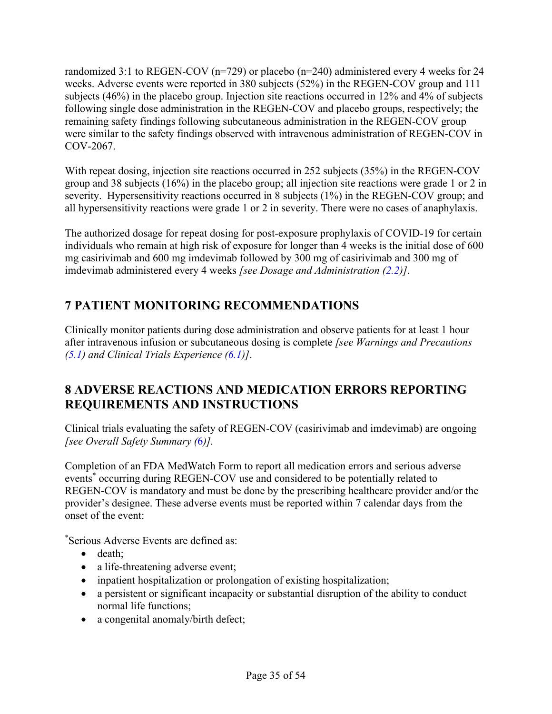randomized 3:1 to REGEN-COV ( $n=729$ ) or placebo ( $n=240$ ) administered every 4 weeks for 24 weeks. Adverse events were reported in 380 subjects (52%) in the REGEN-COV group and 111 subjects (46%) in the placebo group. Injection site reactions occurred in 12% and 4% of subjects following single dose administration in the REGEN-COV and placebo groups, respectively; the remaining safety findings following subcutaneous administration in the REGEN-COV group were similar to the safety findings observed with intravenous administration of REGEN-COV in COV-2067.

With repeat dosing, injection site reactions occurred in 252 subjects (35%) in the REGEN-COV group and 38 subjects (16%) in the placebo group; all injection site reactions were grade 1 or 2 in severity. Hypersensitivity reactions occurred in 8 subjects (1%) in the REGEN-COV group; and all hypersensitivity reactions were grade 1 or 2 in severity. There were no cases of anaphylaxis.

The authorized dosage for repeat dosing for post-exposure prophylaxis of COVID-19 for certain individuals who remain at high risk of exposure for longer than 4 weeks is the initial dose of 600 mg casirivimab and 600 mg imdevimab followed by 300 mg of casirivimab and 300 mg of imdevimab administered every 4 weeks *[see Dosage and Administration [\(2.2\)](#page-23-1)]*.

# <span id="page-34-1"></span>**7 PATIENT MONITORING RECOMMENDATIONS**

Clinically monitor patients during dose administration and observe patients for at least 1 hour after intravenous infusion or subcutaneous dosing is complete *[see Warnings and Precautions [\(5.1\)](#page-31-3) and Clinical Trials Experience [\(6.1\)](#page-32-7)]*.

# <span id="page-34-2"></span>**8 ADVERSE REACTIONS AND MEDICATION ERRORS REPORTING REQUIREMENTS AND INSTRUCTIONS**

<span id="page-34-0"></span>Clinical trials evaluating the safety of REGEN-COV (casirivimab and imdevimab) are ongoing *[see Overall Safety Summary (*[6](#page-32-5)*)].*

Completion of an FDA MedWatch Form to report all medication errors and serious adverse events<sup>\*</sup> occurring during REGEN-COV use and considered to be potentially related to REGEN-COV is mandatory and must be done by the prescribing healthcare provider and/or the provider's designee. These adverse events must be reported within 7 calendar days from the onset of the event:

\* Serious Adverse Events are defined as:

- death:
- a life-threatening adverse event;
- inpatient hospitalization or prolongation of existing hospitalization;
- a persistent or significant incapacity or substantial disruption of the ability to conduct normal life functions;
- a congenital anomaly/birth defect;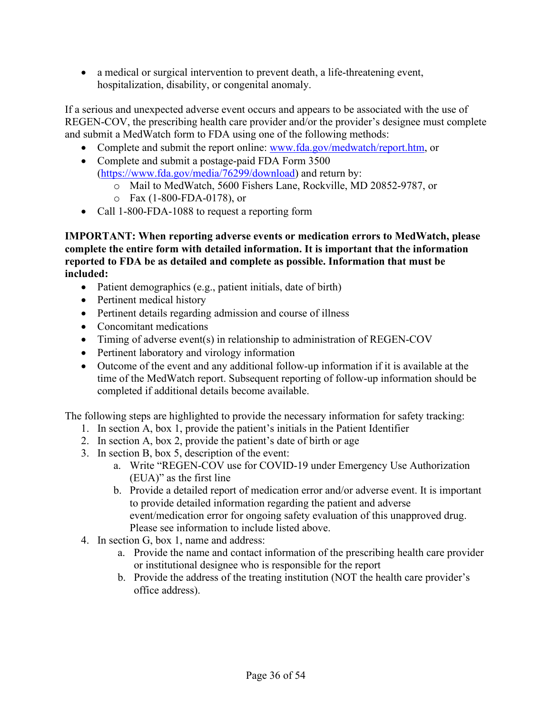• a medical or surgical intervention to prevent death, a life-threatening event, hospitalization, disability, or congenital anomaly.

If a serious and unexpected adverse event occurs and appears to be associated with the use of REGEN-COV, the prescribing health care provider and/or the provider's designee must complete and submit a MedWatch form to FDA using one of the following methods:

- Complete and submit the report online: [www.fda.gov/medwatch/report.htm,](http://www.fda.gov/medwatch/report.htm) or
- Complete and submit a postage-paid FDA Form 3500 [\(https://www.fda.gov/media/76299/download\)](https://www.fda.gov/media/76299/download) and return by:
	- o Mail to MedWatch, 5600 Fishers Lane, Rockville, MD 20852-9787, or
	- o Fax (1-800-FDA-0178), or
- Call 1-800-FDA-1088 to request a reporting form

**IMPORTANT: When reporting adverse events or medication errors to MedWatch, please complete the entire form with detailed information. It is important that the information reported to FDA be as detailed and complete as possible. Information that must be included:**

- Patient demographics (e.g., patient initials, date of birth)
- Pertinent medical history
- Pertinent details regarding admission and course of illness
- Concomitant medications
- Timing of adverse event(s) in relationship to administration of REGEN-COV
- Pertinent laboratory and virology information
- Outcome of the event and any additional follow-up information if it is available at the time of the MedWatch report. Subsequent reporting of follow-up information should be completed if additional details become available.

The following steps are highlighted to provide the necessary information for safety tracking:

- 1. In section A, box 1, provide the patient's initials in the Patient Identifier
- 2. In section A, box 2, provide the patient's date of birth or age
- 3. In section B, box 5, description of the event:
	- a. Write "REGEN-COV use for COVID-19 under Emergency Use Authorization (EUA)" as the first line
	- b. Provide a detailed report of medication error and/or adverse event. It is important to provide detailed information regarding the patient and adverse event/medication error for ongoing safety evaluation of this unapproved drug. Please see information to include listed above.
- 4. In section G, box 1, name and address:
	- a. Provide the name and contact information of the prescribing health care provider or institutional designee who is responsible for the report
	- b. Provide the address of the treating institution (NOT the health care provider's office address).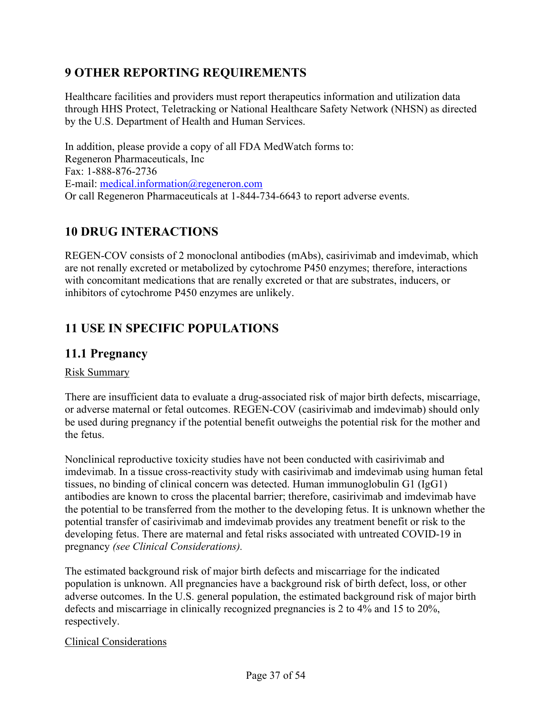# <span id="page-36-2"></span>**9 OTHER REPORTING REQUIREMENTS**

<span id="page-36-0"></span>Healthcare facilities and providers must report therapeutics information and utilization data through HHS Protect, Teletracking or National Healthcare Safety Network (NHSN) as directed by the U.S. Department of Health and Human Services.

In addition, please provide a copy of all FDA MedWatch forms to: Regeneron Pharmaceuticals, Inc Fax: 1-888-876-2736 E-mail: [medical.information@regeneron.com](mailto:medical.information@regeneron.com) Or call Regeneron Pharmaceuticals at 1-844-734-6643 to report adverse events.

# <span id="page-36-3"></span>**10 DRUG INTERACTIONS**

REGEN-COV consists of 2 monoclonal antibodies (mAbs), casirivimab and imdevimab, which are not renally excreted or metabolized by cytochrome P450 enzymes; therefore, interactions with concomitant medications that are renally excreted or that are substrates, inducers, or inhibitors of cytochrome P450 enzymes are unlikely.

# <span id="page-36-4"></span>**11 USE IN SPECIFIC POPULATIONS**

# <span id="page-36-5"></span><span id="page-36-1"></span>**11.1 Pregnancy**

### Risk Summary

There are insufficient data to evaluate a drug-associated risk of major birth defects, miscarriage, or adverse maternal or fetal outcomes. REGEN-COV (casirivimab and imdevimab) should only be used during pregnancy if the potential benefit outweighs the potential risk for the mother and the fetus.

Nonclinical reproductive toxicity studies have not been conducted with casirivimab and imdevimab. In a tissue cross-reactivity study with casirivimab and imdevimab using human fetal tissues, no binding of clinical concern was detected. Human immunoglobulin G1 (IgG1) antibodies are known to cross the placental barrier; therefore, casirivimab and imdevimab have the potential to be transferred from the mother to the developing fetus. It is unknown whether the potential transfer of casirivimab and imdevimab provides any treatment benefit or risk to the developing fetus. There are maternal and fetal risks associated with untreated COVID-19 in pregnancy *(see Clinical Considerations).*

The estimated background risk of major birth defects and miscarriage for the indicated population is unknown. All pregnancies have a background risk of birth defect, loss, or other adverse outcomes. In the U.S. general population, the estimated background risk of major birth defects and miscarriage in clinically recognized pregnancies is 2 to 4% and 15 to 20%, respectively.

### Clinical Considerations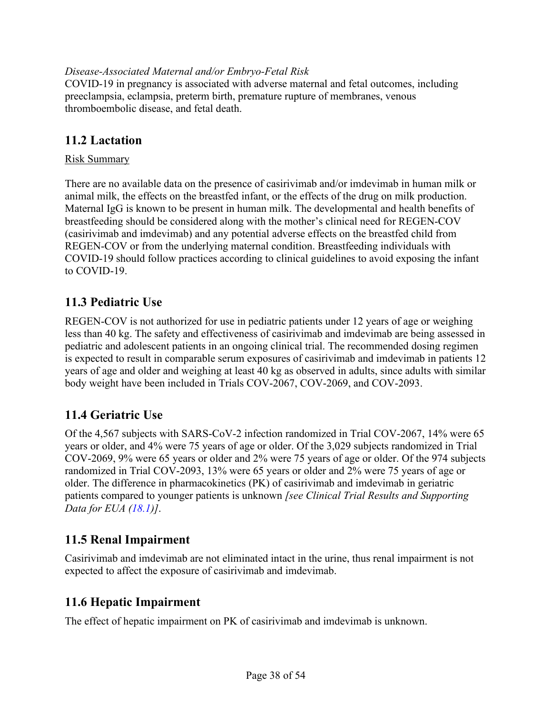## *Disease-Associated Maternal and/or Embryo-Fetal Risk*

COVID-19 in pregnancy is associated with adverse maternal and fetal outcomes, including preeclampsia, eclampsia, preterm birth, premature rupture of membranes, venous thromboembolic disease, and fetal death.

# <span id="page-37-0"></span>**11.2 Lactation**

### Risk Summary

There are no available data on the presence of casirivimab and/or imdevimab in human milk or animal milk, the effects on the breastfed infant, or the effects of the drug on milk production. Maternal IgG is known to be present in human milk. The developmental and health benefits of breastfeeding should be considered along with the mother's clinical need for REGEN-COV (casirivimab and imdevimab) and any potential adverse effects on the breastfed child from REGEN-COV or from the underlying maternal condition. Breastfeeding individuals with COVID-19 should follow practices according to clinical guidelines to avoid exposing the infant to COVID-19.

# <span id="page-37-1"></span>**11.3 Pediatric Use**

REGEN-COV is not authorized for use in pediatric patients under 12 years of age or weighing less than 40 kg. The safety and effectiveness of casirivimab and imdevimab are being assessed in pediatric and adolescent patients in an ongoing clinical trial. The recommended dosing regimen is expected to result in comparable serum exposures of casirivimab and imdevimab in patients 12 years of age and older and weighing at least 40 kg as observed in adults, since adults with similar body weight have been included in Trials COV-2067, COV-2069, and COV-2093.

# <span id="page-37-2"></span>**11.4 Geriatric Use**

Of the 4,567 subjects with SARS-CoV-2 infection randomized in Trial COV-2067, 14% were 65 years or older, and 4% were 75 years of age or older. Of the 3,029 subjects randomized in Trial COV-2069, 9% were 65 years or older and 2% were 75 years of age or older. Of the 974 subjects randomized in Trial COV-2093, 13% were 65 years or older and 2% were 75 years of age or older. The difference in pharmacokinetics (PK) of casirivimab and imdevimab in geriatric patients compared to younger patients is unknown *[see Clinical Trial Results and Supporting Data for EUA [\(18.1\)](#page-45-4)]*.

# <span id="page-37-3"></span>**11.5 Renal Impairment**

Casirivimab and imdevimab are not eliminated intact in the urine, thus renal impairment is not expected to affect the exposure of casirivimab and imdevimab.

# <span id="page-37-4"></span>**11.6 Hepatic Impairment**

The effect of hepatic impairment on PK of casirivimab and imdevimab is unknown.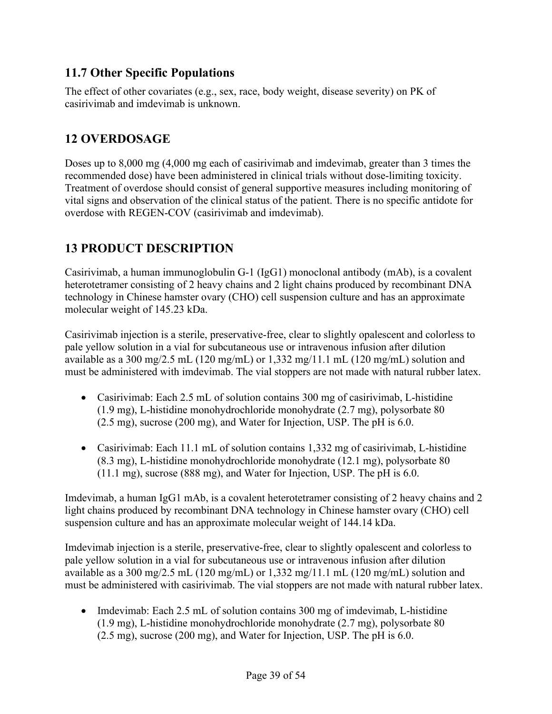# <span id="page-38-0"></span>**11.7 Other Specific Populations**

The effect of other covariates (e.g., sex, race, body weight, disease severity) on PK of casirivimab and imdevimab is unknown.

# <span id="page-38-1"></span>**12 OVERDOSAGE**

Doses up to 8,000 mg (4,000 mg each of casirivimab and imdevimab, greater than 3 times the recommended dose) have been administered in clinical trials without dose-limiting toxicity. Treatment of overdose should consist of general supportive measures including monitoring of vital signs and observation of the clinical status of the patient. There is no specific antidote for overdose with REGEN-COV (casirivimab and imdevimab).

# <span id="page-38-2"></span>**13 PRODUCT DESCRIPTION**

Casirivimab, a human immunoglobulin G-1 (IgG1) monoclonal antibody (mAb), is a covalent heterotetramer consisting of 2 heavy chains and 2 light chains produced by recombinant DNA technology in Chinese hamster ovary (CHO) cell suspension culture and has an approximate molecular weight of 145.23 kDa.

Casirivimab injection is a sterile, preservative-free, clear to slightly opalescent and colorless to pale yellow solution in a vial for subcutaneous use or intravenous infusion after dilution available as a 300 mg/2.5 mL (120 mg/mL) or 1,332 mg/11.1 mL (120 mg/mL) solution and must be administered with imdevimab. The vial stoppers are not made with natural rubber latex.

- Casirivimab: Each 2.5 mL of solution contains 300 mg of casirivimab, L-histidine (1.9 mg), L-histidine monohydrochloride monohydrate (2.7 mg), polysorbate 80 (2.5 mg), sucrose (200 mg), and Water for Injection, USP. The pH is 6.0.
- Casirivimab: Each 11.1 mL of solution contains 1,332 mg of casirivimab, L-histidine (8.3 mg), L-histidine monohydrochloride monohydrate (12.1 mg), polysorbate 80 (11.1 mg), sucrose (888 mg), and Water for Injection, USP. The pH is 6.0.

Imdevimab, a human IgG1 mAb, is a covalent heterotetramer consisting of 2 heavy chains and 2 light chains produced by recombinant DNA technology in Chinese hamster ovary (CHO) cell suspension culture and has an approximate molecular weight of 144.14 kDa.

Imdevimab injection is a sterile, preservative-free, clear to slightly opalescent and colorless to pale yellow solution in a vial for subcutaneous use or intravenous infusion after dilution available as a 300 mg/2.5 mL (120 mg/mL) or 1,332 mg/11.1 mL (120 mg/mL) solution and must be administered with casirivimab. The vial stoppers are not made with natural rubber latex.

• Imdevimab: Each 2.5 mL of solution contains 300 mg of imdevimab, L-histidine (1.9 mg), L-histidine monohydrochloride monohydrate (2.7 mg), polysorbate 80 (2.5 mg), sucrose (200 mg), and Water for Injection, USP. The pH is 6.0.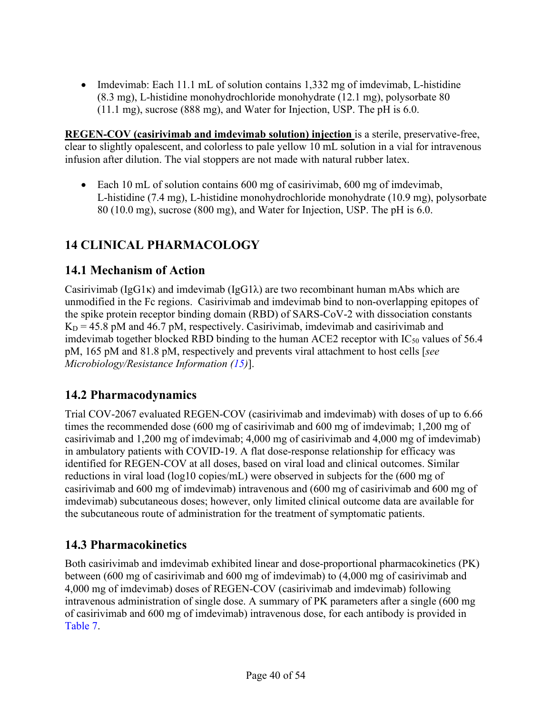• Imdevimab: Each 11.1 mL of solution contains 1,332 mg of imdevimab, L-histidine (8.3 mg), L-histidine monohydrochloride monohydrate (12.1 mg), polysorbate 80 (11.1 mg), sucrose (888 mg), and Water for Injection, USP. The pH is 6.0.

**REGEN-COV (casirivimab and imdevimab solution) injection** is a sterile, preservative-free, clear to slightly opalescent, and colorless to pale yellow 10 mL solution in a vial for intravenous infusion after dilution. The vial stoppers are not made with natural rubber latex.

• Each 10 mL of solution contains 600 mg of casirivimab, 600 mg of imdevimab, L-histidine (7.4 mg), L-histidine monohydrochloride monohydrate (10.9 mg), polysorbate 80 (10.0 mg), sucrose (800 mg), and Water for Injection, USP. The pH is 6.0.

# <span id="page-39-3"></span>**14 CLINICAL PHARMACOLOGY**

# <span id="page-39-4"></span>**14.1 Mechanism of Action**

Casirivimab ( $I_{\text{g}}G1\kappa$ ) and imdevimab ( $I_{\text{g}}G1\lambda$ ) are two recombinant human mAbs which are unmodified in the Fc regions. Casirivimab and imdevimab bind to non-overlapping epitopes of the spike protein receptor binding domain (RBD) of SARS-CoV-2 with dissociation constants  $K_D = 45.8$  pM and 46.7 pM, respectively. Casirivimab, imdevimab and casirivimab and imdevimab together blocked RBD binding to the human ACE2 receptor with  $IC_{50}$  values of 56.4 pM, 165 pM and 81.8 pM, respectively and prevents viral attachment to host cells [*see Microbiology/Resistance Information [\(15\)](#page-41-0)*].

# <span id="page-39-5"></span>**14.2 Pharmacodynamics**

<span id="page-39-1"></span>Trial COV-2067 evaluated REGEN-COV (casirivimab and imdevimab) with doses of up to 6.66 times the recommended dose (600 mg of casirivimab and 600 mg of imdevimab; 1,200 mg of casirivimab and 1,200 mg of imdevimab; 4,000 mg of casirivimab and 4,000 mg of imdevimab) in ambulatory patients with COVID-19. A flat dose-response relationship for efficacy was identified for REGEN-COV at all doses, based on viral load and clinical outcomes. Similar reductions in viral load (log10 copies/mL) were observed in subjects for the (600 mg of casirivimab and 600 mg of imdevimab) intravenous and (600 mg of casirivimab and 600 mg of imdevimab) subcutaneous doses; however, only limited clinical outcome data are available for the subcutaneous route of administration for the treatment of symptomatic patients.

# <span id="page-39-6"></span>**14.3 Pharmacokinetics**

<span id="page-39-2"></span><span id="page-39-0"></span>Both casirivimab and imdevimab exhibited linear and dose-proportional pharmacokinetics (PK) between (600 mg of casirivimab and 600 mg of imdevimab) to (4,000 mg of casirivimab and 4,000 mg of imdevimab) doses of REGEN-COV (casirivimab and imdevimab) following intravenous administration of single dose. A summary of PK parameters after a single (600 mg of casirivimab and 600 mg of imdevimab) intravenous dose, for each antibody is provided in [Table](#page-40-0) 7.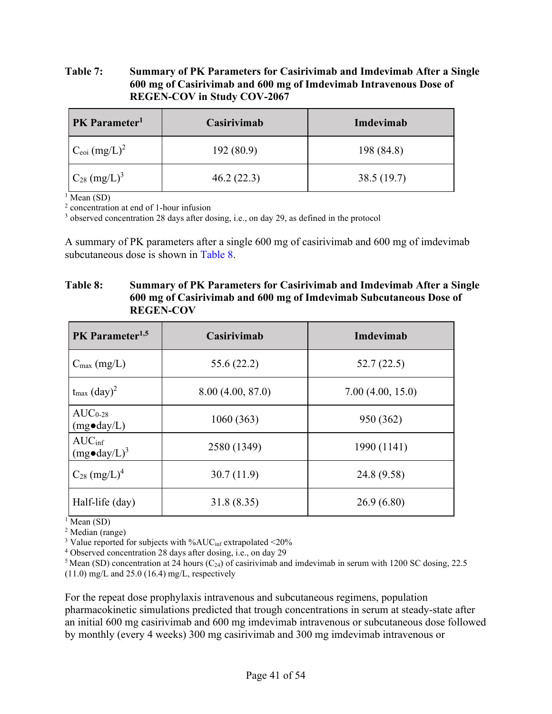#### <span id="page-40-0"></span>**Table 7: Summary of PK Parameters for Casirivimab and Imdevimab After a Single 600 mg of Casirivimab and 600 mg of Imdevimab Intravenous Dose of REGEN-COV in Study COV-2067**

| PK Parameter <sup>1</sup><br>Casirivimab |            | Imdevimab  |
|------------------------------------------|------------|------------|
| $C_{\rm eoi}$ $(mg/L)^2$                 | 192(80.9)  | 198 (84.8) |
| $C_{28}$ (mg/L) <sup>3</sup>             | 46.2(22.3) | 38.5(19.7) |

 $\frac{1}{1}$  Mean (SD)

<sup>2</sup> concentration at end of 1-hour infusion

<sup>3</sup> observed concentration 28 days after dosing, i.e., on day 29, as defined in the protocol

A summary of PK parameters after a single 600 mg of casirivimab and 600 mg of imdevimab subcutaneous dose is shown in [Table](#page-40-1) 8.

#### <span id="page-40-1"></span>**Table 8: Summary of PK Parameters for Casirivimab and Imdevimab After a Single 600 mg of Casirivimab and 600 mg of Imdevimab Subcutaneous Dose of REGEN-COV**

| PK Parameter <sup>1,5</sup>                 | Casirivimab      | <b>Imdevimab</b> |  |
|---------------------------------------------|------------------|------------------|--|
| $C_{\text{max}}$ (mg/L)                     | 55.6 (22.2)      | 52.7(22.5)       |  |
| $t_{\text{max}}$ $(\text{day})^2$           | 8.00(4.00, 87.0) | 7.00(4.00, 15.0) |  |
| $AUC_{0-28}$<br>$(mg \bullet day/L)$        | 1060(363)        | 950 (362)        |  |
| $AUC_{\text{inf}}$<br>$(mg\bullet day/L)^3$ | 2580 (1349)      | 1990 (1141)      |  |
| $C_{28}$ (mg/L) <sup>4</sup>                | 30.7(11.9)       | 24.8 (9.58)      |  |
| Half-life (day)                             | 31.8 (8.35)      | 26.9(6.80)       |  |

 $\frac{1}{2}$  Mean (SD)<br> $\frac{2}{2}$  Median (range)

<sup>3</sup> Value reported for subjects with %AUC<sub>inf</sub> extrapolated <20%

<sup>4</sup> Observed concentration 28 days after dosing, i.e., on day 29

<sup>5</sup> Mean (SD) concentration at 24 hours (C<sub>24</sub>) of casirivimab and imdevimab in serum with 1200 SC dosing, 22.5  $(11.0)$  mg/L and 25.0 (16.4) mg/L, respectively

For the repeat dose prophylaxis intravenous and subcutaneous regimens, population pharmacokinetic simulations predicted that trough concentrations in serum at steady-state after an initial 600 mg casirivimab and 600 mg imdevimab intravenous or subcutaneous dose followed by monthly (every 4 weeks) 300 mg casirivimab and 300 mg imdevimab intravenous or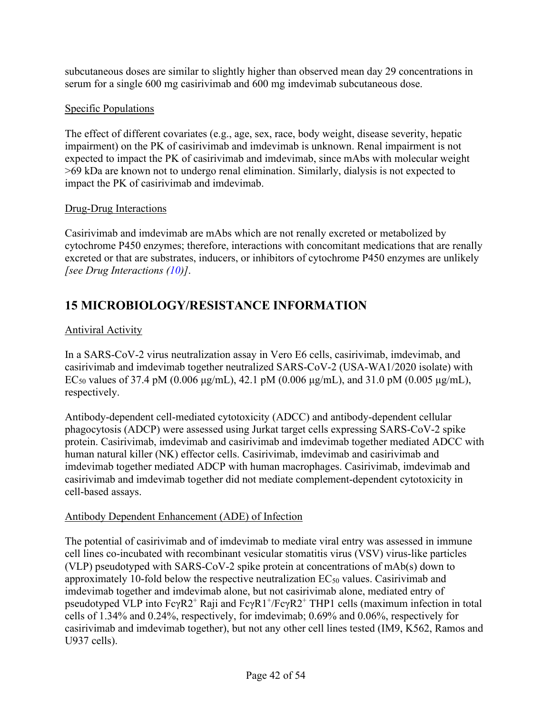subcutaneous doses are similar to slightly higher than observed mean day 29 concentrations in serum for a single 600 mg casirivimab and 600 mg imdevimab subcutaneous dose.

# Specific Populations

The effect of different covariates (e.g., age, sex, race, body weight, disease severity, hepatic impairment) on the PK of casirivimab and imdevimab is unknown. Renal impairment is not expected to impact the PK of casirivimab and imdevimab, since mAbs with molecular weight >69 kDa are known not to undergo renal elimination. Similarly, dialysis is not expected to impact the PK of casirivimab and imdevimab.

# Drug-Drug Interactions

Casirivimab and imdevimab are mAbs which are not renally excreted or metabolized by cytochrome P450 enzymes; therefore, interactions with concomitant medications that are renally excreted or that are substrates, inducers, or inhibitors of cytochrome P450 enzymes are unlikely *[see Drug Interactions [\(10\)](#page-36-3)]*.

# <span id="page-41-0"></span>**15 MICROBIOLOGY/RESISTANCE INFORMATION**

# Antiviral Activity

In a SARS-CoV-2 virus neutralization assay in Vero E6 cells, casirivimab, imdevimab, and casirivimab and imdevimab together neutralized SARS-CoV-2 (USA-WA1/2020 isolate) with EC<sub>50</sub> values of 37.4 pM (0.006 μg/mL), 42.1 pM (0.006 μg/mL), and 31.0 pM (0.005 μg/mL), respectively.

Antibody-dependent cell-mediated cytotoxicity (ADCC) and antibody-dependent cellular phagocytosis (ADCP) were assessed using Jurkat target cells expressing SARS-CoV-2 spike protein. Casirivimab, imdevimab and casirivimab and imdevimab together mediated ADCC with human natural killer (NK) effector cells. Casirivimab, imdevimab and casirivimab and imdevimab together mediated ADCP with human macrophages. Casirivimab, imdevimab and casirivimab and imdevimab together did not mediate complement-dependent cytotoxicity in cell-based assays.

# Antibody Dependent Enhancement (ADE) of Infection

The potential of casirivimab and of imdevimab to mediate viral entry was assessed in immune cell lines co-incubated with recombinant vesicular stomatitis virus (VSV) virus-like particles (VLP) pseudotyped with SARS-CoV-2 spike protein at concentrations of mAb(s) down to approximately 10-fold below the respective neutralization  $EC_{50}$  values. Casirivimab and imdevimab together and imdevimab alone, but not casirivimab alone, mediated entry of pseudotyped VLP into  $Fc\gamma R2^+$  Raji and  $Fc\gamma R1^+/Fc\gamma R2^+$  THP1 cells (maximum infection in total cells of 1.34% and 0.24%, respectively, for imdevimab; 0.69% and 0.06%, respectively for casirivimab and imdevimab together), but not any other cell lines tested (IM9, K562, Ramos and U937 cells).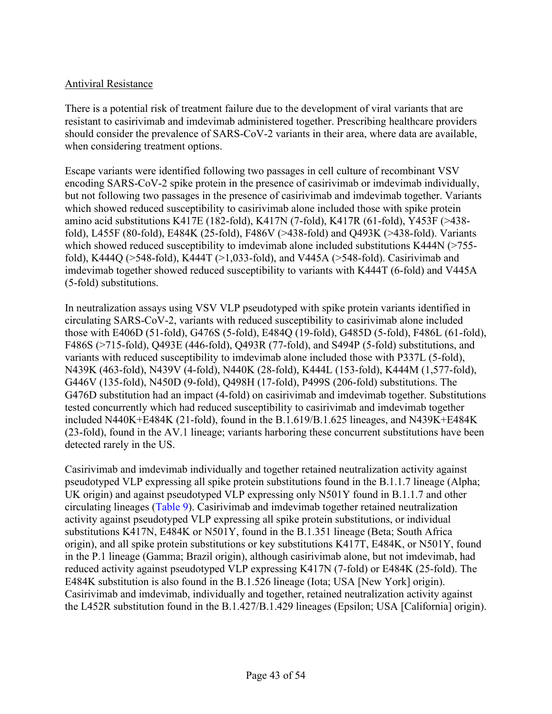### Antiviral Resistance

There is a potential risk of treatment failure due to the development of viral variants that are resistant to casirivimab and imdevimab administered together. Prescribing healthcare providers should consider the prevalence of SARS-CoV-2 variants in their area, where data are available, when considering treatment options.

Escape variants were identified following two passages in cell culture of recombinant VSV encoding SARS-CoV-2 spike protein in the presence of casirivimab or imdevimab individually, but not following two passages in the presence of casirivimab and imdevimab together. Variants which showed reduced susceptibility to casirivimab alone included those with spike protein amino acid substitutions K417E (182-fold), K417N (7-fold), K417R (61-fold), Y453F (>438 fold), L455F (80-fold), E484K (25-fold), F486V (>438-fold) and Q493K (>438-fold). Variants which showed reduced susceptibility to imdevimab alone included substitutions K444N (>755fold), K444Q (>548-fold), K444T (>1,033-fold), and V445A (>548-fold). Casirivimab and imdevimab together showed reduced susceptibility to variants with K444T (6-fold) and V445A (5-fold) substitutions.

In neutralization assays using VSV VLP pseudotyped with spike protein variants identified in circulating SARS-CoV-2, variants with reduced susceptibility to casirivimab alone included those with E406D (51-fold), G476S (5-fold), E484Q (19-fold), G485D (5-fold), F486L (61-fold), F486S (>715-fold), Q493E (446-fold), Q493R (77-fold), and S494P (5-fold) substitutions, and variants with reduced susceptibility to imdevimab alone included those with P337L (5-fold), N439K (463-fold), N439V (4-fold), N440K (28-fold), K444L (153-fold), K444M (1,577-fold), G446V (135-fold), N450D (9-fold), Q498H (17-fold), P499S (206-fold) substitutions. The G476D substitution had an impact (4-fold) on casirivimab and imdevimab together. Substitutions tested concurrently which had reduced susceptibility to casirivimab and imdevimab together included N440K+E484K (21-fold), found in the B.1.619/B.1.625 lineages, and N439K+E484K (23-fold), found in the AV.1 lineage; variants harboring these concurrent substitutions have been detected rarely in the US.

Casirivimab and imdevimab individually and together retained neutralization activity against pseudotyped VLP expressing all spike protein substitutions found in the B.1.1.7 lineage (Alpha; UK origin) and against pseudotyped VLP expressing only N501Y found in B.1.1.7 and other circulating lineages [\(Table](#page-43-1) 9). Casirivimab and imdevimab together retained neutralization activity against pseudotyped VLP expressing all spike protein substitutions, or individual substitutions K417N, E484K or N501Y, found in the B.1.351 lineage (Beta; South Africa origin), and all spike protein substitutions or key substitutions K417T, E484K, or N501Y, found in the P.1 lineage (Gamma; Brazil origin), although casirivimab alone, but not imdevimab, had reduced activity against pseudotyped VLP expressing K417N (7-fold) or E484K (25-fold). The E484K substitution is also found in the B.1.526 lineage (Iota; USA [New York] origin). Casirivimab and imdevimab, individually and together, retained neutralization activity against the L452R substitution found in the B.1.427/B.1.429 lineages (Epsilon; USA [California] origin).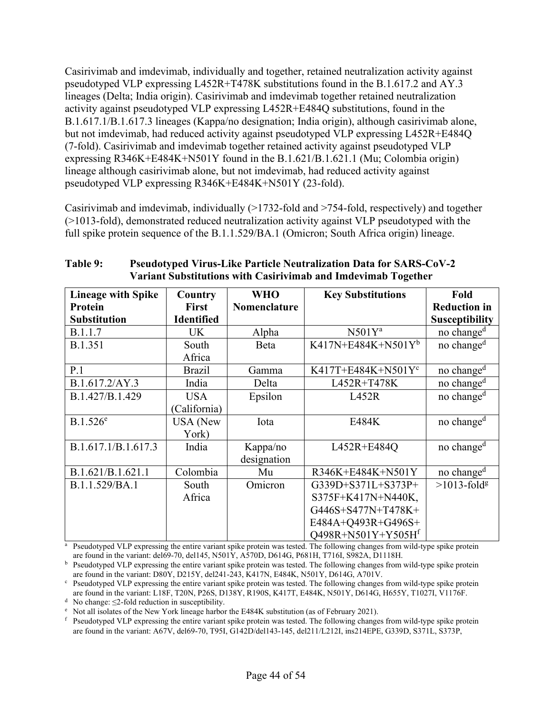Casirivimab and imdevimab, individually and together, retained neutralization activity against pseudotyped VLP expressing L452R+T478K substitutions found in the B.1.617.2 and AY.3 lineages (Delta; India origin). Casirivimab and imdevimab together retained neutralization activity against pseudotyped VLP expressing L452R+E484Q substitutions, found in the B.1.617.1/B.1.617.3 lineages (Kappa/no designation; India origin), although casirivimab alone, but not imdevimab, had reduced activity against pseudotyped VLP expressing L452R+E484Q (7-fold). Casirivimab and imdevimab together retained activity against pseudotyped VLP expressing R346K+E484K+N501Y found in the B.1.621/B.1.621.1 (Mu; Colombia origin) lineage although casirivimab alone, but not imdevimab, had reduced activity against pseudotyped VLP expressing R346K+E484K+N501Y (23-fold).

Casirivimab and imdevimab, individually (>1732-fold and >754-fold, respectively) and together (>1013-fold), demonstrated reduced neutralization activity against VLP pseudotyped with the full spike protein sequence of the B.1.1.529/BA.1 (Omicron; South Africa origin) lineage.

<span id="page-43-0"></span>

| <b>Lineage with Spike</b> | Country           | <b>WHO</b>   | <b>Key Substitutions</b>       | Fold                       |
|---------------------------|-------------------|--------------|--------------------------------|----------------------------|
| Protein                   | <b>First</b>      | Nomenclature |                                | <b>Reduction in</b>        |
| <b>Substitution</b>       | <b>Identified</b> |              |                                | <b>Susceptibility</b>      |
| B.1.1.7                   | UK                | Alpha        | $N501Y^a$                      | no change <sup>d</sup>     |
| B.1.351                   | South             | <b>B</b> eta | $K417N+E484K+N501Y^b$          | no change <sup>d</sup>     |
|                           | Africa            |              |                                |                            |
| P.1                       | <b>Brazil</b>     | Gamma        | K417T+E484K+N501Y <sup>c</sup> | no change <sup>d</sup>     |
| B.1.617.2/AY.3            | India             | Delta        | L452R+T478K                    | no change <sup>d</sup>     |
| B.1.427/B.1.429           | <b>USA</b>        | Epsilon      | L452R                          | no change <sup>d</sup>     |
|                           | (California)      |              |                                |                            |
| $B.1.526^e$               | <b>USA</b> (New   | Iota         | E484K                          | no change <sup>d</sup>     |
|                           | York)             |              |                                |                            |
| B.1.617.1/B.1.617.3       | India             | Kappa/no     | L452R+E484Q                    | no change <sup>d</sup>     |
|                           |                   | designation  |                                |                            |
| B.1.621/B.1.621.1         | Colombia          | Mu           | R346K+E484K+N501Y              | no change <sup>d</sup>     |
| B.1.1.529/BA.1            | South             | Omicron      | G339D+S371L+S373P+             | $>1013$ -fold <sup>g</sup> |
|                           | Africa            |              | S375F+K417N+N440K,             |                            |
|                           |                   |              | G446S+S477N+T478K+             |                            |
|                           |                   |              | E484A+Q493R+G496S+             |                            |
|                           |                   |              | Q498R+N501Y+Y505Hf             |                            |

<span id="page-43-1"></span>**Table 9: Pseudotyped Virus-Like Particle Neutralization Data for SARS-CoV-2 Variant Substitutions with Casirivimab and Imdevimab Together**

<sup>a</sup> Pseudotyped VLP expressing the entire variant spike protein was tested. The following changes from wild-type spike protein are found in the variant: del69-70, del145, N501Y, A570D, D614G, P681H, T716I, S982A, D1118H.

b Pseudotyped VLP expressing the entire variant spike protein was tested. The following changes from wild-type spike protein are found in the variant: D80Y, D215Y, del241-243, K417N, E484K, N501Y, D614G, A701V.

 $c<sub>c</sub>$  Pseudotyped VLP expressing the entire variant spike protein was tested. The following changes from wild-type spike protein are found in the variant: L18F, T20N, P26S, D138Y, R190S, K417T, E484K, N501Y, D614G, H655Y, T1027I, V1176F.

<sup>d</sup> No change:  $\leq$ 2-fold reduction in susceptibility.

<sup>e</sup> Not all isolates of the New York lineage harbor the E484K substitution (as of February 2021).

<sup>f</sup> Pseudotyped VLP expressing the entire variant spike protein was tested. The following changes from wild-type spike protein are found in the variant: A67V, del69-70, T95I, G142D/del143-145, del211/L212I, ins214EPE, G339D, S371L, S373P,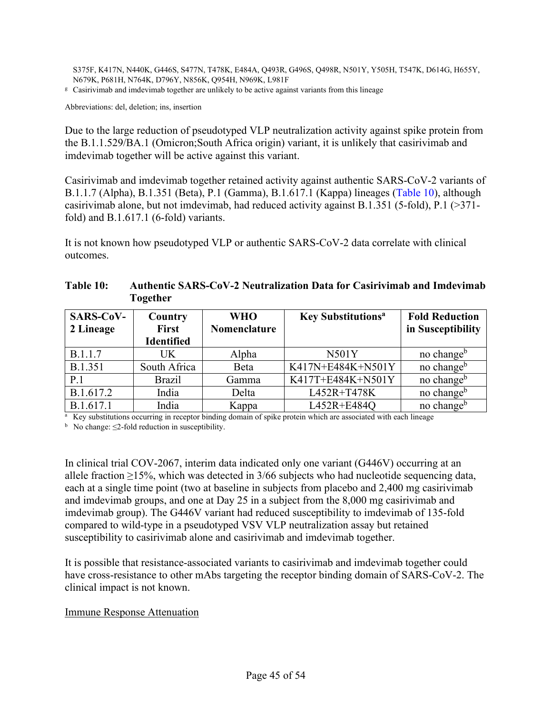S375F, K417N, N440K, G446S, S477N, T478K, E484A, Q493R, G496S, Q498R, N501Y, Y505H, T547K, D614G, H655Y, N679K, P681H, N764K, D796Y, N856K, Q954H, N969K, L981F

<sup>g</sup> Casirivimab and imdevimab together are unlikely to be active against variants from this lineage

Abbreviations: del, deletion; ins, insertion

Due to the large reduction of pseudotyped VLP neutralization activity against spike protein from the B.1.1.529/BA.1 (Omicron;South Africa origin) variant, it is unlikely that casirivimab and imdevimab together will be active against this variant.

Casirivimab and imdevimab together retained activity against authentic SARS-CoV-2 variants of B.1.1.7 (Alpha), B.1.351 (Beta), P.1 (Gamma), B.1.617.1 (Kappa) lineages [\(Table](#page-44-1) 10), although casirivimab alone, but not imdevimab, had reduced activity against B.1.351 (5-fold), P.1 (>371 fold) and B.1.617.1 (6-fold) variants.

It is not known how pseudotyped VLP or authentic SARS-CoV-2 data correlate with clinical outcomes.

<span id="page-44-1"></span>

| Table 10: | <b>Authentic SARS-CoV-2 Neutralization Data for Casirivimab and Imdevimab</b> |
|-----------|-------------------------------------------------------------------------------|
|           | Together                                                                      |

<span id="page-44-0"></span>

| <b>SARS-CoV-</b> | Country           | <b>WHO</b>   | <b>Key Substitutions<sup>a</sup></b> | <b>Fold Reduction</b>  |
|------------------|-------------------|--------------|--------------------------------------|------------------------|
| 2 Lineage        | <b>First</b>      | Nomenclature |                                      | in Susceptibility      |
|                  | <b>Identified</b> |              |                                      |                        |
| B.1.1.7          | UK                | Alpha        | <b>N501Y</b>                         | no change <sup>b</sup> |
| <b>B.1.351</b>   | South Africa      | Beta         | K417N+E484K+N501Y                    | no change <sup>b</sup> |
| P.1              | <b>Brazil</b>     | Gamma        | K417T+E484K+N501Y                    | no change <sup>b</sup> |
| B.1.617.2        | India             | Delta        | L452R+T478K                          | no change <sup>b</sup> |
| B.1.617.1        | India             | Kappa        | L452R+E484Q                          | no change <sup>b</sup> |

<sup>a</sup> Key substitutions occurring in receptor binding domain of spike protein which are associated with each lineage

 $<sup>b</sup>$  No change:  $\leq$ 2-fold reduction in susceptibility.</sup>

In clinical trial COV-2067, interim data indicated only one variant (G446V) occurring at an allele fraction ≥15%, which was detected in 3/66 subjects who had nucleotide sequencing data, each at a single time point (two at baseline in subjects from placebo and 2,400 mg casirivimab and imdevimab groups, and one at Day 25 in a subject from the 8,000 mg casirivimab and imdevimab group). The G446V variant had reduced susceptibility to imdevimab of 135-fold compared to wild-type in a pseudotyped VSV VLP neutralization assay but retained susceptibility to casirivimab alone and casirivimab and imdevimab together.

It is possible that resistance-associated variants to casirivimab and imdevimab together could have cross-resistance to other mAbs targeting the receptor binding domain of SARS-CoV-2. The clinical impact is not known.

#### Immune Response Attenuation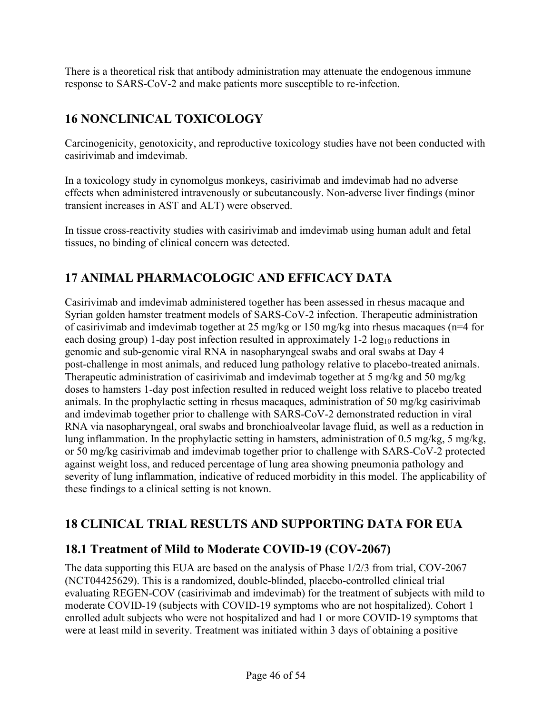There is a theoretical risk that antibody administration may attenuate the endogenous immune response to SARS-CoV-2 and make patients more susceptible to re-infection.

# <span id="page-45-1"></span>**16 NONCLINICAL TOXICOLOGY**

Carcinogenicity, genotoxicity, and reproductive toxicology studies have not been conducted with casirivimab and imdevimab.

In a toxicology study in cynomolgus monkeys, casirivimab and imdevimab had no adverse effects when administered intravenously or subcutaneously. Non-adverse liver findings (minor transient increases in AST and ALT) were observed.

In tissue cross-reactivity studies with casirivimab and imdevimab using human adult and fetal tissues, no binding of clinical concern was detected.

# <span id="page-45-2"></span>**17 ANIMAL PHARMACOLOGIC AND EFFICACY DATA**

<span id="page-45-5"></span>Casirivimab and imdevimab administered together has been assessed in rhesus macaque and Syrian golden hamster treatment models of SARS-CoV-2 infection. Therapeutic administration of casirivimab and imdevimab together at 25 mg/kg or 150 mg/kg into rhesus macaques (n=4 for each dosing group) 1-day post infection resulted in approximately 1-2 log<sub>10</sub> reductions in genomic and sub-genomic viral RNA in nasopharyngeal swabs and oral swabs at Day 4 post-challenge in most animals, and reduced lung pathology relative to placebo-treated animals. Therapeutic administration of casirivimab and imdevimab together at 5 mg/kg and 50 mg/kg doses to hamsters 1-day post infection resulted in reduced weight loss relative to placebo treated animals. In the prophylactic setting in rhesus macaques, administration of 50 mg/kg casirivimab and imdevimab together prior to challenge with SARS-CoV-2 demonstrated reduction in viral RNA via nasopharyngeal, oral swabs and bronchioalveolar lavage fluid, as well as a reduction in lung inflammation. In the prophylactic setting in hamsters, administration of 0.5 mg/kg, 5 mg/kg, or 50 mg/kg casirivimab and imdevimab together prior to challenge with SARS-CoV-2 protected against weight loss, and reduced percentage of lung area showing pneumonia pathology and severity of lung inflammation, indicative of reduced morbidity in this model. The applicability of these findings to a clinical setting is not known.

# <span id="page-45-3"></span>**18 CLINICAL TRIAL RESULTS AND SUPPORTING DATA FOR EUA**

# <span id="page-45-4"></span>**18.1 Treatment of Mild to Moderate COVID-19 (COV-2067)**

<span id="page-45-0"></span>The data supporting this EUA are based on the analysis of Phase 1/2/3 from trial, COV-2067 (NCT04425629). This is a randomized, double-blinded, placebo-controlled clinical trial evaluating REGEN-COV (casirivimab and imdevimab) for the treatment of subjects with mild to moderate COVID-19 (subjects with COVID-19 symptoms who are not hospitalized). Cohort 1 enrolled adult subjects who were not hospitalized and had 1 or more COVID-19 symptoms that were at least mild in severity. Treatment was initiated within 3 days of obtaining a positive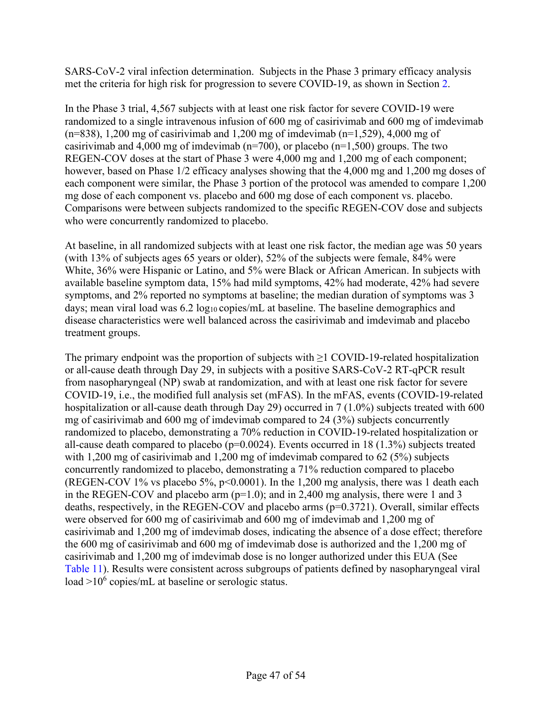SARS-CoV-2 viral infection determination. Subjects in the Phase 3 primary efficacy analysis met the criteria for high risk for progression to severe COVID-19, as shown in Section [2.](#page-22-1)

In the Phase 3 trial, 4,567 subjects with at least one risk factor for severe COVID-19 were randomized to a single intravenous infusion of 600 mg of casirivimab and 600 mg of imdevimab (n=838), 1,200 mg of casirivimab and 1,200 mg of imdevimab (n=1,529), 4,000 mg of casirivimab and 4,000 mg of imdevimab ( $n=700$ ), or placebo ( $n=1,500$ ) groups. The two REGEN-COV doses at the start of Phase 3 were 4,000 mg and 1,200 mg of each component; however, based on Phase 1/2 efficacy analyses showing that the 4,000 mg and 1,200 mg doses of each component were similar, the Phase 3 portion of the protocol was amended to compare 1,200 mg dose of each component vs. placebo and 600 mg dose of each component vs. placebo. Comparisons were between subjects randomized to the specific REGEN-COV dose and subjects who were concurrently randomized to placebo.

At baseline, in all randomized subjects with at least one risk factor, the median age was 50 years (with 13% of subjects ages 65 years or older), 52% of the subjects were female, 84% were White, 36% were Hispanic or Latino, and 5% were Black or African American. In subjects with available baseline symptom data, 15% had mild symptoms, 42% had moderate, 42% had severe symptoms, and 2% reported no symptoms at baseline; the median duration of symptoms was 3 days; mean viral load was  $6.2 \log_{10} \text{copies/mL}$  at baseline. The baseline demographics and disease characteristics were well balanced across the casirivimab and imdevimab and placebo treatment groups.

The primary endpoint was the proportion of subjects with  $\geq 1$  COVID-19-related hospitalization or all-cause death through Day 29, in subjects with a positive SARS-CoV-2 RT-qPCR result from nasopharyngeal (NP) swab at randomization, and with at least one risk factor for severe COVID-19, i.e., the modified full analysis set (mFAS). In the mFAS, events (COVID-19-related hospitalization or all-cause death through Day 29) occurred in 7 (1.0%) subjects treated with 600 mg of casirivimab and 600 mg of imdevimab compared to 24 (3%) subjects concurrently randomized to placebo, demonstrating a 70% reduction in COVID-19-related hospitalization or all-cause death compared to placebo ( $p=0.0024$ ). Events occurred in 18 (1.3%) subjects treated with 1,200 mg of casirivimab and 1,200 mg of imdevimab compared to  $62$  (5%) subjects concurrently randomized to placebo, demonstrating a 71% reduction compared to placebo (REGEN-COV 1% vs placebo 5%,  $p<0.0001$ ). In the 1,200 mg analysis, there was 1 death each in the REGEN-COV and placebo arm  $(p=1.0)$ ; and in 2,400 mg analysis, there were 1 and 3 deaths, respectively, in the REGEN-COV and placebo arms (p=0.3721). Overall, similar effects were observed for 600 mg of casirivimab and 600 mg of imdevimab and 1,200 mg of casirivimab and 1,200 mg of imdevimab doses, indicating the absence of a dose effect; therefore the 600 mg of casirivimab and 600 mg of imdevimab dose is authorized and the 1,200 mg of casirivimab and 1,200 mg of imdevimab dose is no longer authorized under this EUA (See [Table](#page-47-0) 11). Results were consistent across subgroups of patients defined by nasopharyngeal viral load  $>10^6$  copies/mL at baseline or serologic status.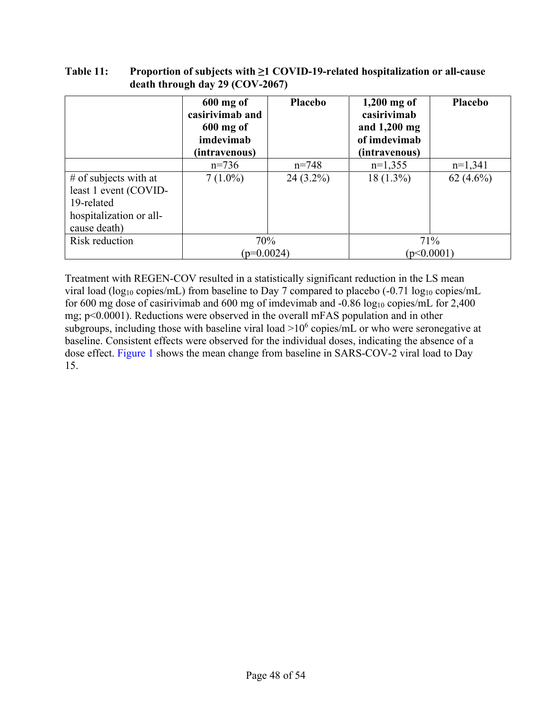|                                                                                                           | $600$ mg of<br>casirivimab and<br>$600$ mg of<br>imdevimab<br>(intravenous) | Placebo     | $1,200$ mg of<br>casirivimab<br>and 1,200 mg<br>of imdevimab<br>(intravenous) | Placebo      |
|-----------------------------------------------------------------------------------------------------------|-----------------------------------------------------------------------------|-------------|-------------------------------------------------------------------------------|--------------|
|                                                                                                           | $n=736$                                                                     | $n = 748$   | $n=1,355$                                                                     | $n=1,341$    |
| $#$ of subjects with at<br>least 1 event (COVID-<br>19-related<br>hospitalization or all-<br>cause death) | $7(1.0\%)$                                                                  | $24(3.2\%)$ | $18(1.3\%)$                                                                   | 62 $(4.6\%)$ |
| Risk reduction                                                                                            | 70%                                                                         |             |                                                                               | 71%          |
|                                                                                                           | $(p=0.0024)$                                                                |             | (p<0.0001)                                                                    |              |

<span id="page-47-0"></span>**Table 11: Proportion of subjects with ≥1 COVID-19-related hospitalization or all-cause death through day 29 (COV-2067)**

Treatment with REGEN-COV resulted in a statistically significant reduction in the LS mean viral load (log<sub>10</sub> copies/mL) from baseline to Day 7 compared to placebo (-0.71 log<sub>10</sub> copies/mL for 600 mg dose of casirivimab and 600 mg of imdevimab and  $-0.86 \log_{10}$  copies/mL for 2,400 mg; p<0.0001). Reductions were observed in the overall mFAS population and in other subgroups, including those with baseline viral load  $>10^6$  copies/mL or who were seronegative at baseline. Consistent effects were observed for the individual doses, indicating the absence of a dose effect. [Figure](#page-48-1) 1 shows the mean change from baseline in SARS-COV-2 viral load to Day 15.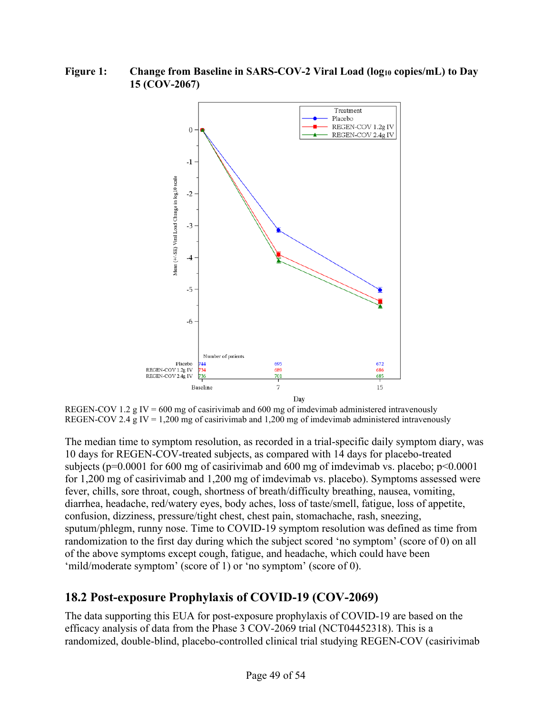<span id="page-48-1"></span>**Figure 1: Change from Baseline in SARS-COV-2 Viral Load (log10 copies/mL) to Day 15 (COV-2067)**



REGEN-COV 1.2 g IV = 600 mg of casirivimab and 600 mg of imdevimab administered intravenously REGEN-COV 2.4 g IV = 1,200 mg of casirivimab and 1,200 mg of imdevimab administered intravenously

The median time to symptom resolution, as recorded in a trial-specific daily symptom diary, was 10 days for REGEN-COV-treated subjects, as compared with 14 days for placebo-treated subjects ( $p=0.0001$  for 600 mg of casirivimab and 600 mg of imdevimab vs. placebo;  $p<0.0001$ for 1,200 mg of casirivimab and 1,200 mg of imdevimab vs. placebo). Symptoms assessed were fever, chills, sore throat, cough, shortness of breath/difficulty breathing, nausea, vomiting, diarrhea, headache, red/watery eyes, body aches, loss of taste/smell, fatigue, loss of appetite, confusion, dizziness, pressure/tight chest, chest pain, stomachache, rash, sneezing, sputum/phlegm, runny nose. Time to COVID-19 symptom resolution was defined as time from randomization to the first day during which the subject scored 'no symptom' (score of 0) on all of the above symptoms except cough, fatigue, and headache, which could have been 'mild/moderate symptom' (score of 1) or 'no symptom' (score of 0).

# <span id="page-48-0"></span>**18.2 Post-exposure Prophylaxis of COVID-19 (COV-2069)**

The data supporting this EUA for post-exposure prophylaxis of COVID-19 are based on the efficacy analysis of data from the Phase 3 COV-2069 trial (NCT04452318). This is a randomized, double-blind, placebo-controlled clinical trial studying REGEN-COV (casirivimab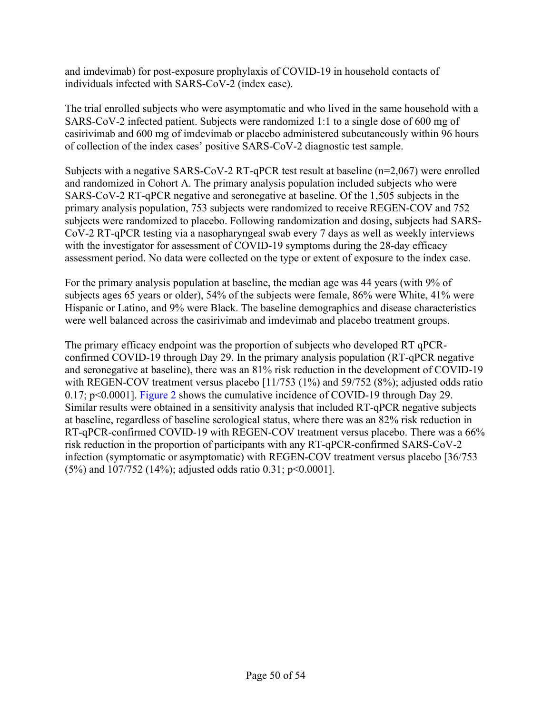and imdevimab) for post-exposure prophylaxis of COVID-19 in household contacts of individuals infected with SARS-CoV-2 (index case).

The trial enrolled subjects who were asymptomatic and who lived in the same household with a SARS-CoV-2 infected patient. Subjects were randomized 1:1 to a single dose of 600 mg of casirivimab and 600 mg of imdevimab or placebo administered subcutaneously within 96 hours of collection of the index cases' positive SARS-CoV-2 diagnostic test sample.

Subjects with a negative SARS-CoV-2 RT-qPCR test result at baseline  $(n=2,067)$  were enrolled and randomized in Cohort A. The primary analysis population included subjects who were SARS-CoV-2 RT-qPCR negative and seronegative at baseline. Of the 1,505 subjects in the primary analysis population, 753 subjects were randomized to receive REGEN-COV and 752 subjects were randomized to placebo. Following randomization and dosing, subjects had SARS-CoV-2 RT-qPCR testing via a nasopharyngeal swab every 7 days as well as weekly interviews with the investigator for assessment of COVID-19 symptoms during the 28-day efficacy assessment period. No data were collected on the type or extent of exposure to the index case.

For the primary analysis population at baseline, the median age was 44 years (with 9% of subjects ages 65 years or older), 54% of the subjects were female, 86% were White, 41% were Hispanic or Latino, and 9% were Black. The baseline demographics and disease characteristics were well balanced across the casirivimab and imdevimab and placebo treatment groups.

The primary efficacy endpoint was the proportion of subjects who developed RT qPCRconfirmed COVID-19 through Day 29. In the primary analysis population (RT-qPCR negative and seronegative at baseline), there was an 81% risk reduction in the development of COVID-19 with REGEN-COV treatment versus placebo [11/753 (1%) and 59/752 (8%); adjusted odds ratio 0.17; p<0.0001]. [Figure](#page-50-2) 2 shows the cumulative incidence of COVID-19 through Day 29. Similar results were obtained in a sensitivity analysis that included RT-qPCR negative subjects at baseline, regardless of baseline serological status, where there was an 82% risk reduction in RT-qPCR-confirmed COVID-19 with REGEN-COV treatment versus placebo. There was a 66% risk reduction in the proportion of participants with any RT-qPCR-confirmed SARS-CoV-2 infection (symptomatic or asymptomatic) with REGEN-COV treatment versus placebo [36/753 (5%) and 107/752 (14%); adjusted odds ratio 0.31; p<0.0001].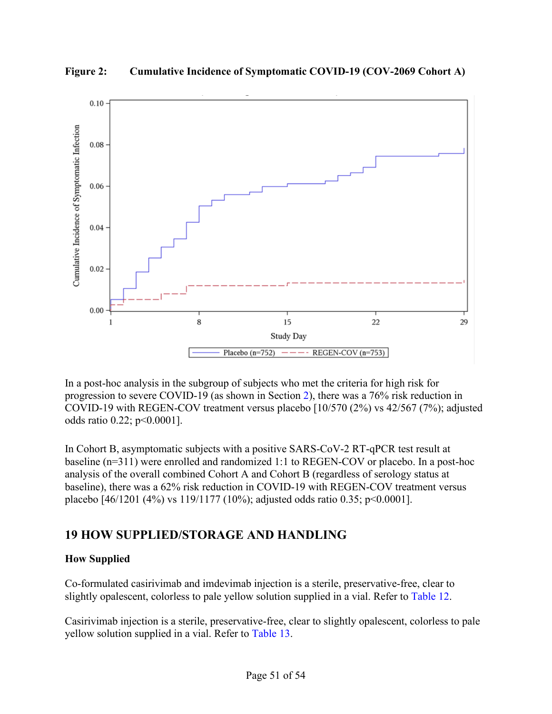

<span id="page-50-2"></span>**Figure 2: Cumulative Incidence of Symptomatic COVID-19 (COV-2069 Cohort A)**

In a post-hoc analysis in the subgroup of subjects who met the criteria for high risk for progression to severe COVID-19 (as shown in Section [2\)](#page-22-1), there was a 76% risk reduction in COVID-19 with REGEN-COV treatment versus placebo [10/570 (2%) vs 42/567 (7%); adjusted odds ratio 0.22; p<0.0001].

In Cohort B, asymptomatic subjects with a positive SARS-CoV-2 RT-qPCR test result at baseline (n=311) were enrolled and randomized 1:1 to REGEN-COV or placebo. In a post-hoc analysis of the overall combined Cohort A and Cohort B (regardless of serology status at baseline), there was a 62% risk reduction in COVID-19 with REGEN-COV treatment versus placebo [46/1201 (4%) vs 119/1177 (10%); adjusted odds ratio 0.35; p<0.0001].

# <span id="page-50-1"></span>**19 HOW SUPPLIED/STORAGE AND HANDLING**

# <span id="page-50-0"></span>**How Supplied**

Co-formulated casirivimab and imdevimab injection is a sterile, preservative-free, clear to slightly opalescent, colorless to pale yellow solution supplied in a vial. Refer to [Table](#page-51-0) 12.

Casirivimab injection is a sterile, preservative-free, clear to slightly opalescent, colorless to pale yellow solution supplied in a vial. Refer to [Table](#page-51-1) 13.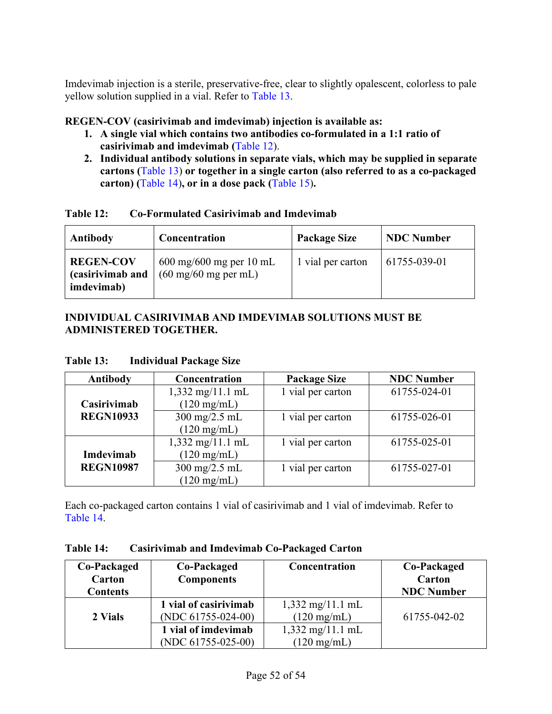Imdevimab injection is a sterile, preservative-free, clear to slightly opalescent, colorless to pale yellow solution supplied in a vial. Refer to [Table](#page-51-1) 13.

# **REGEN-COV (casirivimab and imdevimab) injection is available as:**

- **1. A single vial which contains two antibodies co-formulated in a 1:1 ratio of casirivimab and imdevimab (**[Table](#page-51-0) 12).
- **2. Individual antibody solutions in separate vials, which may be supplied in separate cartons (**[Table](#page-51-1) 13) **or together in a single carton (also referred to as a co-packaged carton) (**[Table](#page-51-2) 14)**, or in a dose pack (**[Table](#page-52-0) 15)**.**

<span id="page-51-0"></span>

| Table 12: | Co-Formulated Casirivimab and Imdevimab |
|-----------|-----------------------------------------|
|-----------|-----------------------------------------|

| Antibody                                           | Concentration                                                                       | <b>Package Size</b> | <b>NDC</b> Number |
|----------------------------------------------------|-------------------------------------------------------------------------------------|---------------------|-------------------|
| <b>REGEN-COV</b><br>(casirivimab and<br>imdevimab) | $600 \text{ mg}/600 \text{ mg}$ per 10 mL<br>$(60 \text{ mg}/60 \text{ mg per mL})$ | 1 vial per carton   | 61755-039-01      |

## **INDIVIDUAL CASIRIVIMAB AND IMDEVIMAB SOLUTIONS MUST BE ADMINISTERED TOGETHER.**

| Antibody         | Concentration                   | <b>Package Size</b> | <b>NDC Number</b> |
|------------------|---------------------------------|---------------------|-------------------|
|                  | $1,332$ mg/11.1 mL              | 1 vial per carton   | 61755-024-01      |
| Casirivimab      | $(120 \text{ mg/mL})$           |                     |                   |
| <b>REGN10933</b> | $300 \text{ mg}/2.5 \text{ mL}$ | 1 vial per carton   | 61755-026-01      |
|                  | $(120 \text{ mg/mL})$           |                     |                   |
|                  | $1,332$ mg/11.1 mL              | 1 vial per carton   | 61755-025-01      |
| Imdevimab        | $(120 \text{ mg/mL})$           |                     |                   |
| <b>REGN10987</b> | $300 \text{ mg}/2.5 \text{ mL}$ | 1 vial per carton   | 61755-027-01      |
|                  | $(120 \text{ mg/mL})$           |                     |                   |

### <span id="page-51-1"></span>**Table 13: Individual Package Size**

Each co-packaged carton contains 1 vial of casirivimab and 1 vial of imdevimab. Refer to [Table](#page-51-2) 14.

<span id="page-51-2"></span>

| Table 14: | <b>Casirivimab and Imdevimab Co-Packaged Carton</b> |
|-----------|-----------------------------------------------------|
|-----------|-----------------------------------------------------|

| Co-Packaged<br>Carton<br><b>Contents</b> | Co-Packaged<br><b>Components</b>               | Concentration                                               | Co-Packaged<br>Carton<br><b>NDC</b> Number |
|------------------------------------------|------------------------------------------------|-------------------------------------------------------------|--------------------------------------------|
| 2 Vials                                  | 1 vial of casirivimab<br>(NDC $61755-024-00$ ) | $1,332 \text{ mg}/11.1 \text{ mL}$<br>$(120 \text{ mg/mL})$ | 61755-042-02                               |
|                                          | 1 vial of imdevimab<br>(NDC $61755-025-00$ )   | $1,332 \text{ mg}/11.1 \text{ mL}$<br>$(120 \text{ mg/mL})$ |                                            |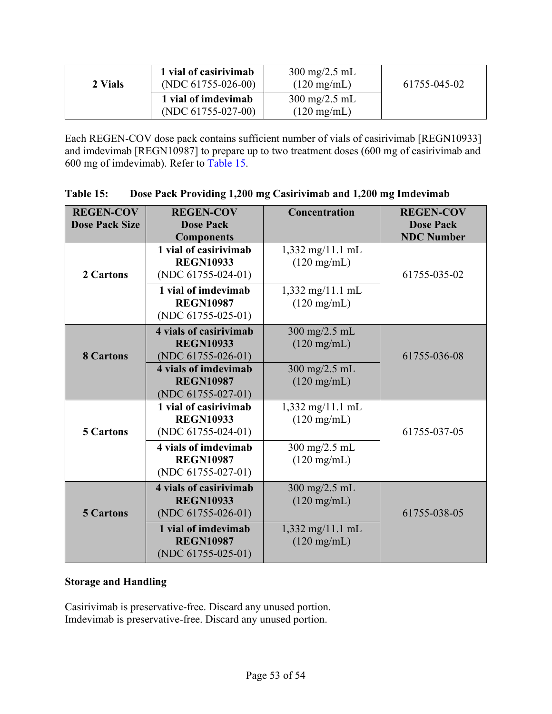| 2 Vials | 1 vial of casirivimab<br>(NDC $61755-026-00$ ) | $300 \text{ mg}/2.5 \text{ mL}$<br>$(120 \text{ mg/mL})$ | 61755-045-02 |
|---------|------------------------------------------------|----------------------------------------------------------|--------------|
|         | 1 vial of imdevimab<br>(NDC $61755-027-00$ )   | $300 \text{ mg}/2.5 \text{ mL}$<br>$(120 \text{ mg/mL})$ |              |

Each REGEN-COV dose pack contains sufficient number of vials of casirivimab [REGN10933] and imdevimab [REGN10987] to prepare up to two treatment doses (600 mg of casirivimab and 600 mg of imdevimab). Refer to [Table](#page-52-0) 15.

| <b>REGEN-COV</b><br><b>Dose Pack Size</b> | <b>REGEN-COV</b><br><b>Dose Pack</b><br><b>Components</b>                                                                                       | <b>Concentration</b>                                                                | <b>REGEN-COV</b><br><b>Dose Pack</b><br><b>NDC Number</b> |
|-------------------------------------------|-------------------------------------------------------------------------------------------------------------------------------------------------|-------------------------------------------------------------------------------------|-----------------------------------------------------------|
| 2 Cartons                                 | 1 vial of casirivimab<br><b>REGN10933</b><br>(NDC $61755-024-01$ )                                                                              | $1,332$ mg/11.1 mL<br>$(120 \text{ mg/mL})$                                         | 61755-035-02                                              |
|                                           | 1 vial of imdevimab<br><b>REGN10987</b><br>(NDC $61755-025-01$ )                                                                                | $1,332$ mg/11.1 mL<br>$(120 \text{ mg/mL})$                                         |                                                           |
| <b>8 Cartons</b>                          | <b>4 vials of casirivimab</b><br><b>REGN10933</b><br>(NDC $61755-026-01$ )<br>4 vials of imdevimab<br><b>REGN10987</b><br>(NDC $61755-027-01$ ) | 300 mg/2.5 mL<br>$(120 \text{ mg/mL})$<br>300 mg/2.5 mL<br>$(120 \text{ mg/mL})$    | 61755-036-08                                              |
| <b>5 Cartons</b>                          | 1 vial of casirivimab<br><b>REGN10933</b><br>(NDC $61755-024-01$ )<br>4 vials of imdevimab<br><b>REGN10987</b>                                  | 1,332 mg/11.1 mL<br>$(120 \text{ mg/mL})$<br>300 mg/2.5 mL<br>$(120 \text{ mg/mL})$ | 61755-037-05                                              |
|                                           | (NDC $61755-027-01$ )                                                                                                                           |                                                                                     |                                                           |
| <b>5 Cartons</b>                          | 4 vials of casirivimab<br><b>REGN10933</b><br>(NDC $61755-026-01$ )                                                                             | 300 mg/2.5 mL<br>$(120 \text{ mg/mL})$                                              | 61755-038-05                                              |
|                                           | 1 vial of imdevimab<br><b>REGN10987</b><br>(NDC $61755-025-01$ )                                                                                | 1,332 mg/11.1 mL<br>$(120 \text{ mg/mL})$                                           |                                                           |

<span id="page-52-0"></span>

|  | <b>Table 15:</b> | Dose Pack Providing 1,200 mg Casirivimab and 1,200 mg Imdevimab |  |
|--|------------------|-----------------------------------------------------------------|--|
|--|------------------|-----------------------------------------------------------------|--|

## **Storage and Handling**

Casirivimab is preservative-free. Discard any unused portion. Imdevimab is preservative-free. Discard any unused portion.